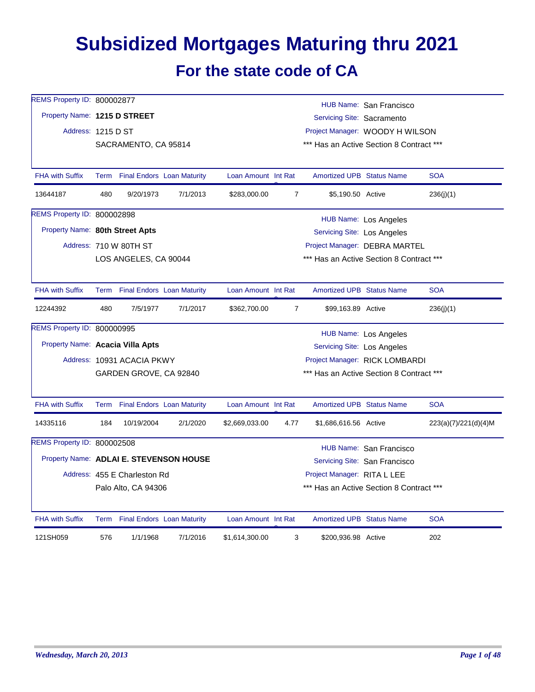## **Subsidized Mortgages Maturing thru 2021 For the state code of CA**

| REMS Property ID: 800002877             |     |                              |                                 |                     |                |                                    | HUB Name: San Francisco                  |                      |
|-----------------------------------------|-----|------------------------------|---------------------------------|---------------------|----------------|------------------------------------|------------------------------------------|----------------------|
| Property Name: 1215 D STREET            |     |                              |                                 |                     |                | Servicing Site: Sacramento         |                                          |                      |
| Address: 1215 D ST                      |     |                              |                                 |                     |                |                                    | Project Manager: WOODY H WILSON          |                      |
|                                         |     | SACRAMENTO, CA 95814         |                                 |                     |                |                                    | *** Has an Active Section 8 Contract *** |                      |
|                                         |     |                              |                                 |                     |                |                                    |                                          |                      |
| <b>FHA with Suffix</b>                  |     |                              | Term Final Endors Loan Maturity | Loan Amount Int Rat |                | <b>Amortized UPB Status Name</b>   |                                          | <b>SOA</b>           |
| 13644187                                | 480 | 9/20/1973                    | 7/1/2013                        | \$283,000.00        | 7              | \$5,190.50 Active                  |                                          | 236(j)(1)            |
| REMS Property ID: 800002898             |     |                              |                                 |                     |                |                                    | <b>HUB Name: Los Angeles</b>             |                      |
| Property Name: 80th Street Apts         |     |                              |                                 |                     |                | Servicing Site: Los Angeles        |                                          |                      |
|                                         |     | Address: 710 W 80TH ST       |                                 |                     |                |                                    | Project Manager: DEBRA MARTEL            |                      |
|                                         |     | LOS ANGELES, CA 90044        |                                 |                     |                |                                    | *** Has an Active Section 8 Contract *** |                      |
| <b>FHA with Suffix</b>                  |     |                              | Term Final Endors Loan Maturity | Loan Amount Int Rat |                | <b>Amortized UPB Status Name</b>   |                                          | <b>SOA</b>           |
| 12244392                                | 480 | 7/5/1977                     | 7/1/2017                        | \$362,700.00        | $\overline{7}$ | \$99,163.89 Active                 |                                          | 236(j)(1)            |
| REMS Property ID: 800000995             |     |                              |                                 |                     |                |                                    | HUB Name: Los Angeles                    |                      |
| Property Name: Acacia Villa Apts        |     |                              |                                 |                     |                | <b>Servicing Site: Los Angeles</b> |                                          |                      |
|                                         |     | Address: 10931 ACACIA PKWY   |                                 |                     |                |                                    | Project Manager: RICK LOMBARDI           |                      |
|                                         |     | GARDEN GROVE, CA 92840       |                                 |                     |                |                                    | *** Has an Active Section 8 Contract *** |                      |
| <b>FHA with Suffix</b>                  |     |                              | Term Final Endors Loan Maturity | Loan Amount Int Rat |                | <b>Amortized UPB Status Name</b>   |                                          | <b>SOA</b>           |
| 14335116                                | 184 | 10/19/2004                   | 2/1/2020                        | \$2,669,033.00      | 4.77           | \$1,686,616.56 Active              |                                          | 223(a)(7)/221(d)(4)M |
| <b>REMS Property ID: 800002508</b>      |     |                              |                                 |                     |                |                                    | HUB Name: San Francisco                  |                      |
| Property Name: ADLAI E. STEVENSON HOUSE |     |                              |                                 |                     |                |                                    | Servicing Site: San Francisco            |                      |
|                                         |     | Address: 455 E Charleston Rd |                                 |                     |                | Project Manager: RITA L LEE        |                                          |                      |
|                                         |     | Palo Alto, CA 94306          |                                 |                     |                |                                    | *** Has an Active Section 8 Contract *** |                      |
| <b>FHA with Suffix</b>                  |     |                              | Term Final Endors Loan Maturity | Loan Amount Int Rat |                | <b>Amortized UPB Status Name</b>   |                                          | <b>SOA</b>           |
| 121SH059                                | 576 | 1/1/1968                     | 7/1/2016                        | \$1,614,300.00      | 3              | \$200,936.98 Active                |                                          | 202                  |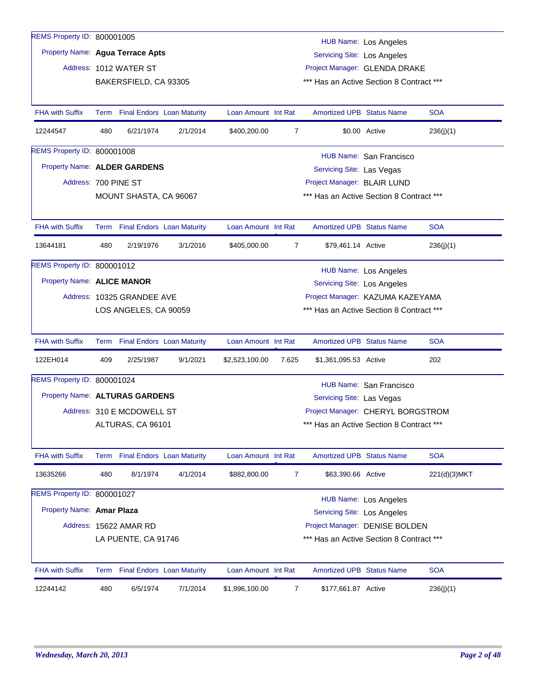| REMS Property ID: 800001005      |      |                                   |          |                     |                             |                                          | <b>HUB Name: Los Angeles</b>      |              |  |  |
|----------------------------------|------|-----------------------------------|----------|---------------------|-----------------------------|------------------------------------------|-----------------------------------|--------------|--|--|
| Property Name: Agua Terrace Apts |      |                                   |          |                     |                             | <b>Servicing Site: Los Angeles</b>       |                                   |              |  |  |
|                                  |      | Address: 1012 WATER ST            |          |                     |                             |                                          | Project Manager: GLENDA DRAKE     |              |  |  |
|                                  |      | BAKERSFIELD, CA 93305             |          |                     |                             | *** Has an Active Section 8 Contract *** |                                   |              |  |  |
|                                  |      |                                   |          |                     |                             |                                          |                                   |              |  |  |
| <b>FHA with Suffix</b>           | Term | <b>Final Endors Loan Maturity</b> |          | Loan Amount Int Rat |                             | <b>Amortized UPB Status Name</b>         |                                   | <b>SOA</b>   |  |  |
| 12244547                         | 480  | 6/21/1974                         | 2/1/2014 | \$400,200.00        | 7                           |                                          | \$0.00 Active                     | 236(i)(1)    |  |  |
| REMS Property ID: 800001008      |      |                                   |          |                     |                             |                                          | HUB Name: San Francisco           |              |  |  |
| Property Name: ALDER GARDENS     |      |                                   |          |                     |                             | Servicing Site: Las Vegas                |                                   |              |  |  |
| Address: 700 PINE ST             |      |                                   |          |                     | Project Manager: BLAIR LUND |                                          |                                   |              |  |  |
|                                  |      | MOUNT SHASTA, CA 96067            |          |                     |                             | *** Has an Active Section 8 Contract *** |                                   |              |  |  |
|                                  |      |                                   |          |                     |                             |                                          |                                   |              |  |  |
| <b>FHA with Suffix</b>           |      | Term Final Endors Loan Maturity   |          | Loan Amount Int Rat |                             | <b>Amortized UPB Status Name</b>         |                                   | <b>SOA</b>   |  |  |
| 13644181                         | 480  | 2/19/1976                         | 3/1/2016 | \$405,000.00        | $\overline{7}$              | \$79,461.14 Active                       |                                   | 236(j)(1)    |  |  |
| REMS Property ID: 800001012      |      |                                   |          |                     |                             |                                          | <b>HUB Name: Los Angeles</b>      |              |  |  |
| Property Name: ALICE MANOR       |      |                                   |          |                     |                             | <b>Servicing Site: Los Angeles</b>       |                                   |              |  |  |
|                                  |      | Address: 10325 GRANDEE AVE        |          |                     |                             |                                          | Project Manager: KAZUMA KAZEYAMA  |              |  |  |
|                                  |      | LOS ANGELES, CA 90059             |          |                     |                             | *** Has an Active Section 8 Contract *** |                                   |              |  |  |
|                                  |      |                                   |          |                     |                             |                                          |                                   |              |  |  |
| <b>FHA with Suffix</b>           |      | Term Final Endors Loan Maturity   |          | Loan Amount Int Rat |                             | <b>Amortized UPB Status Name</b>         |                                   | <b>SOA</b>   |  |  |
| 122EH014                         | 409  | 2/25/1987                         | 9/1/2021 | \$2,523,100.00      | 7.625                       | \$1,361,095.53 Active                    |                                   | 202          |  |  |
| REMS Property ID: 800001024      |      |                                   |          |                     |                             |                                          | HUB Name: San Francisco           |              |  |  |
| Property Name: ALTURAS GARDENS   |      |                                   |          |                     |                             | Servicing Site: Las Vegas                |                                   |              |  |  |
|                                  |      | Address: 310 E MCDOWELL ST        |          |                     |                             |                                          | Project Manager: CHERYL BORGSTROM |              |  |  |
|                                  |      | ALTURAS, CA 96101                 |          |                     |                             | *** Has an Active Section 8 Contract *** |                                   |              |  |  |
|                                  |      |                                   |          |                     |                             |                                          |                                   |              |  |  |
| <b>FHA with Suffix</b>           | Term | <b>Final Endors Loan Maturity</b> |          | Loan Amount Int Rat |                             | Amortized UPB Status Name                |                                   | <b>SOA</b>   |  |  |
| 13635266                         | 480  | 8/1/1974                          | 4/1/2014 | \$882,800.00        | 7                           | \$63,390.66 Active                       |                                   | 221(d)(3)MKT |  |  |
| REMS Property ID: 800001027      |      |                                   |          |                     |                             |                                          | HUB Name: Los Angeles             |              |  |  |
| Property Name: Amar Plaza        |      |                                   |          |                     |                             | <b>Servicing Site: Los Angeles</b>       |                                   |              |  |  |
|                                  |      | Address: 15622 AMAR RD            |          |                     |                             |                                          | Project Manager: DENISE BOLDEN    |              |  |  |
|                                  |      | LA PUENTE, CA 91746               |          |                     |                             | *** Has an Active Section 8 Contract *** |                                   |              |  |  |
|                                  |      |                                   |          |                     |                             |                                          |                                   |              |  |  |
| <b>FHA with Suffix</b>           |      | Term Final Endors Loan Maturity   |          | Loan Amount Int Rat |                             | Amortized UPB Status Name                |                                   | <b>SOA</b>   |  |  |
| 12244142                         | 480  | 6/5/1974                          | 7/1/2014 | \$1,996,100.00      | 7                           | \$177,661.87 Active                      |                                   | 236(j)(1)    |  |  |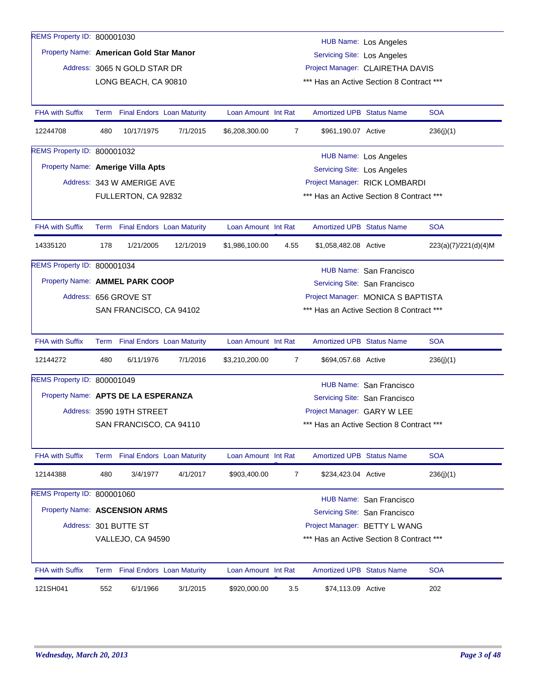| REMS Property ID: 800001030             |      |                              |                                   |                     |                |                                    |                                          |                      |
|-----------------------------------------|------|------------------------------|-----------------------------------|---------------------|----------------|------------------------------------|------------------------------------------|----------------------|
| Property Name: American Gold Star Manor |      |                              |                                   |                     |                |                                    | <b>HUB Name: Los Angeles</b>             |                      |
|                                         |      |                              |                                   |                     |                | <b>Servicing Site: Los Angeles</b> |                                          |                      |
|                                         |      | Address: 3065 N GOLD STAR DR |                                   |                     |                |                                    | Project Manager: CLAIRETHA DAVIS         |                      |
|                                         |      | LONG BEACH, CA 90810         |                                   |                     |                |                                    | *** Has an Active Section 8 Contract *** |                      |
| <b>FHA with Suffix</b>                  |      |                              | Term Final Endors Loan Maturity   | Loan Amount Int Rat |                | <b>Amortized UPB Status Name</b>   |                                          | <b>SOA</b>           |
| 12244708                                | 480  | 10/17/1975                   | 7/1/2015                          | \$6,208,300.00      | 7              | \$961,190.07 Active                |                                          | 236(j)(1)            |
| <b>REMS Property ID: 800001032</b>      |      |                              |                                   |                     |                |                                    | HUB Name: Los Angeles                    |                      |
| Property Name: Amerige Villa Apts       |      |                              |                                   |                     |                | <b>Servicing Site: Los Angeles</b> |                                          |                      |
|                                         |      | Address: 343 W AMERIGE AVE   |                                   |                     |                |                                    | Project Manager: RICK LOMBARDI           |                      |
|                                         |      | FULLERTON, CA 92832          |                                   |                     |                |                                    | *** Has an Active Section 8 Contract *** |                      |
|                                         |      |                              |                                   |                     |                |                                    |                                          |                      |
| <b>FHA with Suffix</b>                  |      |                              | Term Final Endors Loan Maturity   | Loan Amount Int Rat |                | <b>Amortized UPB Status Name</b>   |                                          | <b>SOA</b>           |
| 14335120                                | 178  | 1/21/2005                    | 12/1/2019                         | \$1,986,100.00      | 4.55           | \$1,058,482.08 Active              |                                          | 223(a)(7)/221(d)(4)M |
| REMS Property ID: 800001034             |      |                              |                                   |                     |                |                                    | HUB Name: San Francisco                  |                      |
| Property Name: AMMEL PARK COOP          |      |                              |                                   |                     |                |                                    | Servicing Site: San Francisco            |                      |
|                                         |      | Address: 656 GROVE ST        |                                   |                     |                |                                    | Project Manager: MONICA S BAPTISTA       |                      |
|                                         |      | SAN FRANCISCO, CA 94102      |                                   |                     |                |                                    | *** Has an Active Section 8 Contract *** |                      |
| <b>FHA with Suffix</b>                  |      |                              | Term Final Endors Loan Maturity   | Loan Amount Int Rat |                | <b>Amortized UPB Status Name</b>   |                                          | <b>SOA</b>           |
| 12144272                                | 480  | 6/11/1976                    | 7/1/2016                          | \$3,210,200.00      | $\overline{7}$ | \$694,057.68 Active                |                                          | 236(j)(1)            |
| REMS Property ID: 800001049             |      |                              |                                   |                     |                |                                    | HUB Name: San Francisco                  |                      |
| Property Name: APTS DE LA ESPERANZA     |      |                              |                                   |                     |                |                                    | Servicing Site: San Francisco            |                      |
|                                         |      | Address: 3590 19TH STREET    |                                   |                     |                | Project Manager: GARY W LEE        |                                          |                      |
|                                         |      | SAN FRANCISCO, CA 94110      |                                   |                     |                |                                    | *** Has an Active Section 8 Contract *** |                      |
|                                         |      |                              |                                   |                     |                |                                    |                                          |                      |
| FHA with Suffix                         | Term |                              | <b>Final Endors Loan Maturity</b> | Loan Amount Int Rat |                | Amortized UPB Status Name          |                                          | <b>SOA</b>           |
| 12144388                                | 480  | 3/4/1977                     | 4/1/2017                          | \$903,400.00        | $\overline{7}$ | \$234,423.04 Active                |                                          | 236(j)(1)            |
| REMS Property ID: 800001060             |      |                              |                                   |                     |                |                                    | HUB Name: San Francisco                  |                      |
| Property Name: ASCENSION ARMS           |      |                              |                                   |                     |                |                                    | Servicing Site: San Francisco            |                      |
|                                         |      | Address: 301 BUTTE ST        |                                   |                     |                |                                    | Project Manager: BETTY L WANG            |                      |
|                                         |      | VALLEJO, CA 94590            |                                   |                     |                |                                    | *** Has an Active Section 8 Contract *** |                      |
| <b>FHA with Suffix</b>                  |      |                              | Term Final Endors Loan Maturity   | Loan Amount Int Rat |                | <b>Amortized UPB Status Name</b>   |                                          | <b>SOA</b>           |
| 121SH041                                | 552  | 6/1/1966                     | 3/1/2015                          | \$920,000.00        | 3.5            | \$74,113.09 Active                 |                                          | 202                  |
|                                         |      |                              |                                   |                     |                |                                    |                                          |                      |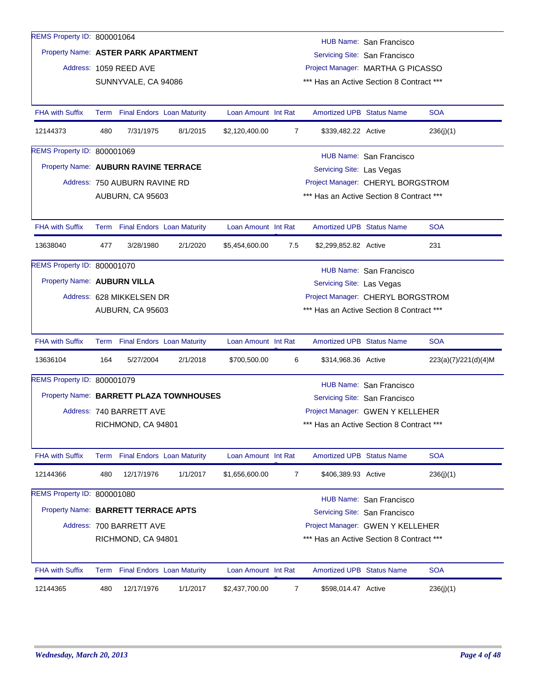| REMS Property ID: 800001064          |                                                                      |                               |                                         |                     |                |                                          |                                                                    |                      |
|--------------------------------------|----------------------------------------------------------------------|-------------------------------|-----------------------------------------|---------------------|----------------|------------------------------------------|--------------------------------------------------------------------|----------------------|
| Property Name: ASTER PARK APARTMENT  |                                                                      |                               |                                         |                     |                |                                          | HUB Name: San Francisco                                            |                      |
|                                      |                                                                      | Address: 1059 REED AVE        |                                         |                     |                |                                          | Servicing Site: San Francisco<br>Project Manager: MARTHA G PICASSO |                      |
|                                      |                                                                      | SUNNYVALE, CA 94086           |                                         |                     |                | *** Has an Active Section 8 Contract *** |                                                                    |                      |
|                                      |                                                                      |                               |                                         |                     |                |                                          |                                                                    |                      |
| <b>FHA with Suffix</b>               |                                                                      |                               | Term Final Endors Loan Maturity         | Loan Amount Int Rat |                | <b>Amortized UPB Status Name</b>         |                                                                    | <b>SOA</b>           |
| 12144373                             | 480                                                                  | 7/31/1975                     | 8/1/2015                                | \$2,120,400.00      | 7              | \$339,482.22 Active                      |                                                                    | 236(j)(1)            |
| REMS Property ID: 800001069          |                                                                      |                               |                                         |                     |                |                                          | HUB Name: San Francisco                                            |                      |
| Property Name: AUBURN RAVINE TERRACE |                                                                      |                               |                                         |                     |                | Servicing Site: Las Vegas                |                                                                    |                      |
|                                      |                                                                      | Address: 750 AUBURN RAVINE RD |                                         |                     |                |                                          | Project Manager: CHERYL BORGSTROM                                  |                      |
|                                      |                                                                      | AUBURN, CA 95603              |                                         |                     |                | *** Has an Active Section 8 Contract *** |                                                                    |                      |
|                                      |                                                                      |                               |                                         |                     |                |                                          |                                                                    |                      |
| <b>FHA with Suffix</b>               |                                                                      |                               | Term Final Endors Loan Maturity         | Loan Amount Int Rat |                | <b>Amortized UPB Status Name</b>         |                                                                    | <b>SOA</b>           |
| 13638040                             | 477                                                                  | 3/28/1980                     | 2/1/2020                                | \$5,454,600.00      | 7.5            | \$2,299,852.82 Active                    |                                                                    | 231                  |
| REMS Property ID: 800001070          |                                                                      |                               |                                         |                     |                |                                          | HUB Name: San Francisco                                            |                      |
| Property Name: AUBURN VILLA          |                                                                      |                               |                                         |                     |                | Servicing Site: Las Vegas                |                                                                    |                      |
|                                      |                                                                      | Address: 628 MIKKELSEN DR     |                                         |                     |                |                                          | Project Manager: CHERYL BORGSTROM                                  |                      |
|                                      |                                                                      | AUBURN, CA 95603              |                                         |                     |                | *** Has an Active Section 8 Contract *** |                                                                    |                      |
|                                      |                                                                      |                               |                                         |                     |                |                                          |                                                                    |                      |
| <b>FHA with Suffix</b>               |                                                                      |                               | Term Final Endors Loan Maturity         | Loan Amount Int Rat |                | <b>Amortized UPB Status Name</b>         |                                                                    | <b>SOA</b>           |
| 13636104                             | 164                                                                  | 5/27/2004                     | 2/1/2018                                | \$700,500.00        | 6              | \$314,968.36 Active                      |                                                                    | 223(a)(7)/221(d)(4)M |
| REMS Property ID: 800001079          |                                                                      |                               |                                         |                     |                |                                          | <b>HUB Name: San Francisco</b>                                     |                      |
|                                      |                                                                      |                               | Property Name: BARRETT PLAZA TOWNHOUSES |                     |                |                                          | Servicing Site: San Francisco                                      |                      |
|                                      |                                                                      | Address: 740 BARRETT AVE      |                                         |                     |                |                                          | Project Manager: GWEN Y KELLEHER                                   |                      |
|                                      |                                                                      | RICHMOND, CA 94801            |                                         |                     |                | *** Has an Active Section 8 Contract *** |                                                                    |                      |
|                                      |                                                                      |                               |                                         |                     |                |                                          |                                                                    |                      |
| <b>FHA with Suffix</b>               |                                                                      |                               | Term Final Endors Loan Maturity         | Loan Amount Int Rat |                | <b>Amortized UPB Status Name</b>         |                                                                    | <b>SOA</b>           |
| 12144366                             | 480                                                                  | 12/17/1976                    | 1/1/2017                                | \$1,656,600.00      | 7              | \$406,389.93 Active                      |                                                                    | 236(j)(1)            |
| REMS Property ID: 800001080          |                                                                      |                               |                                         |                     |                |                                          | <b>HUB Name: San Francisco</b>                                     |                      |
|                                      | Property Name: BARRETT TERRACE APTS<br>Servicing Site: San Francisco |                               |                                         |                     |                |                                          |                                                                    |                      |
|                                      |                                                                      | Address: 700 BARRETT AVE      |                                         |                     |                |                                          | Project Manager: GWEN Y KELLEHER                                   |                      |
|                                      | *** Has an Active Section 8 Contract ***<br>RICHMOND, CA 94801       |                               |                                         |                     |                |                                          |                                                                    |                      |
| <b>FHA with Suffix</b>               |                                                                      |                               | Term Final Endors Loan Maturity         | Loan Amount Int Rat |                | <b>Amortized UPB Status Name</b>         |                                                                    | <b>SOA</b>           |
| 12144365                             | 480                                                                  | 12/17/1976                    | 1/1/2017                                | \$2,437,700.00      | $\overline{7}$ | \$598,014.47 Active                      |                                                                    | 236(j)(1)            |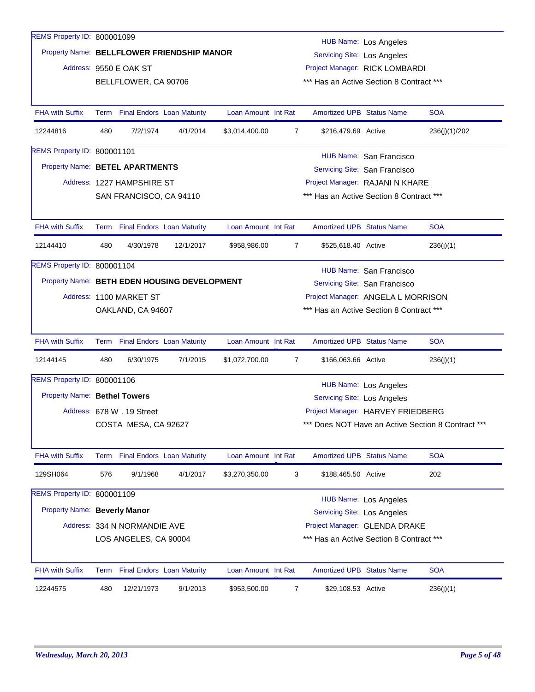| REMS Property ID: 800001099                  |     |                              |                                 |                     |                                 |                                                                                         | <b>HUB Name: Los Angeles</b>  |               |  |  |
|----------------------------------------------|-----|------------------------------|---------------------------------|---------------------|---------------------------------|-----------------------------------------------------------------------------------------|-------------------------------|---------------|--|--|
| Property Name: BELLFLOWER FRIENDSHIP MANOR   |     |                              |                                 |                     |                                 | Servicing Site: Los Angeles                                                             |                               |               |  |  |
|                                              |     | Address: 9550 E OAK ST       |                                 |                     |                                 | Project Manager: RICK LOMBARDI                                                          |                               |               |  |  |
|                                              |     | BELLFLOWER, CA 90706         |                                 |                     |                                 | *** Has an Active Section 8 Contract ***                                                |                               |               |  |  |
|                                              |     |                              |                                 |                     |                                 |                                                                                         |                               |               |  |  |
| <b>FHA with Suffix</b>                       |     |                              | Term Final Endors Loan Maturity | Loan Amount Int Rat |                                 | <b>Amortized UPB Status Name</b>                                                        |                               | <b>SOA</b>    |  |  |
| 12244816                                     | 480 | 7/2/1974                     | 4/1/2014                        | \$3,014,400.00      | $\overline{7}$                  | \$216,479.69 Active                                                                     |                               | 236(j)(1)/202 |  |  |
| REMS Property ID: 800001101                  |     |                              |                                 |                     |                                 |                                                                                         | HUB Name: San Francisco       |               |  |  |
| Property Name: BETEL APARTMENTS              |     |                              |                                 |                     | Servicing Site: San Francisco   |                                                                                         |                               |               |  |  |
|                                              |     | Address: 1227 HAMPSHIRE ST   |                                 |                     | Project Manager: RAJANI N KHARE |                                                                                         |                               |               |  |  |
|                                              |     | SAN FRANCISCO, CA 94110      |                                 |                     |                                 | *** Has an Active Section 8 Contract ***                                                |                               |               |  |  |
|                                              |     |                              |                                 |                     |                                 |                                                                                         |                               |               |  |  |
| <b>FHA with Suffix</b>                       |     |                              | Term Final Endors Loan Maturity | Loan Amount Int Rat |                                 | <b>Amortized UPB Status Name</b>                                                        |                               | <b>SOA</b>    |  |  |
| 12144410                                     | 480 | 4/30/1978                    | 12/1/2017                       | \$958,986.00        | 7                               | \$525,618.40 Active                                                                     |                               | 236(j)(1)     |  |  |
| REMS Property ID: 800001104                  |     |                              |                                 |                     |                                 |                                                                                         | HUB Name: San Francisco       |               |  |  |
| Property Name: BETH EDEN HOUSING DEVELOPMENT |     |                              |                                 |                     |                                 |                                                                                         | Servicing Site: San Francisco |               |  |  |
|                                              |     | Address: 1100 MARKET ST      |                                 |                     |                                 | Project Manager: ANGELA L MORRISON                                                      |                               |               |  |  |
|                                              |     | OAKLAND, CA 94607            |                                 |                     |                                 | *** Has an Active Section 8 Contract ***                                                |                               |               |  |  |
|                                              |     |                              |                                 |                     |                                 |                                                                                         |                               |               |  |  |
| <b>FHA with Suffix</b>                       |     |                              | Term Final Endors Loan Maturity | Loan Amount Int Rat |                                 | <b>Amortized UPB Status Name</b>                                                        |                               | <b>SOA</b>    |  |  |
| 12144145                                     | 480 | 6/30/1975                    | 7/1/2015                        | \$1,072,700.00      | $\overline{7}$                  | \$166,063.66 Active                                                                     |                               | 236(j)(1)     |  |  |
| REMS Property ID: 800001106                  |     |                              |                                 |                     |                                 |                                                                                         | <b>HUB Name: Los Angeles</b>  |               |  |  |
| <b>Property Name: Bethel Towers</b>          |     |                              |                                 |                     |                                 | Servicing Site: Los Angeles                                                             |                               |               |  |  |
|                                              |     | Address: 678 W . 19 Street   |                                 |                     |                                 |                                                                                         |                               |               |  |  |
|                                              |     | COSTA MESA, CA 92627         |                                 |                     |                                 | Project Manager: HARVEY FRIEDBERG<br>*** Does NOT Have an Active Section 8 Contract *** |                               |               |  |  |
|                                              |     |                              |                                 |                     |                                 |                                                                                         |                               |               |  |  |
| FHA with Suffix                              |     |                              | Term Final Endors Loan Maturity | Loan Amount Int Rat |                                 | <b>Amortized UPB Status Name</b>                                                        |                               | <b>SOA</b>    |  |  |
| 129SH064                                     | 576 | 9/1/1968                     | 4/1/2017                        | \$3,270,350.00      | 3                               | \$188,465.50 Active                                                                     |                               | 202           |  |  |
| REMS Property ID: 800001109                  |     |                              |                                 |                     |                                 |                                                                                         | HUB Name: Los Angeles         |               |  |  |
| Property Name: Beverly Manor                 |     |                              |                                 |                     |                                 | <b>Servicing Site: Los Angeles</b>                                                      |                               |               |  |  |
|                                              |     | Address: 334 N NORMANDIE AVE |                                 |                     |                                 | Project Manager: GLENDA DRAKE                                                           |                               |               |  |  |
|                                              |     | LOS ANGELES, CA 90004        |                                 |                     |                                 | *** Has an Active Section 8 Contract ***                                                |                               |               |  |  |
|                                              |     |                              |                                 |                     |                                 |                                                                                         |                               |               |  |  |
| <b>FHA with Suffix</b>                       |     |                              | Term Final Endors Loan Maturity | Loan Amount Int Rat |                                 | <b>Amortized UPB Status Name</b>                                                        |                               | <b>SOA</b>    |  |  |
| 12244575                                     | 480 | 12/21/1973                   | 9/1/2013                        | \$953,500.00        | 7                               | \$29,108.53 Active                                                                      |                               | 236(j)(1)     |  |  |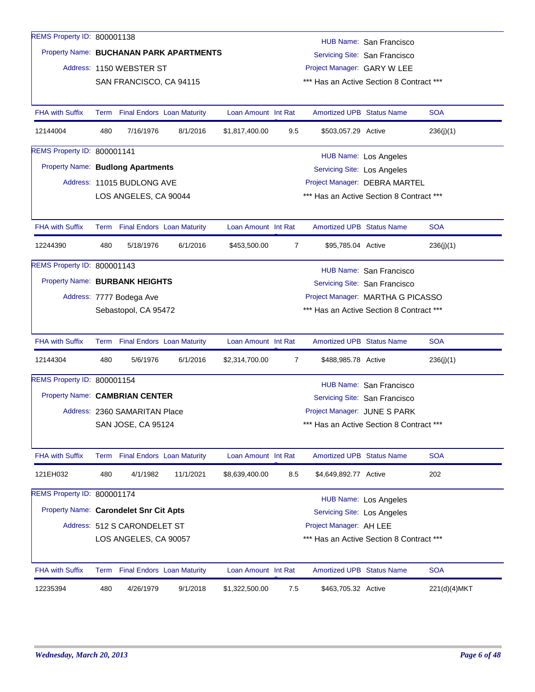| REMS Property ID: 800001138              |     |                                 |                                         |                     |                             |                                    | HUB Name: San Francisco                  |              |  |  |
|------------------------------------------|-----|---------------------------------|-----------------------------------------|---------------------|-----------------------------|------------------------------------|------------------------------------------|--------------|--|--|
|                                          |     |                                 | Property Name: BUCHANAN PARK APARTMENTS |                     |                             |                                    | Servicing Site: San Francisco            |              |  |  |
|                                          |     | Address: 1150 WEBSTER ST        |                                         |                     |                             | Project Manager: GARY W LEE        |                                          |              |  |  |
|                                          |     | SAN FRANCISCO, CA 94115         |                                         |                     |                             |                                    | *** Has an Active Section 8 Contract *** |              |  |  |
|                                          |     |                                 |                                         |                     |                             |                                    |                                          |              |  |  |
| <b>FHA with Suffix</b>                   |     | Term Final Endors Loan Maturity |                                         | Loan Amount Int Rat |                             | Amortized UPB Status Name          |                                          | <b>SOA</b>   |  |  |
| 12144004                                 | 480 | 7/16/1976                       | 8/1/2016                                | \$1,817,400.00      | 9.5                         | \$503,057.29 Active                |                                          | 236(j)(1)    |  |  |
| REMS Property ID: 800001141              |     |                                 |                                         |                     |                             |                                    | <b>HUB Name: Los Angeles</b>             |              |  |  |
| <b>Property Name: Budlong Apartments</b> |     |                                 |                                         |                     | Servicing Site: Los Angeles |                                    |                                          |              |  |  |
|                                          |     | Address: 11015 BUDLONG AVE      |                                         |                     |                             |                                    | Project Manager: DEBRA MARTEL            |              |  |  |
|                                          |     | LOS ANGELES, CA 90044           |                                         |                     |                             |                                    | *** Has an Active Section 8 Contract *** |              |  |  |
|                                          |     |                                 |                                         |                     |                             |                                    |                                          |              |  |  |
| <b>FHA with Suffix</b>                   |     | Term Final Endors Loan Maturity |                                         | Loan Amount Int Rat |                             | Amortized UPB Status Name          |                                          | <b>SOA</b>   |  |  |
| 12244390                                 | 480 | 5/18/1976                       | 6/1/2016                                | \$453,500.00        | 7                           | \$95,785.04 Active                 |                                          | 236(j)(1)    |  |  |
| <b>REMS Property ID: 800001143</b>       |     |                                 |                                         |                     |                             |                                    | HUB Name: San Francisco                  |              |  |  |
| Property Name: BURBANK HEIGHTS           |     |                                 |                                         |                     |                             |                                    | Servicing Site: San Francisco            |              |  |  |
|                                          |     | Address: 7777 Bodega Ave        |                                         |                     |                             | Project Manager: MARTHA G PICASSO  |                                          |              |  |  |
|                                          |     | Sebastopol, CA 95472            |                                         |                     |                             |                                    | *** Has an Active Section 8 Contract *** |              |  |  |
|                                          |     |                                 |                                         |                     |                             |                                    |                                          |              |  |  |
| <b>FHA with Suffix</b>                   |     | Term Final Endors Loan Maturity |                                         | Loan Amount Int Rat |                             | <b>Amortized UPB Status Name</b>   |                                          | <b>SOA</b>   |  |  |
| 12144304                                 | 480 | 5/6/1976                        | 6/1/2016                                | \$2,314,700.00      | 7                           | \$488,985.78 Active                |                                          | 236(j)(1)    |  |  |
| REMS Property ID: 800001154              |     |                                 |                                         |                     |                             |                                    | HUB Name: San Francisco                  |              |  |  |
| Property Name: CAMBRIAN CENTER           |     |                                 |                                         |                     |                             |                                    | Servicing Site: San Francisco            |              |  |  |
|                                          |     | Address: 2360 SAMARITAN Place   |                                         |                     |                             | Project Manager: JUNE S PARK       |                                          |              |  |  |
|                                          |     | SAN JOSE, CA 95124              |                                         |                     |                             |                                    | *** Has an Active Section 8 Contract *** |              |  |  |
|                                          |     |                                 |                                         |                     |                             |                                    |                                          |              |  |  |
| <b>FHA with Suffix</b>                   |     | Term Final Endors Loan Maturity |                                         | Loan Amount Int Rat |                             | <b>Amortized UPB Status Name</b>   |                                          | <b>SOA</b>   |  |  |
| 121EH032                                 | 480 | 4/1/1982                        | 11/1/2021                               | \$8,639,400.00      | 8.5                         | \$4,649,892.77 Active              |                                          | 202          |  |  |
| REMS Property ID: 800001174              |     |                                 |                                         |                     |                             |                                    |                                          |              |  |  |
| Property Name: Carondelet Snr Cit Apts   |     |                                 |                                         |                     |                             | <b>Servicing Site: Los Angeles</b> | <b>HUB Name: Los Angeles</b>             |              |  |  |
|                                          |     | Address: 512 S CARONDELET ST    |                                         |                     |                             | Project Manager: AH LEE            |                                          |              |  |  |
|                                          |     | LOS ANGELES, CA 90057           |                                         |                     |                             |                                    | *** Has an Active Section 8 Contract *** |              |  |  |
|                                          |     |                                 |                                         |                     |                             |                                    |                                          |              |  |  |
| <b>FHA with Suffix</b>                   |     | Term Final Endors Loan Maturity |                                         | Loan Amount Int Rat |                             | <b>Amortized UPB Status Name</b>   |                                          | <b>SOA</b>   |  |  |
| 12235394                                 | 480 | 4/26/1979                       | 9/1/2018                                | \$1,322,500.00      | 7.5                         | \$463,705.32 Active                |                                          | 221(d)(4)MKT |  |  |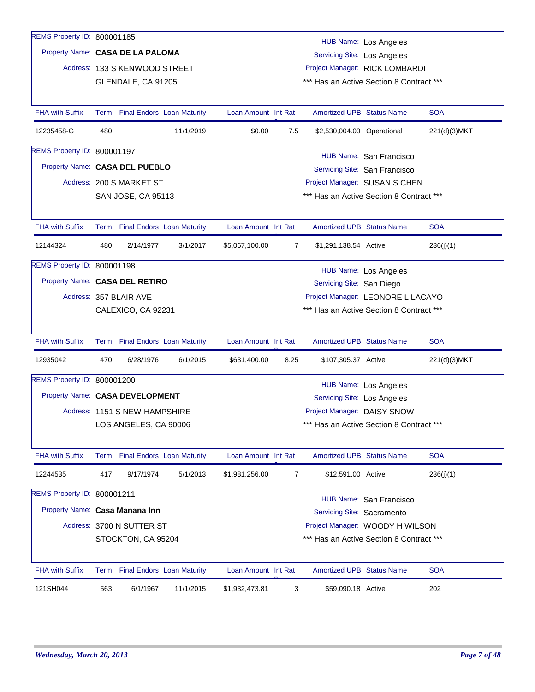| REMS Property ID: 800001185        |                                                                |                                 |           |                     |      |                                          | HUB Name: Los Angeles             |              |
|------------------------------------|----------------------------------------------------------------|---------------------------------|-----------|---------------------|------|------------------------------------------|-----------------------------------|--------------|
| Property Name: CASA DE LA PALOMA   |                                                                |                                 |           |                     |      | Servicing Site: Los Angeles              |                                   |              |
|                                    |                                                                | Address: 133 S KENWOOD STREET   |           |                     |      |                                          | Project Manager: RICK LOMBARDI    |              |
|                                    |                                                                | GLENDALE, CA 91205              |           |                     |      | *** Has an Active Section 8 Contract *** |                                   |              |
|                                    |                                                                |                                 |           |                     |      |                                          |                                   |              |
| <b>FHA with Suffix</b>             |                                                                | Term Final Endors Loan Maturity |           | Loan Amount Int Rat |      | Amortized UPB Status Name                |                                   | <b>SOA</b>   |
| 12235458-G                         | 480                                                            |                                 | 11/1/2019 | \$0.00              | 7.5  | \$2,530,004.00 Operational               |                                   | 221(d)(3)MKT |
| REMS Property ID: 800001197        |                                                                |                                 |           |                     |      |                                          | HUB Name: San Francisco           |              |
| Property Name: CASA DEL PUEBLO     |                                                                |                                 |           |                     |      |                                          | Servicing Site: San Francisco     |              |
|                                    |                                                                | Address: 200 S MARKET ST        |           |                     |      |                                          | Project Manager: SUSAN S CHEN     |              |
|                                    | *** Has an Active Section 8 Contract ***<br>SAN JOSE, CA 95113 |                                 |           |                     |      |                                          |                                   |              |
|                                    |                                                                |                                 |           |                     |      |                                          |                                   |              |
| <b>FHA with Suffix</b>             |                                                                | Term Final Endors Loan Maturity |           | Loan Amount Int Rat |      | Amortized UPB Status Name                |                                   | <b>SOA</b>   |
| 12144324                           | 480                                                            | 2/14/1977                       | 3/1/2017  | \$5,067,100.00      | 7    | \$1,291,138.54 Active                    |                                   | 236(j)(1)    |
| <b>REMS Property ID: 800001198</b> |                                                                |                                 |           |                     |      |                                          |                                   |              |
| Property Name: CASA DEL RETIRO     |                                                                |                                 |           |                     |      |                                          | <b>HUB Name: Los Angeles</b>      |              |
|                                    |                                                                |                                 |           |                     |      | Servicing Site: San Diego                |                                   |              |
|                                    |                                                                | Address: 357 BLAIR AVE          |           |                     |      |                                          | Project Manager: LEONORE L LACAYO |              |
|                                    |                                                                | CALEXICO, CA 92231              |           |                     |      | *** Has an Active Section 8 Contract *** |                                   |              |
| <b>FHA with Suffix</b>             |                                                                | Term Final Endors Loan Maturity |           | Loan Amount Int Rat |      | <b>Amortized UPB Status Name</b>         |                                   | <b>SOA</b>   |
| 12935042                           | 470                                                            | 6/28/1976                       | 6/1/2015  | \$631,400.00        | 8.25 | \$107,305.37 Active                      |                                   | 221(d)(3)MKT |
| REMS Property ID: 800001200        |                                                                |                                 |           |                     |      |                                          | <b>HUB Name: Los Angeles</b>      |              |
| Property Name: CASA DEVELOPMENT    |                                                                |                                 |           |                     |      | Servicing Site: Los Angeles              |                                   |              |
|                                    |                                                                | Address: 1151 S NEW HAMPSHIRE   |           |                     |      | Project Manager: DAISY SNOW              |                                   |              |
|                                    |                                                                | LOS ANGELES, CA 90006           |           |                     |      | *** Has an Active Section 8 Contract *** |                                   |              |
|                                    |                                                                |                                 |           |                     |      |                                          |                                   |              |
| <b>FHA with Suffix</b>             |                                                                | Term Final Endors Loan Maturity |           | Loan Amount Int Rat |      | <b>Amortized UPB Status Name</b>         |                                   | <b>SOA</b>   |
| 12244535                           | 417                                                            | 9/17/1974                       | 5/1/2013  | \$1,981,256.00      | 7    | \$12,591.00 Active                       |                                   | 236(j)(1)    |
| REMS Property ID: 800001211        |                                                                |                                 |           |                     |      |                                          | <b>HUB Name: San Francisco</b>    |              |
| Property Name: Casa Manana Inn     |                                                                |                                 |           |                     |      | Servicing Site: Sacramento               |                                   |              |
|                                    |                                                                | Address: 3700 N SUTTER ST       |           |                     |      |                                          | Project Manager: WOODY H WILSON   |              |
|                                    |                                                                | STOCKTON, CA 95204              |           |                     |      | *** Has an Active Section 8 Contract *** |                                   |              |
|                                    |                                                                |                                 |           |                     |      |                                          |                                   |              |
| FHA with Suffix                    |                                                                | Term Final Endors Loan Maturity |           | Loan Amount Int Rat |      | Amortized UPB Status Name                |                                   | <b>SOA</b>   |
| 121SH044                           | 563                                                            | 6/1/1967                        | 11/1/2015 | \$1,932,473.81      | 3    | \$59,090.18 Active                       |                                   | 202          |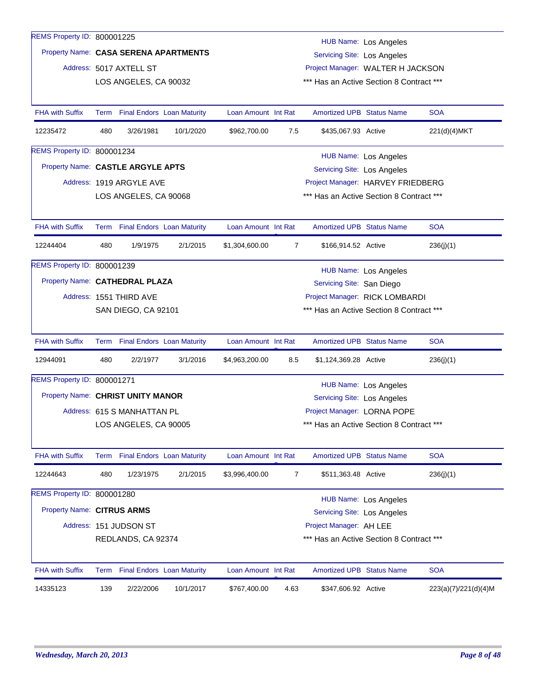| 14335123                              | 139 | 2/22/2006                                        | 10/1/2017 | \$767,400.00        | 4.63           | \$347,606.92 Active                                                           |                              | 223(a)(7)/221(d)(4)M |  |  |
|---------------------------------------|-----|--------------------------------------------------|-----------|---------------------|----------------|-------------------------------------------------------------------------------|------------------------------|----------------------|--|--|
| <b>FHA with Suffix</b>                |     | Term Final Endors Loan Maturity                  |           | Loan Amount Int Rat |                | Amortized UPB Status Name                                                     |                              | <b>SOA</b>           |  |  |
|                                       |     | REDLANDS, CA 92374                               |           |                     |                | *** Has an Active Section 8 Contract ***                                      |                              |                      |  |  |
|                                       |     | Address: 151 JUDSON ST                           |           |                     |                | Project Manager: AH LEE                                                       |                              |                      |  |  |
| Property Name: CITRUS ARMS            |     |                                                  |           |                     |                | <b>Servicing Site: Los Angeles</b>                                            |                              |                      |  |  |
| REMS Property ID: 800001280           |     |                                                  |           |                     |                |                                                                               | <b>HUB Name: Los Angeles</b> |                      |  |  |
| 12244643                              | 480 | 1/23/1975                                        | 2/1/2015  | \$3,996,400.00      | 7              | \$511,363.48 Active                                                           |                              | 236(j)(1)            |  |  |
| FHA with Suffix                       |     | Term Final Endors Loan Maturity                  |           | Loan Amount Int Rat |                | Amortized UPB Status Name                                                     |                              | <b>SOA</b>           |  |  |
|                                       |     | LOS ANGELES, CA 90005                            |           |                     |                | *** Has an Active Section 8 Contract ***                                      |                              |                      |  |  |
|                                       |     | Address: 615 S MANHATTAN PL                      |           |                     |                | Project Manager: LORNA POPE                                                   |                              |                      |  |  |
| Property Name: CHRIST UNITY MANOR     |     |                                                  |           |                     |                | Servicing Site: Los Angeles                                                   |                              |                      |  |  |
| REMS Property ID: 800001271           |     |                                                  |           |                     |                |                                                                               | <b>HUB Name: Los Angeles</b> |                      |  |  |
| 12944091                              | 480 | 2/2/1977                                         | 3/1/2016  | \$4,963,200.00      | 8.5            | \$1,124,369.28 Active                                                         |                              | 236(j)(1)            |  |  |
| <b>FHA with Suffix</b>                |     | Term Final Endors Loan Maturity                  |           | Loan Amount Int Rat |                | Amortized UPB Status Name                                                     |                              | <b>SOA</b>           |  |  |
|                                       |     |                                                  |           |                     |                |                                                                               |                              |                      |  |  |
|                                       |     | SAN DIEGO, CA 92101                              |           |                     |                | *** Has an Active Section 8 Contract ***                                      |                              |                      |  |  |
|                                       |     | Address: 1551 THIRD AVE                          |           |                     |                | Project Manager: RICK LOMBARDI                                                |                              |                      |  |  |
| Property Name: CATHEDRAL PLAZA        |     |                                                  |           |                     |                | Servicing Site: San Diego                                                     |                              |                      |  |  |
| <b>REMS Property ID: 800001239</b>    |     |                                                  |           |                     |                |                                                                               | <b>HUB Name: Los Angeles</b> |                      |  |  |
| 12244404                              | 480 | 1/9/1975                                         | 2/1/2015  | \$1,304,600.00      | $\overline{7}$ | \$166,914.52 Active                                                           |                              | 236(j)(1)            |  |  |
| <b>FHA with Suffix</b>                |     | Term Final Endors Loan Maturity                  |           | Loan Amount Int Rat |                | <b>Amortized UPB Status Name</b>                                              |                              | <b>SOA</b>           |  |  |
|                                       |     |                                                  |           |                     |                |                                                                               |                              |                      |  |  |
|                                       |     | LOS ANGELES, CA 90068                            |           |                     |                | *** Has an Active Section 8 Contract ***                                      |                              |                      |  |  |
|                                       |     | Address: 1919 ARGYLE AVE                         |           |                     |                | Project Manager: HARVEY FRIEDBERG                                             |                              |                      |  |  |
| Property Name: CASTLE ARGYLE APTS     |     |                                                  |           |                     |                | <b>Servicing Site: Los Angeles</b>                                            |                              |                      |  |  |
| REMS Property ID: 800001234           |     |                                                  |           |                     |                |                                                                               | <b>HUB Name: Los Angeles</b> |                      |  |  |
| 12235472                              | 480 | 3/26/1981                                        | 10/1/2020 | \$962,700.00        | 7.5            | \$435,067.93 Active                                                           |                              | 221(d)(4)MKT         |  |  |
| <b>FHA with Suffix</b>                |     | Term Final Endors Loan Maturity                  |           | Loan Amount Int Rat |                | <b>Amortized UPB Status Name</b>                                              |                              | <b>SOA</b>           |  |  |
|                                       |     |                                                  |           |                     |                |                                                                               |                              |                      |  |  |
|                                       |     | Address: 5017 AXTELL ST<br>LOS ANGELES, CA 90032 |           |                     |                | Project Manager: WALTER H JACKSON<br>*** Has an Active Section 8 Contract *** |                              |                      |  |  |
|                                       |     |                                                  |           |                     |                | <b>Servicing Site: Los Angeles</b>                                            |                              |                      |  |  |
| Property Name: CASA SERENA APARTMENTS |     |                                                  |           |                     |                |                                                                               | <b>HUB Name: Los Angeles</b> |                      |  |  |
| REMS Property ID: 800001225           |     |                                                  |           |                     |                |                                                                               |                              |                      |  |  |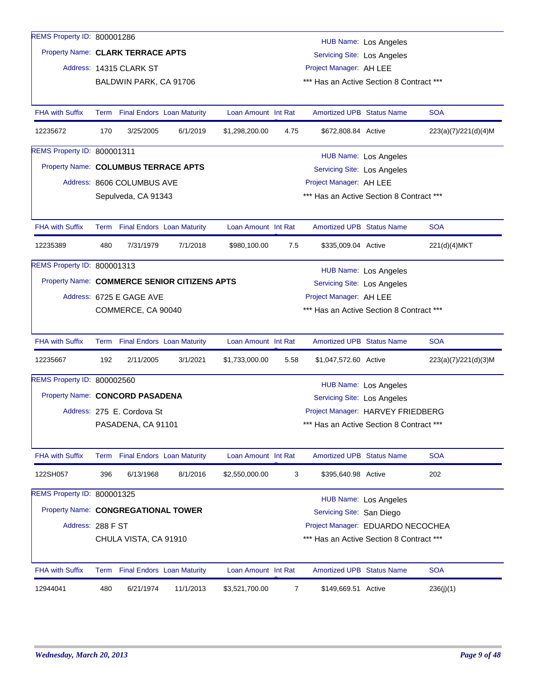| REMS Property ID: 800001286          |                                                                  |                            |                                              |                     |                |                                          |                              |                      |
|--------------------------------------|------------------------------------------------------------------|----------------------------|----------------------------------------------|---------------------|----------------|------------------------------------------|------------------------------|----------------------|
| Property Name: CLARK TERRACE APTS    |                                                                  |                            |                                              |                     |                |                                          | HUB Name: Los Angeles        |                      |
|                                      |                                                                  |                            |                                              |                     |                | Servicing Site: Los Angeles              |                              |                      |
|                                      |                                                                  | Address: 14315 CLARK ST    |                                              |                     |                | Project Manager: AH LEE                  |                              |                      |
|                                      |                                                                  | BALDWIN PARK, CA 91706     |                                              |                     |                | *** Has an Active Section 8 Contract *** |                              |                      |
| <b>FHA with Suffix</b>               |                                                                  |                            | Term Final Endors Loan Maturity              | Loan Amount Int Rat |                | <b>Amortized UPB Status Name</b>         |                              | <b>SOA</b>           |
| 12235672                             | 170                                                              | 3/25/2005                  | 6/1/2019                                     | \$1,298,200.00      | 4.75           | \$672,808.84 Active                      |                              | 223(a)(7)/221(d)(4)M |
| REMS Property ID: 800001311          |                                                                  |                            |                                              |                     |                |                                          | HUB Name: Los Angeles        |                      |
| Property Name: COLUMBUS TERRACE APTS |                                                                  |                            |                                              |                     |                | Servicing Site: Los Angeles              |                              |                      |
|                                      |                                                                  | Address: 8606 COLUMBUS AVE |                                              |                     |                | Project Manager: AH LEE                  |                              |                      |
|                                      |                                                                  | Sepulveda, CA 91343        |                                              |                     |                | *** Has an Active Section 8 Contract *** |                              |                      |
|                                      |                                                                  |                            |                                              |                     |                |                                          |                              |                      |
| <b>FHA with Suffix</b>               |                                                                  |                            | Term Final Endors Loan Maturity              | Loan Amount Int Rat |                | <b>Amortized UPB Status Name</b>         |                              | <b>SOA</b>           |
| 12235389                             | 480                                                              | 7/31/1979                  | 7/1/2018                                     | \$980,100.00        | 7.5            | \$335,009.04 Active                      |                              | 221(d)(4)MKT         |
| REMS Property ID: 800001313          |                                                                  |                            |                                              |                     |                |                                          | <b>HUB Name: Los Angeles</b> |                      |
|                                      |                                                                  |                            | Property Name: COMMERCE SENIOR CITIZENS APTS |                     |                | Servicing Site: Los Angeles              |                              |                      |
|                                      |                                                                  | Address: 6725 E GAGE AVE   |                                              |                     |                | Project Manager: AH LEE                  |                              |                      |
|                                      |                                                                  | COMMERCE, CA 90040         |                                              |                     |                | *** Has an Active Section 8 Contract *** |                              |                      |
|                                      |                                                                  |                            |                                              |                     |                |                                          |                              |                      |
| <b>FHA with Suffix</b>               |                                                                  |                            | Term Final Endors Loan Maturity              | Loan Amount Int Rat |                | <b>Amortized UPB Status Name</b>         |                              | <b>SOA</b>           |
| 12235667                             | 192                                                              | 2/11/2005                  | 3/1/2021                                     | \$1,733,000.00      | 5.58           | \$1,047,572.60 Active                    |                              | 223(a)(7)/221(d)(3)M |
| REMS Property ID: 800002560          |                                                                  |                            |                                              |                     |                |                                          | HUB Name: Los Angeles        |                      |
| Property Name: CONCORD PASADENA      |                                                                  |                            |                                              |                     |                | Servicing Site: Los Angeles              |                              |                      |
|                                      |                                                                  | Address: 275 E. Cordova St |                                              |                     |                | Project Manager: HARVEY FRIEDBERG        |                              |                      |
|                                      |                                                                  | PASADENA, CA 91101         |                                              |                     |                | *** Has an Active Section 8 Contract *** |                              |                      |
|                                      |                                                                  |                            |                                              |                     |                |                                          |                              |                      |
| <b>FHA with Suffix</b>               | Term                                                             |                            | <b>Final Endors Loan Maturity</b>            | Loan Amount Int Rat |                | <b>Amortized UPB Status Name</b>         |                              | <b>SOA</b>           |
| 122SH057                             | 396                                                              | 6/13/1968                  | 8/1/2016                                     | \$2,550,000.00      | 3              | \$395,640.98 Active                      |                              | 202                  |
| REMS Property ID: 800001325          |                                                                  |                            |                                              |                     |                |                                          | HUB Name: Los Angeles        |                      |
|                                      | Property Name: CONGREGATIONAL TOWER<br>Servicing Site: San Diego |                            |                                              |                     |                |                                          |                              |                      |
| Address: 288 F ST                    |                                                                  |                            |                                              |                     |                | Project Manager: EDUARDO NECOCHEA        |                              |                      |
|                                      |                                                                  | CHULA VISTA, CA 91910      |                                              |                     |                | *** Has an Active Section 8 Contract *** |                              |                      |
|                                      |                                                                  |                            |                                              |                     |                |                                          |                              |                      |
| <b>FHA with Suffix</b>               |                                                                  |                            | Term Final Endors Loan Maturity              | Loan Amount Int Rat |                | <b>Amortized UPB Status Name</b>         |                              | <b>SOA</b>           |
| 12944041                             | 480                                                              | 6/21/1974                  | 11/1/2013                                    | \$3,521,700.00      | $\overline{7}$ | \$149,669.51 Active                      |                              | 236(j)(1)            |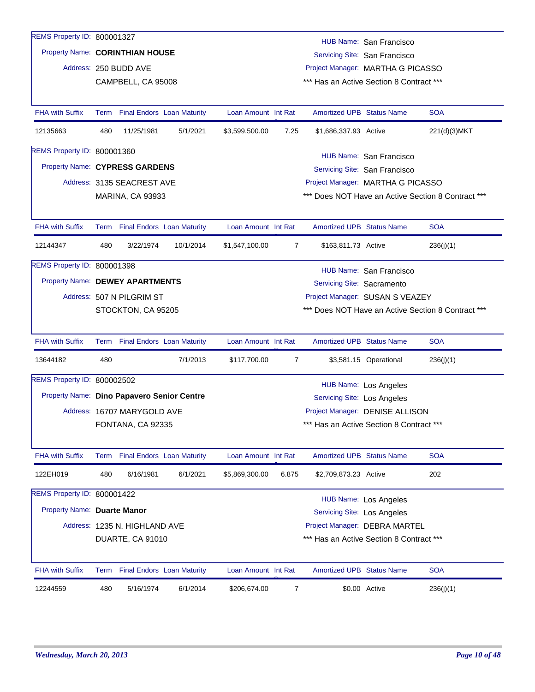| REMS Property ID: 800001327                |                                                                                            | HUB Name: San Francisco         |                                   |                     |                |                                                                             |                               |                                                    |  |  |  |  |
|--------------------------------------------|--------------------------------------------------------------------------------------------|---------------------------------|-----------------------------------|---------------------|----------------|-----------------------------------------------------------------------------|-------------------------------|----------------------------------------------------|--|--|--|--|
| Property Name: CORINTHIAN HOUSE            |                                                                                            |                                 |                                   |                     |                |                                                                             | Servicing Site: San Francisco |                                                    |  |  |  |  |
|                                            |                                                                                            | Address: 250 BUDD AVE           |                                   |                     |                | Project Manager: MARTHA G PICASSO                                           |                               |                                                    |  |  |  |  |
|                                            |                                                                                            | CAMPBELL, CA 95008              |                                   |                     |                | *** Has an Active Section 8 Contract ***                                    |                               |                                                    |  |  |  |  |
|                                            |                                                                                            |                                 |                                   |                     |                |                                                                             |                               |                                                    |  |  |  |  |
| <b>FHA with Suffix</b>                     |                                                                                            | Term Final Endors Loan Maturity |                                   | Loan Amount Int Rat |                | <b>Amortized UPB Status Name</b>                                            |                               | <b>SOA</b>                                         |  |  |  |  |
| 12135663                                   | 480                                                                                        | 11/25/1981                      | 5/1/2021                          | \$3,599,500.00      | 7.25           | \$1,686,337.93 Active                                                       |                               | 221(d)(3)MKT                                       |  |  |  |  |
| REMS Property ID: 800001360                |                                                                                            |                                 |                                   |                     |                |                                                                             | HUB Name: San Francisco       |                                                    |  |  |  |  |
| Property Name: CYPRESS GARDENS             |                                                                                            |                                 |                                   |                     |                |                                                                             | Servicing Site: San Francisco |                                                    |  |  |  |  |
|                                            |                                                                                            | Address: 3135 SEACREST AVE      |                                   |                     |                | Project Manager: MARTHA G PICASSO                                           |                               |                                                    |  |  |  |  |
|                                            |                                                                                            | <b>MARINA, CA 93933</b>         |                                   |                     |                |                                                                             |                               | *** Does NOT Have an Active Section 8 Contract *** |  |  |  |  |
|                                            |                                                                                            |                                 |                                   |                     |                |                                                                             |                               |                                                    |  |  |  |  |
| <b>FHA with Suffix</b>                     |                                                                                            | Term Final Endors Loan Maturity |                                   | Loan Amount Int Rat |                | <b>Amortized UPB Status Name</b>                                            |                               | <b>SOA</b>                                         |  |  |  |  |
| 12144347                                   | 480                                                                                        | 3/22/1974                       | 10/1/2014                         | \$1,547,100.00      | $\overline{7}$ | \$163,811.73 Active                                                         |                               | 236(j)(1)                                          |  |  |  |  |
| REMS Property ID: 800001398                |                                                                                            |                                 |                                   |                     |                |                                                                             | HUB Name: San Francisco       |                                                    |  |  |  |  |
| Property Name: DEWEY APARTMENTS            |                                                                                            |                                 |                                   |                     |                | Servicing Site: Sacramento                                                  |                               |                                                    |  |  |  |  |
|                                            |                                                                                            | Address: 507 N PILGRIM ST       |                                   |                     |                | Project Manager: SUSAN S VEAZEY                                             |                               |                                                    |  |  |  |  |
|                                            |                                                                                            | STOCKTON, CA 95205              |                                   |                     |                |                                                                             |                               | *** Does NOT Have an Active Section 8 Contract *** |  |  |  |  |
|                                            |                                                                                            |                                 |                                   |                     |                |                                                                             |                               |                                                    |  |  |  |  |
| <b>FHA with Suffix</b>                     |                                                                                            | Term Final Endors Loan Maturity |                                   | Loan Amount Int Rat |                | <b>Amortized UPB Status Name</b>                                            |                               | <b>SOA</b>                                         |  |  |  |  |
| 13644182                                   | 480                                                                                        |                                 | 7/1/2013                          | \$117,700.00        | $\overline{7}$ |                                                                             | \$3,581.15 Operational        | 236(j)(1)                                          |  |  |  |  |
| REMS Property ID: 800002502                |                                                                                            |                                 |                                   |                     |                |                                                                             | HUB Name: Los Angeles         |                                                    |  |  |  |  |
| Property Name: Dino Papavero Senior Centre |                                                                                            |                                 |                                   |                     |                | Servicing Site: Los Angeles                                                 |                               |                                                    |  |  |  |  |
|                                            |                                                                                            | Address: 16707 MARYGOLD AVE     |                                   |                     |                |                                                                             |                               |                                                    |  |  |  |  |
|                                            |                                                                                            | FONTANA, CA 92335               |                                   |                     |                | Project Manager: DENISE ALLISON<br>*** Has an Active Section 8 Contract *** |                               |                                                    |  |  |  |  |
|                                            |                                                                                            |                                 |                                   |                     |                |                                                                             |                               |                                                    |  |  |  |  |
| <b>FHA with Suffix</b>                     |                                                                                            | Term Final Endors Loan Maturity |                                   | Loan Amount Int Rat |                | <b>Amortized UPB Status Name</b>                                            |                               | <b>SOA</b>                                         |  |  |  |  |
| 122EH019                                   | 480                                                                                        | 6/16/1981                       | 6/1/2021                          | \$5,869,300.00      | 6.875          | \$2,709,873.23 Active                                                       |                               | 202                                                |  |  |  |  |
| REMS Property ID: 800001422                |                                                                                            |                                 |                                   |                     |                |                                                                             |                               |                                                    |  |  |  |  |
|                                            | HUB Name: Los Angeles<br>Property Name: Duarte Manor<br><b>Servicing Site: Los Angeles</b> |                                 |                                   |                     |                |                                                                             |                               |                                                    |  |  |  |  |
|                                            |                                                                                            | Address: 1235 N. HIGHLAND AVE   |                                   |                     |                | Project Manager: DEBRA MARTEL                                               |                               |                                                    |  |  |  |  |
|                                            |                                                                                            | DUARTE, CA 91010                |                                   |                     |                | *** Has an Active Section 8 Contract ***                                    |                               |                                                    |  |  |  |  |
|                                            |                                                                                            |                                 |                                   |                     |                |                                                                             |                               |                                                    |  |  |  |  |
| <b>FHA with Suffix</b>                     | Term                                                                                       |                                 | <b>Final Endors Loan Maturity</b> | Loan Amount Int Rat |                | <b>Amortized UPB Status Name</b>                                            |                               | <b>SOA</b>                                         |  |  |  |  |
| 12244559                                   | 480                                                                                        | 5/16/1974                       | 6/1/2014                          | \$206,674.00        | $\overline{7}$ |                                                                             | \$0.00 Active                 | 236(j)(1)                                          |  |  |  |  |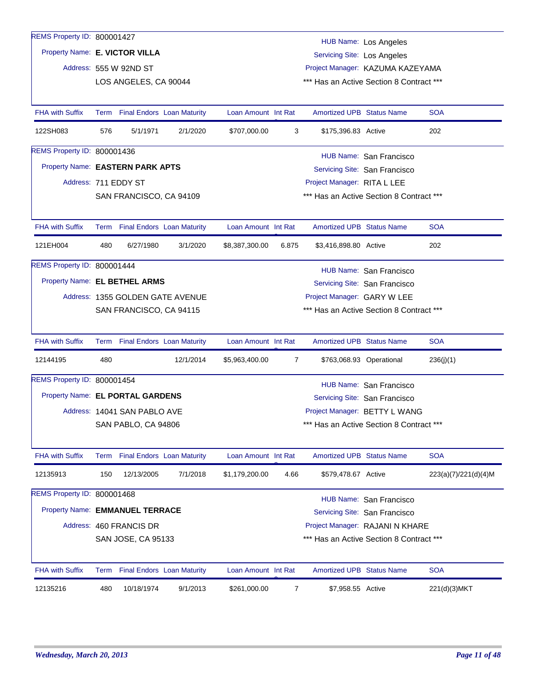| REMS Property ID: 800001427      |      |                              |                                   |                     |                |                                    | <b>HUB Name: Los Angeles</b>             |                      |  |
|----------------------------------|------|------------------------------|-----------------------------------|---------------------|----------------|------------------------------------|------------------------------------------|----------------------|--|
| Property Name: E. VICTOR VILLA   |      |                              |                                   |                     |                | <b>Servicing Site: Los Angeles</b> |                                          |                      |  |
|                                  |      | Address: 555 W 92ND ST       |                                   |                     |                |                                    | Project Manager: KAZUMA KAZEYAMA         |                      |  |
|                                  |      | LOS ANGELES, CA 90044        |                                   |                     |                |                                    | *** Has an Active Section 8 Contract *** |                      |  |
|                                  |      |                              |                                   |                     |                |                                    |                                          |                      |  |
| <b>FHA with Suffix</b>           |      |                              | Term Final Endors Loan Maturity   | Loan Amount Int Rat |                | <b>Amortized UPB Status Name</b>   |                                          | <b>SOA</b>           |  |
| 122SH083                         | 576  | 5/1/1971                     | 2/1/2020                          | \$707,000.00        | 3              | \$175,396.83 Active                |                                          | 202                  |  |
| REMS Property ID: 800001436      |      |                              |                                   |                     |                |                                    | HUB Name: San Francisco                  |                      |  |
| Property Name: EASTERN PARK APTS |      |                              |                                   |                     |                | Servicing Site: San Francisco      |                                          |                      |  |
|                                  |      | Address: 711 EDDY ST         |                                   |                     |                | Project Manager: RITA L LEE        |                                          |                      |  |
|                                  |      | SAN FRANCISCO, CA 94109      |                                   |                     |                |                                    | *** Has an Active Section 8 Contract *** |                      |  |
|                                  |      |                              |                                   |                     |                |                                    |                                          |                      |  |
| FHA with Suffix                  |      |                              | Term Final Endors Loan Maturity   | Loan Amount Int Rat |                | <b>Amortized UPB Status Name</b>   |                                          | <b>SOA</b>           |  |
| 121EH004                         | 480  | 6/27/1980                    | 3/1/2020                          | \$8,387,300.00      | 6.875          | \$3,416,898.80 Active              |                                          | 202                  |  |
| REMS Property ID: 800001444      |      |                              |                                   |                     |                |                                    | HUB Name: San Francisco                  |                      |  |
| Property Name: EL BETHEL ARMS    |      |                              |                                   |                     |                |                                    | Servicing Site: San Francisco            |                      |  |
|                                  |      |                              | Address: 1355 GOLDEN GATE AVENUE  |                     |                | Project Manager: GARY W LEE        |                                          |                      |  |
|                                  |      | SAN FRANCISCO, CA 94115      |                                   |                     |                |                                    | *** Has an Active Section 8 Contract *** |                      |  |
|                                  |      |                              |                                   |                     |                |                                    |                                          |                      |  |
| FHA with Suffix                  |      |                              | Term Final Endors Loan Maturity   | Loan Amount Int Rat |                | <b>Amortized UPB Status Name</b>   |                                          | <b>SOA</b>           |  |
| 12144195                         | 480  |                              | 12/1/2014                         | \$5,963,400.00      | 7              |                                    | \$763,068.93 Operational                 | 236(j)(1)            |  |
| REMS Property ID: 800001454      |      |                              |                                   |                     |                |                                    | HUB Name: San Francisco                  |                      |  |
| Property Name: EL PORTAL GARDENS |      |                              |                                   |                     |                |                                    | Servicing Site: San Francisco            |                      |  |
|                                  |      | Address: 14041 SAN PABLO AVE |                                   |                     |                |                                    | Project Manager: BETTY L WANG            |                      |  |
|                                  |      | SAN PABLO, CA 94806          |                                   |                     |                |                                    | *** Has an Active Section 8 Contract *** |                      |  |
|                                  |      |                              |                                   |                     |                |                                    |                                          |                      |  |
| <b>FHA with Suffix</b>           |      |                              | Term Final Endors Loan Maturity   | Loan Amount Int Rat |                | <b>Amortized UPB Status Name</b>   |                                          | <b>SOA</b>           |  |
| 12135913                         | 150  | 12/13/2005                   | 7/1/2018                          | \$1,179,200.00      | 4.66           | \$579,478.67 Active                |                                          | 223(a)(7)/221(d)(4)M |  |
| REMS Property ID: 800001468      |      |                              |                                   |                     |                |                                    | HUB Name: San Francisco                  |                      |  |
| Property Name: EMMANUEL TERRACE  |      |                              |                                   |                     |                |                                    | Servicing Site: San Francisco            |                      |  |
|                                  |      | Address: 460 FRANCIS DR      |                                   |                     |                |                                    | Project Manager: RAJANI N KHARE          |                      |  |
|                                  |      | SAN JOSE, CA 95133           |                                   |                     |                |                                    | *** Has an Active Section 8 Contract *** |                      |  |
|                                  |      |                              |                                   |                     |                |                                    |                                          |                      |  |
| <b>FHA with Suffix</b>           | Term |                              | <b>Final Endors Loan Maturity</b> | Loan Amount Int Rat |                | <b>Amortized UPB Status Name</b>   |                                          | <b>SOA</b>           |  |
| 12135216                         | 480  | 10/18/1974                   | 9/1/2013                          | \$261,000.00        | $\overline{7}$ | \$7,958.55 Active                  |                                          | 221(d)(3)MKT         |  |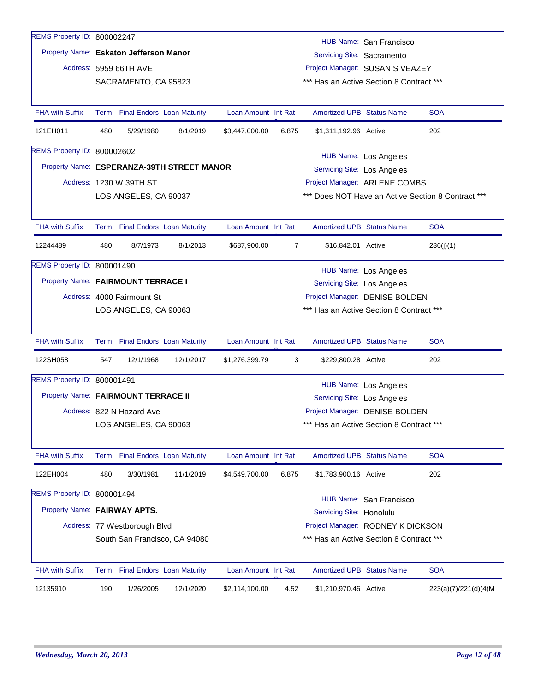| 12135910                                   | 190  | 1/26/2005                       | 12/1/2020                         | \$2,114,100.00      | 4.52  | \$1,210,970.46 Active                                                         |                              | 223(a)(7)/221(d)(4)M                               |
|--------------------------------------------|------|---------------------------------|-----------------------------------|---------------------|-------|-------------------------------------------------------------------------------|------------------------------|----------------------------------------------------|
| FHA with Suffix                            | Term |                                 | <b>Final Endors Loan Maturity</b> | Loan Amount Int Rat |       | Amortized UPB Status Name                                                     |                              | <b>SOA</b>                                         |
|                                            |      |                                 |                                   |                     |       |                                                                               |                              |                                                    |
|                                            |      | Address: 77 Westborough Blvd    | South San Francisco, CA 94080     |                     |       | Project Manager: RODNEY K DICKSON<br>*** Has an Active Section 8 Contract *** |                              |                                                    |
|                                            |      |                                 |                                   |                     |       | Servicing Site: Honolulu                                                      |                              |                                                    |
| Property Name: FAIRWAY APTS.               |      |                                 |                                   |                     |       |                                                                               | HUB Name: San Francisco      |                                                    |
| 122EH004<br>REMS Property ID: 800001494    | 480  | 3/30/1981                       | 11/1/2019                         | \$4,549,700.00      | 6.875 | \$1,783,900.16 Active                                                         |                              | 202                                                |
| <b>FHA with Suffix</b>                     |      | Term Final Endors Loan Maturity |                                   | Loan Amount Int Rat |       | <b>Amortized UPB Status Name</b>                                              |                              | <b>SOA</b>                                         |
|                                            |      |                                 |                                   |                     |       |                                                                               |                              |                                                    |
|                                            |      | LOS ANGELES, CA 90063           |                                   |                     |       | *** Has an Active Section 8 Contract ***                                      |                              |                                                    |
|                                            |      | Address: 822 N Hazard Ave       |                                   |                     |       | Project Manager: DENISE BOLDEN                                                |                              |                                                    |
| Property Name: FAIRMOUNT TERRACE II        |      |                                 |                                   |                     |       | Servicing Site: Los Angeles                                                   |                              |                                                    |
| REMS Property ID: 800001491                |      |                                 |                                   |                     |       |                                                                               | <b>HUB Name: Los Angeles</b> |                                                    |
| 122SH058                                   | 547  | 12/1/1968                       | 12/1/2017                         | \$1,276,399.79      | 3     | \$229,800.28 Active                                                           |                              | 202                                                |
| <b>FHA with Suffix</b>                     |      | Term Final Endors Loan Maturity |                                   | Loan Amount Int Rat |       | <b>Amortized UPB Status Name</b>                                              |                              | <b>SOA</b>                                         |
|                                            |      | LOS ANGELES, CA 90063           |                                   |                     |       | *** Has an Active Section 8 Contract ***                                      |                              |                                                    |
|                                            |      | Address: 4000 Fairmount St      |                                   |                     |       | Project Manager: DENISE BOLDEN                                                |                              |                                                    |
| Property Name: FAIRMOUNT TERRACE I         |      |                                 |                                   |                     |       | Servicing Site: Los Angeles                                                   |                              |                                                    |
| REMS Property ID: 800001490                |      |                                 |                                   |                     |       |                                                                               | <b>HUB Name: Los Angeles</b> |                                                    |
| 12244489                                   | 480  | 8/7/1973                        | 8/1/2013                          | \$687,900.00        | 7     | \$16,842.01 Active                                                            |                              | 236(j)(1)                                          |
| <b>FHA with Suffix</b>                     |      | Term Final Endors Loan Maturity |                                   | Loan Amount Int Rat |       | <b>Amortized UPB Status Name</b>                                              |                              | <b>SOA</b>                                         |
|                                            |      |                                 |                                   |                     |       |                                                                               |                              |                                                    |
|                                            |      | LOS ANGELES, CA 90037           |                                   |                     |       |                                                                               |                              | *** Does NOT Have an Active Section 8 Contract *** |
|                                            |      | Address: 1230 W 39TH ST         |                                   |                     |       | Project Manager: ARLENE COMBS                                                 |                              |                                                    |
| Property Name: ESPERANZA-39TH STREET MANOR |      |                                 |                                   |                     |       | <b>Servicing Site: Los Angeles</b>                                            |                              |                                                    |
| REMS Property ID: 800002602                |      |                                 |                                   |                     |       |                                                                               | HUB Name: Los Angeles        |                                                    |
| 121EH011                                   | 480  | 5/29/1980                       | 8/1/2019                          | \$3,447,000.00      | 6.875 | \$1,311,192.96 Active                                                         |                              | 202                                                |
| <b>FHA with Suffix</b>                     |      | Term Final Endors Loan Maturity |                                   | Loan Amount Int Rat |       | <b>Amortized UPB Status Name</b>                                              |                              | <b>SOA</b>                                         |
|                                            |      |                                 |                                   |                     |       |                                                                               |                              |                                                    |
|                                            |      | SACRAMENTO, CA 95823            |                                   |                     |       | *** Has an Active Section 8 Contract ***                                      |                              |                                                    |
|                                            |      | Address: 5959 66TH AVE          |                                   |                     |       | Servicing Site: Sacramento<br>Project Manager: SUSAN S VEAZEY                 |                              |                                                    |
| Property Name: Eskaton Jefferson Manor     |      |                                 |                                   |                     |       |                                                                               | HUB Name: San Francisco      |                                                    |
| REMS Property ID: 800002247                |      |                                 |                                   |                     |       |                                                                               |                              |                                                    |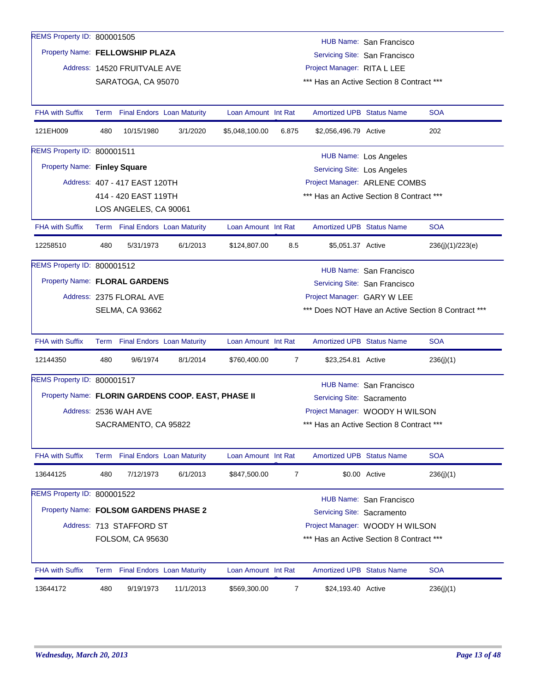| REMS Property ID: 800001505                        |      |                                   |           |                     |                |                                          |                                          |                                                    |
|----------------------------------------------------|------|-----------------------------------|-----------|---------------------|----------------|------------------------------------------|------------------------------------------|----------------------------------------------------|
| Property Name: FELLOWSHIP PLAZA                    |      |                                   |           |                     |                |                                          | HUB Name: San Francisco                  |                                                    |
|                                                    |      |                                   |           |                     |                |                                          | Servicing Site: San Francisco            |                                                    |
|                                                    |      | Address: 14520 FRUITVALE AVE      |           |                     |                | Project Manager: RITA L LEE              |                                          |                                                    |
|                                                    |      | SARATOGA, CA 95070                |           |                     |                | *** Has an Active Section 8 Contract *** |                                          |                                                    |
| <b>FHA with Suffix</b>                             |      | Term Final Endors Loan Maturity   |           | Loan Amount Int Rat |                | <b>Amortized UPB Status Name</b>         |                                          | <b>SOA</b>                                         |
| 121EH009                                           | 480  | 10/15/1980                        | 3/1/2020  | \$5,048,100.00      | 6.875          | \$2,056,496.79 Active                    |                                          | 202                                                |
| REMS Property ID: 800001511                        |      |                                   |           |                     |                |                                          | <b>HUB Name: Los Angeles</b>             |                                                    |
| Property Name: Finley Square                       |      |                                   |           |                     |                | <b>Servicing Site: Los Angeles</b>       |                                          |                                                    |
|                                                    |      | Address: 407 - 417 EAST 120TH     |           |                     |                |                                          | Project Manager: ARLENE COMBS            |                                                    |
|                                                    |      | 414 - 420 EAST 119TH              |           |                     |                |                                          | *** Has an Active Section 8 Contract *** |                                                    |
|                                                    |      | LOS ANGELES, CA 90061             |           |                     |                |                                          |                                          |                                                    |
| <b>FHA with Suffix</b>                             |      | Term Final Endors Loan Maturity   |           | Loan Amount Int Rat |                | <b>Amortized UPB Status Name</b>         |                                          | <b>SOA</b>                                         |
| 12258510                                           | 480  | 5/31/1973                         | 6/1/2013  | \$124,807.00        | 8.5            | \$5,051.37 Active                        |                                          | 236(j)(1)/223(e)                                   |
| REMS Property ID: 800001512                        |      |                                   |           |                     |                |                                          | HUB Name: San Francisco                  |                                                    |
| Property Name: FLORAL GARDENS                      |      |                                   |           |                     |                |                                          | Servicing Site: San Francisco            |                                                    |
|                                                    |      | Address: 2375 FLORAL AVE          |           |                     |                | Project Manager: GARY W LEE              |                                          |                                                    |
|                                                    |      | <b>SELMA, CA 93662</b>            |           |                     |                |                                          |                                          | *** Does NOT Have an Active Section 8 Contract *** |
| <b>FHA with Suffix</b>                             |      | Term Final Endors Loan Maturity   |           | Loan Amount Int Rat |                | <b>Amortized UPB Status Name</b>         |                                          | <b>SOA</b>                                         |
| 12144350                                           | 480  | 9/6/1974                          | 8/1/2014  | \$760,400.00        | 7              | \$23,254.81 Active                       |                                          | 236(j)(1)                                          |
| REMS Property ID: 800001517                        |      |                                   |           |                     |                |                                          | HUB Name: San Francisco                  |                                                    |
| Property Name: FLORIN GARDENS COOP. EAST, PHASE II |      |                                   |           |                     |                | Servicing Site: Sacramento               |                                          |                                                    |
|                                                    |      | Address: 2536 WAH AVE             |           |                     |                |                                          | Project Manager: WOODY H WILSON          |                                                    |
|                                                    |      | SACRAMENTO, CA 95822              |           |                     |                | *** Has an Active Section 8 Contract *** |                                          |                                                    |
|                                                    |      |                                   |           |                     |                |                                          |                                          |                                                    |
| <b>FHA with Suffix</b>                             | Term | <b>Final Endors Loan Maturity</b> |           | Loan Amount Int Rat |                | Amortized UPB Status Name                |                                          | <b>SOA</b>                                         |
| 13644125                                           | 480  | 7/12/1973                         | 6/1/2013  | \$847,500.00        | $\overline{7}$ |                                          | \$0.00 Active                            | 236(j)(1)                                          |
| REMS Property ID: 800001522                        |      |                                   |           |                     |                |                                          | HUB Name: San Francisco                  |                                                    |
| Property Name: FOLSOM GARDENS PHASE 2              |      |                                   |           |                     |                | Servicing Site: Sacramento               |                                          |                                                    |
|                                                    |      | Address: 713 STAFFORD ST          |           |                     |                |                                          | Project Manager: WOODY H WILSON          |                                                    |
|                                                    |      | FOLSOM, CA 95630                  |           |                     |                |                                          | *** Has an Active Section 8 Contract *** |                                                    |
|                                                    |      |                                   |           |                     |                |                                          |                                          | <b>SOA</b>                                         |
| <b>FHA with Suffix</b>                             |      | Term Final Endors Loan Maturity   |           | Loan Amount Int Rat |                | Amortized UPB Status Name                |                                          |                                                    |
| 13644172                                           | 480  | 9/19/1973                         | 11/1/2013 | \$569,300.00        | 7              | \$24,193.40 Active                       |                                          | 236(j)(1)                                          |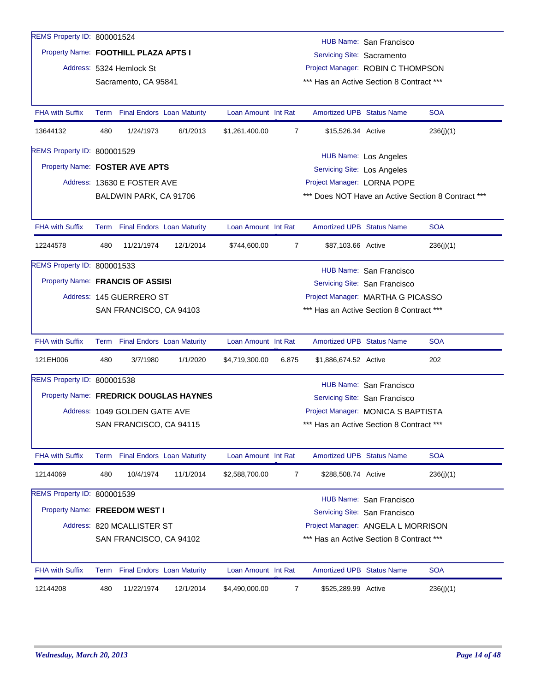| REMS Property ID: 800001524          |                                                               |                                                                                              |                                        |                     |                |                                    | HUB Name: San Francisco                  |                                                    |  |  |  |
|--------------------------------------|---------------------------------------------------------------|----------------------------------------------------------------------------------------------|----------------------------------------|---------------------|----------------|------------------------------------|------------------------------------------|----------------------------------------------------|--|--|--|
| Property Name: FOOTHILL PLAZA APTS I |                                                               |                                                                                              |                                        |                     |                | Servicing Site: Sacramento         |                                          |                                                    |  |  |  |
|                                      |                                                               | Address: 5324 Hemlock St                                                                     |                                        |                     |                |                                    | Project Manager: ROBIN C THOMPSON        |                                                    |  |  |  |
|                                      |                                                               | Sacramento, CA 95841                                                                         |                                        |                     |                |                                    | *** Has an Active Section 8 Contract *** |                                                    |  |  |  |
|                                      |                                                               |                                                                                              |                                        |                     |                |                                    |                                          |                                                    |  |  |  |
| <b>FHA with Suffix</b>               |                                                               |                                                                                              | Term Final Endors Loan Maturity        | Loan Amount Int Rat |                | <b>Amortized UPB Status Name</b>   |                                          | <b>SOA</b>                                         |  |  |  |
| 13644132                             | 480                                                           | 1/24/1973                                                                                    | 6/1/2013                               | \$1,261,400.00      | $\overline{7}$ | \$15,526.34 Active                 |                                          | 236(j)(1)                                          |  |  |  |
| REMS Property ID: 800001529          |                                                               |                                                                                              |                                        |                     |                |                                    | HUB Name: Los Angeles                    |                                                    |  |  |  |
| Property Name: FOSTER AVE APTS       |                                                               |                                                                                              |                                        |                     |                | <b>Servicing Site: Los Angeles</b> |                                          |                                                    |  |  |  |
|                                      |                                                               | Address: 13630 E FOSTER AVE                                                                  |                                        |                     |                | Project Manager: LORNA POPE        |                                          |                                                    |  |  |  |
|                                      |                                                               | BALDWIN PARK, CA 91706                                                                       |                                        |                     |                |                                    |                                          | *** Does NOT Have an Active Section 8 Contract *** |  |  |  |
|                                      |                                                               |                                                                                              |                                        |                     |                |                                    |                                          |                                                    |  |  |  |
| <b>FHA with Suffix</b>               |                                                               |                                                                                              | Term Final Endors Loan Maturity        | Loan Amount Int Rat |                | <b>Amortized UPB Status Name</b>   |                                          | <b>SOA</b>                                         |  |  |  |
| 12244578                             | 480                                                           | 11/21/1974                                                                                   | 12/1/2014                              | \$744,600.00        | $\overline{7}$ | \$87,103.66 Active                 |                                          | 236(j)(1)                                          |  |  |  |
| REMS Property ID: 800001533          |                                                               |                                                                                              |                                        |                     |                |                                    |                                          |                                                    |  |  |  |
|                                      |                                                               | HUB Name: San Francisco<br>Property Name: FRANCIS OF ASSISI<br>Servicing Site: San Francisco |                                        |                     |                |                                    |                                          |                                                    |  |  |  |
|                                      | Address: 145 GUERRERO ST<br>Project Manager: MARTHA G PICASSO |                                                                                              |                                        |                     |                |                                    |                                          |                                                    |  |  |  |
|                                      |                                                               | SAN FRANCISCO, CA 94103                                                                      |                                        |                     |                |                                    | *** Has an Active Section 8 Contract *** |                                                    |  |  |  |
|                                      |                                                               |                                                                                              |                                        |                     |                |                                    |                                          |                                                    |  |  |  |
| <b>FHA with Suffix</b>               |                                                               | Term Final Endors Loan Maturity                                                              |                                        | Loan Amount Int Rat |                | <b>Amortized UPB Status Name</b>   |                                          | <b>SOA</b>                                         |  |  |  |
| 121EH006                             | 480                                                           | 3/7/1980                                                                                     | 1/1/2020                               | \$4,719,300.00      | 6.875          | \$1,886,674.52 Active              |                                          | 202                                                |  |  |  |
| REMS Property ID: 800001538          |                                                               |                                                                                              |                                        |                     |                |                                    | <b>HUB Name: San Francisco</b>           |                                                    |  |  |  |
|                                      |                                                               |                                                                                              | Property Name: FREDRICK DOUGLAS HAYNES |                     |                |                                    | Servicing Site: San Francisco            |                                                    |  |  |  |
|                                      |                                                               | Address: 1049 GOLDEN GATE AVE                                                                |                                        |                     |                |                                    | Project Manager: MONICA S BAPTISTA       |                                                    |  |  |  |
|                                      |                                                               | SAN FRANCISCO, CA 94115                                                                      |                                        |                     |                |                                    | *** Has an Active Section 8 Contract *** |                                                    |  |  |  |
|                                      |                                                               |                                                                                              |                                        |                     |                |                                    |                                          |                                                    |  |  |  |
| <b>FHA with Suffix</b>               |                                                               |                                                                                              | Term Final Endors Loan Maturity        | Loan Amount Int Rat |                | <b>Amortized UPB Status Name</b>   |                                          | <b>SOA</b>                                         |  |  |  |
| 12144069                             | 480                                                           | 10/4/1974                                                                                    | 11/1/2014                              | \$2,588,700.00      | 7              | \$288,508.74 Active                |                                          | 236(j)(1)                                          |  |  |  |
| REMS Property ID: 800001539          |                                                               |                                                                                              |                                        |                     |                |                                    | HUB Name: San Francisco                  |                                                    |  |  |  |
| Property Name: FREEDOM WEST I        |                                                               |                                                                                              |                                        |                     |                |                                    | Servicing Site: San Francisco            |                                                    |  |  |  |
|                                      |                                                               | Address: 820 MCALLISTER ST                                                                   |                                        |                     |                |                                    | Project Manager: ANGELA L MORRISON       |                                                    |  |  |  |
|                                      |                                                               | SAN FRANCISCO, CA 94102                                                                      |                                        |                     |                |                                    | *** Has an Active Section 8 Contract *** |                                                    |  |  |  |
|                                      |                                                               |                                                                                              |                                        |                     |                |                                    |                                          |                                                    |  |  |  |
| <b>FHA with Suffix</b>               | Term                                                          |                                                                                              | <b>Final Endors Loan Maturity</b>      | Loan Amount Int Rat |                | <b>Amortized UPB Status Name</b>   |                                          | <b>SOA</b>                                         |  |  |  |
| 12144208                             | 480                                                           | 11/22/1974                                                                                   | 12/1/2014                              | \$4,490,000.00      | 7              | \$525,289.99 Active                |                                          | 236(j)(1)                                          |  |  |  |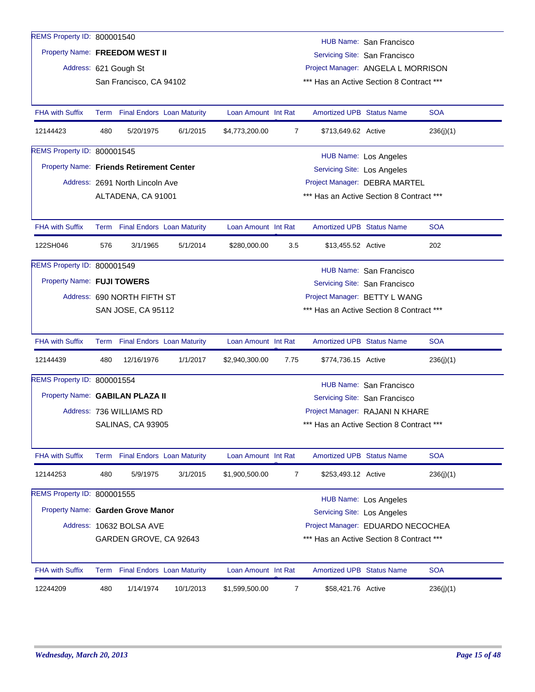| REMS Property ID: 800001540                     |                                                              |                                                             |           |                     |                |                                    |                                          |            |  |  |
|-------------------------------------------------|--------------------------------------------------------------|-------------------------------------------------------------|-----------|---------------------|----------------|------------------------------------|------------------------------------------|------------|--|--|
| Property Name: FREEDOM WEST II                  |                                                              |                                                             |           |                     |                |                                    | HUB Name: San Francisco                  |            |  |  |
|                                                 |                                                              |                                                             |           |                     |                |                                    | Servicing Site: San Francisco            |            |  |  |
|                                                 |                                                              | Address: 621 Gough St                                       |           |                     |                |                                    | Project Manager: ANGELA L MORRISON       |            |  |  |
|                                                 |                                                              | San Francisco, CA 94102                                     |           |                     |                |                                    | *** Has an Active Section 8 Contract *** |            |  |  |
| <b>FHA with Suffix</b>                          |                                                              | Term Final Endors Loan Maturity                             |           | Loan Amount Int Rat |                | <b>Amortized UPB Status Name</b>   |                                          | <b>SOA</b> |  |  |
| 12144423                                        | 480                                                          | 5/20/1975                                                   | 6/1/2015  | \$4,773,200.00      | $\overline{7}$ | \$713,649.62 Active                |                                          | 236(j)(1)  |  |  |
| REMS Property ID: 800001545                     |                                                              |                                                             |           |                     |                |                                    | HUB Name: Los Angeles                    |            |  |  |
| <b>Property Name: Friends Retirement Center</b> |                                                              |                                                             |           |                     |                | <b>Servicing Site: Los Angeles</b> |                                          |            |  |  |
|                                                 |                                                              | Address: 2691 North Lincoln Ave                             |           |                     |                |                                    | Project Manager: DEBRA MARTEL            |            |  |  |
|                                                 |                                                              | ALTADENA, CA 91001                                          |           |                     |                |                                    | *** Has an Active Section 8 Contract *** |            |  |  |
|                                                 |                                                              |                                                             |           |                     |                |                                    |                                          |            |  |  |
| <b>FHA with Suffix</b>                          |                                                              | Term Final Endors Loan Maturity                             |           | Loan Amount Int Rat |                | <b>Amortized UPB Status Name</b>   |                                          | <b>SOA</b> |  |  |
| 122SH046                                        | 576                                                          | 3/1/1965                                                    | 5/1/2014  | \$280,000.00        | 3.5            | \$13,455.52 Active                 |                                          | 202        |  |  |
| REMS Property ID: 800001549                     |                                                              |                                                             |           |                     |                |                                    | HUB Name: San Francisco                  |            |  |  |
|                                                 |                                                              | Property Name: FUJI TOWERS<br>Servicing Site: San Francisco |           |                     |                |                                    |                                          |            |  |  |
|                                                 | Project Manager: BETTY L WANG<br>Address: 690 NORTH FIFTH ST |                                                             |           |                     |                |                                    |                                          |            |  |  |
|                                                 |                                                              | SAN JOSE, CA 95112                                          |           |                     |                |                                    | *** Has an Active Section 8 Contract *** |            |  |  |
|                                                 |                                                              |                                                             |           |                     |                |                                    |                                          |            |  |  |
| <b>FHA with Suffix</b>                          |                                                              | Term Final Endors Loan Maturity                             |           | Loan Amount Int Rat |                | <b>Amortized UPB Status Name</b>   |                                          | <b>SOA</b> |  |  |
| 12144439                                        | 480                                                          | 12/16/1976                                                  | 1/1/2017  | \$2,940,300.00      | 7.75           | \$774,736.15 Active                |                                          | 236(j)(1)  |  |  |
| REMS Property ID: 800001554                     |                                                              |                                                             |           |                     |                |                                    | HUB Name: San Francisco                  |            |  |  |
| Property Name: GABILAN PLAZA II                 |                                                              |                                                             |           |                     |                |                                    | Servicing Site: San Francisco            |            |  |  |
|                                                 |                                                              | Address: 736 WILLIAMS RD                                    |           |                     |                |                                    | Project Manager: RAJANI N KHARE          |            |  |  |
|                                                 |                                                              | SALINAS, CA 93905                                           |           |                     |                |                                    | *** Has an Active Section 8 Contract *** |            |  |  |
|                                                 |                                                              |                                                             |           |                     |                |                                    |                                          |            |  |  |
| FHA with Suffix                                 |                                                              | Term Final Endors Loan Maturity                             |           | Loan Amount Int Rat |                | <b>Amortized UPB Status Name</b>   |                                          | <b>SOA</b> |  |  |
| 12144253                                        | 480                                                          | 5/9/1975                                                    | 3/1/2015  | \$1,900,500.00      | 7              | \$253,493.12 Active                |                                          | 236(j)(1)  |  |  |
| REMS Property ID: 800001555                     |                                                              |                                                             |           |                     |                |                                    | HUB Name: Los Angeles                    |            |  |  |
| Property Name: Garden Grove Manor               |                                                              |                                                             |           |                     |                | Servicing Site: Los Angeles        |                                          |            |  |  |
|                                                 |                                                              | Address: 10632 BOLSA AVE                                    |           |                     |                |                                    | Project Manager: EDUARDO NECOCHEA        |            |  |  |
|                                                 |                                                              | GARDEN GROVE, CA 92643                                      |           |                     |                |                                    | *** Has an Active Section 8 Contract *** |            |  |  |
|                                                 |                                                              |                                                             |           |                     |                |                                    |                                          |            |  |  |
| <b>FHA with Suffix</b>                          |                                                              | Term Final Endors Loan Maturity                             |           | Loan Amount Int Rat |                | <b>Amortized UPB Status Name</b>   |                                          | <b>SOA</b> |  |  |
| 12244209                                        | 480                                                          | 1/14/1974                                                   | 10/1/2013 | \$1,599,500.00      | 7              | \$58,421.76 Active                 |                                          | 236(j)(1)  |  |  |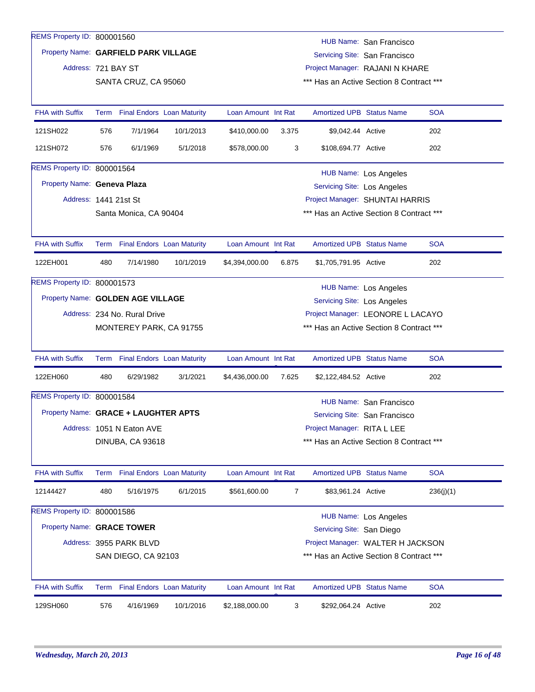| REMS Property ID: 800001560          |     |                                 |           |                     |       |                                    | HUB Name: San Francisco                  |            |
|--------------------------------------|-----|---------------------------------|-----------|---------------------|-------|------------------------------------|------------------------------------------|------------|
| Property Name: GARFIELD PARK VILLAGE |     |                                 |           |                     |       |                                    | Servicing Site: San Francisco            |            |
| Address: 721 BAY ST                  |     |                                 |           |                     |       |                                    | Project Manager: RAJANI N KHARE          |            |
|                                      |     | SANTA CRUZ, CA 95060            |           |                     |       |                                    | *** Has an Active Section 8 Contract *** |            |
|                                      |     |                                 |           |                     |       |                                    |                                          |            |
| <b>FHA with Suffix</b>               |     | Term Final Endors Loan Maturity |           | Loan Amount Int Rat |       | <b>Amortized UPB Status Name</b>   |                                          | <b>SOA</b> |
| 121SH022                             | 576 | 7/1/1964                        | 10/1/2013 | \$410,000.00        | 3.375 | \$9,042.44 Active                  |                                          | 202        |
| 121SH072                             | 576 | 6/1/1969                        | 5/1/2018  | \$578,000.00        | 3     | \$108,694.77 Active                |                                          | 202        |
| REMS Property ID: 800001564          |     |                                 |           |                     |       |                                    | HUB Name: Los Angeles                    |            |
| Property Name: Geneva Plaza          |     |                                 |           |                     |       | <b>Servicing Site: Los Angeles</b> |                                          |            |
| Address: 1441 21st St                |     |                                 |           |                     |       |                                    | Project Manager: SHUNTAI HARRIS          |            |
|                                      |     | Santa Monica, CA 90404          |           |                     |       |                                    | *** Has an Active Section 8 Contract *** |            |
|                                      |     |                                 |           |                     |       |                                    |                                          |            |
| <b>FHA with Suffix</b>               |     | Term Final Endors Loan Maturity |           | Loan Amount Int Rat |       | <b>Amortized UPB Status Name</b>   |                                          | <b>SOA</b> |
| 122EH001                             | 480 | 7/14/1980                       | 10/1/2019 | \$4,394,000.00      | 6.875 | \$1,705,791.95 Active              |                                          | 202        |
| REMS Property ID: 800001573          |     |                                 |           |                     |       |                                    | <b>HUB Name: Los Angeles</b>             |            |
| Property Name: GOLDEN AGE VILLAGE    |     |                                 |           |                     |       | Servicing Site: Los Angeles        |                                          |            |
|                                      |     | Address: 234 No. Rural Drive    |           |                     |       |                                    | Project Manager: LEONORE L LACAYO        |            |
|                                      |     | MONTEREY PARK, CA 91755         |           |                     |       |                                    | *** Has an Active Section 8 Contract *** |            |
|                                      |     |                                 |           |                     |       |                                    |                                          |            |
| FHA with Suffix                      |     | Term Final Endors Loan Maturity |           | Loan Amount Int Rat |       | <b>Amortized UPB Status Name</b>   |                                          | <b>SOA</b> |
| 122EH060                             | 480 | 6/29/1982                       | 3/1/2021  | \$4,436,000.00      | 7.625 | \$2,122,484.52 Active              |                                          | 202        |
| REMS Property ID: 800001584          |     |                                 |           |                     |       |                                    | HUB Name: San Francisco                  |            |
| Property Name: GRACE + LAUGHTER APTS |     |                                 |           |                     |       |                                    | Servicing Site: San Francisco            |            |
|                                      |     | Address: 1051 N Eaton AVE       |           |                     |       | Project Manager: RITA L LEE        |                                          |            |
|                                      |     | DINUBA, CA 93618                |           |                     |       |                                    | *** Has an Active Section 8 Contract *** |            |
|                                      |     |                                 |           |                     |       |                                    |                                          |            |
| <b>FHA with Suffix</b>               |     | Term Final Endors Loan Maturity |           | Loan Amount Int Rat |       | <b>Amortized UPB Status Name</b>   |                                          | <b>SOA</b> |
| 12144427                             | 480 | 5/16/1975                       | 6/1/2015  | \$561,600.00        | 7     | \$83,961.24 Active                 |                                          | 236(j)(1)  |
| REMS Property ID: 800001586          |     |                                 |           |                     |       |                                    | <b>HUB Name: Los Angeles</b>             |            |
| Property Name: GRACE TOWER           |     |                                 |           |                     |       | Servicing Site: San Diego          |                                          |            |
|                                      |     | Address: 3955 PARK BLVD         |           |                     |       |                                    | Project Manager: WALTER H JACKSON        |            |
|                                      |     | SAN DIEGO, CA 92103             |           |                     |       |                                    | *** Has an Active Section 8 Contract *** |            |
|                                      |     |                                 |           |                     |       |                                    |                                          |            |
| <b>FHA with Suffix</b>               |     | Term Final Endors Loan Maturity |           | Loan Amount Int Rat |       | <b>Amortized UPB Status Name</b>   |                                          | <b>SOA</b> |
| 129SH060                             | 576 | 4/16/1969                       | 10/1/2016 | \$2,188,000.00      | 3     | \$292,064.24 Active                |                                          | 202        |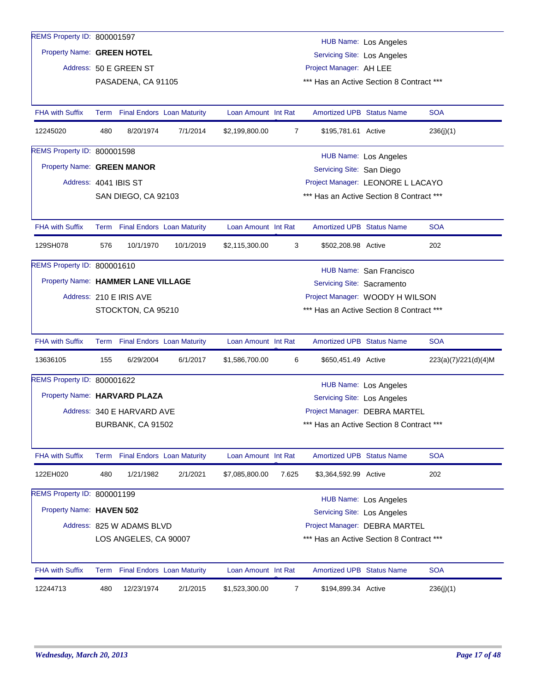| REMS Property ID: 800001597        |      |                                   |           |                     |       |                                    |                                          |                      |
|------------------------------------|------|-----------------------------------|-----------|---------------------|-------|------------------------------------|------------------------------------------|----------------------|
| Property Name: GREEN HOTEL         |      |                                   |           |                     |       |                                    | <b>HUB Name: Los Angeles</b>             |                      |
|                                    |      |                                   |           |                     |       | Servicing Site: Los Angeles        |                                          |                      |
|                                    |      | Address: 50 E GREEN ST            |           |                     |       | Project Manager: AH LEE            |                                          |                      |
|                                    |      | PASADENA, CA 91105                |           |                     |       |                                    | *** Has an Active Section 8 Contract *** |                      |
| <b>FHA with Suffix</b>             |      | Term Final Endors Loan Maturity   |           | Loan Amount Int Rat |       | <b>Amortized UPB Status Name</b>   |                                          | <b>SOA</b>           |
| 12245020                           | 480  | 8/20/1974                         | 7/1/2014  | \$2,199,800.00      | 7     | \$195,781.61 Active                |                                          | 236(j)(1)            |
| REMS Property ID: 800001598        |      |                                   |           |                     |       |                                    | <b>HUB Name: Los Angeles</b>             |                      |
| Property Name: GREEN MANOR         |      |                                   |           |                     |       | Servicing Site: San Diego          |                                          |                      |
| Address: 4041 IBIS ST              |      |                                   |           |                     |       |                                    | Project Manager: LEONORE L LACAYO        |                      |
|                                    |      | SAN DIEGO, CA 92103               |           |                     |       |                                    | *** Has an Active Section 8 Contract *** |                      |
|                                    |      |                                   |           |                     |       |                                    |                                          |                      |
| <b>FHA with Suffix</b>             |      | Term Final Endors Loan Maturity   |           | Loan Amount Int Rat |       | <b>Amortized UPB Status Name</b>   |                                          | <b>SOA</b>           |
| 129SH078                           | 576  | 10/1/1970                         | 10/1/2019 | \$2,115,300.00      | 3     | \$502,208.98 Active                |                                          | 202                  |
| REMS Property ID: 800001610        |      |                                   |           |                     |       |                                    | HUB Name: San Francisco                  |                      |
| Property Name: HAMMER LANE VILLAGE |      |                                   |           |                     |       | Servicing Site: Sacramento         |                                          |                      |
|                                    |      | Address: 210 E IRIS AVE           |           |                     |       |                                    | Project Manager: WOODY H WILSON          |                      |
|                                    |      | STOCKTON, CA 95210                |           |                     |       |                                    | *** Has an Active Section 8 Contract *** |                      |
|                                    |      |                                   |           |                     |       |                                    |                                          |                      |
| <b>FHA with Suffix</b>             |      | Term Final Endors Loan Maturity   |           | Loan Amount Int Rat |       | <b>Amortized UPB Status Name</b>   |                                          | <b>SOA</b>           |
| 13636105                           | 155  | 6/29/2004                         | 6/1/2017  | \$1,586,700.00      | 6     | \$650,451.49 Active                |                                          | 223(a)(7)/221(d)(4)M |
| REMS Property ID: 800001622        |      |                                   |           |                     |       |                                    | <b>HUB Name: Los Angeles</b>             |                      |
| Property Name: HARVARD PLAZA       |      |                                   |           |                     |       | Servicing Site: Los Angeles        |                                          |                      |
|                                    |      | Address: 340 E HARVARD AVE        |           |                     |       |                                    | Project Manager: DEBRA MARTEL            |                      |
|                                    |      | BURBANK, CA 91502                 |           |                     |       |                                    | *** Has an Active Section 8 Contract *** |                      |
|                                    |      |                                   |           |                     |       |                                    |                                          |                      |
| <b>FHA with Suffix</b>             |      | Term Final Endors Loan Maturity   |           | Loan Amount Int Rat |       | <b>Amortized UPB Status Name</b>   |                                          | <b>SOA</b>           |
| 122EH020                           | 480  | 1/21/1982                         | 2/1/2021  | \$7,085,800.00      | 7.625 | \$3,364,592.99 Active              |                                          | 202                  |
| REMS Property ID: 800001199        |      |                                   |           |                     |       |                                    | HUB Name: Los Angeles                    |                      |
| Property Name: HAVEN 502           |      |                                   |           |                     |       | <b>Servicing Site: Los Angeles</b> |                                          |                      |
|                                    |      | Address: 825 W ADAMS BLVD         |           |                     |       |                                    | Project Manager: DEBRA MARTEL            |                      |
|                                    |      | LOS ANGELES, CA 90007             |           |                     |       |                                    | *** Has an Active Section 8 Contract *** |                      |
|                                    |      |                                   |           |                     |       |                                    |                                          |                      |
| <b>FHA with Suffix</b>             | Term | <b>Final Endors Loan Maturity</b> |           | Loan Amount Int Rat |       | <b>Amortized UPB Status Name</b>   |                                          | <b>SOA</b>           |
| 12244713                           | 480  | 12/23/1974                        | 2/1/2015  | \$1,523,300.00      | 7     | \$194,899.34 Active                |                                          | 236(j)(1)            |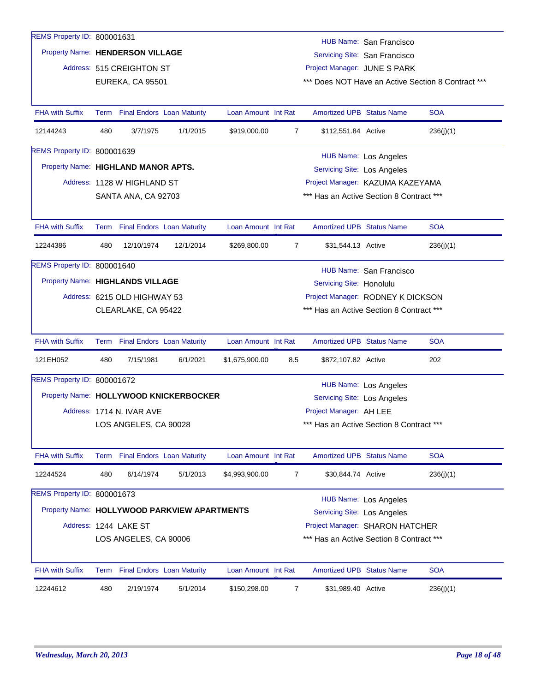| REMS Property ID: 800001631         |      |                                   |                                              |                     |                |                                          |                                   |                                                    |
|-------------------------------------|------|-----------------------------------|----------------------------------------------|---------------------|----------------|------------------------------------------|-----------------------------------|----------------------------------------------------|
|                                     |      |                                   |                                              |                     |                |                                          | HUB Name: San Francisco           |                                                    |
| Property Name: HENDERSON VILLAGE    |      |                                   |                                              |                     |                |                                          | Servicing Site: San Francisco     |                                                    |
|                                     |      | Address: 515 CREIGHTON ST         |                                              |                     |                | Project Manager: JUNE S PARK             |                                   |                                                    |
|                                     |      | EUREKA, CA 95501                  |                                              |                     |                |                                          |                                   | *** Does NOT Have an Active Section 8 Contract *** |
|                                     |      |                                   |                                              |                     |                |                                          |                                   |                                                    |
| <b>FHA with Suffix</b>              |      | Term Final Endors Loan Maturity   |                                              | Loan Amount Int Rat |                | <b>Amortized UPB Status Name</b>         |                                   | <b>SOA</b>                                         |
| 12144243                            | 480  | 3/7/1975                          | 1/1/2015                                     | \$919,000.00        | 7              | \$112,551.84 Active                      |                                   | 236(j)(1)                                          |
| REMS Property ID: 800001639         |      |                                   |                                              |                     |                |                                          | <b>HUB Name: Los Angeles</b>      |                                                    |
| Property Name: HIGHLAND MANOR APTS. |      |                                   |                                              |                     |                | <b>Servicing Site: Los Angeles</b>       |                                   |                                                    |
|                                     |      | Address: 1128 W HIGHLAND ST       |                                              |                     |                |                                          | Project Manager: KAZUMA KAZEYAMA  |                                                    |
|                                     |      | SANTA ANA, CA 92703               |                                              |                     |                | *** Has an Active Section 8 Contract *** |                                   |                                                    |
|                                     |      |                                   |                                              |                     |                |                                          |                                   |                                                    |
| <b>FHA with Suffix</b>              | Term | <b>Final Endors Loan Maturity</b> |                                              | Loan Amount Int Rat |                | <b>Amortized UPB Status Name</b>         |                                   | <b>SOA</b>                                         |
| 12244386                            | 480  | 12/10/1974                        | 12/1/2014                                    | \$269,800.00        | 7              | \$31,544.13 Active                       |                                   | 236(i)(1)                                          |
| REMS Property ID: 800001640         |      |                                   |                                              |                     |                |                                          | HUB Name: San Francisco           |                                                    |
| Property Name: HIGHLANDS VILLAGE    |      |                                   |                                              |                     |                | Servicing Site: Honolulu                 |                                   |                                                    |
|                                     |      | Address: 6215 OLD HIGHWAY 53      |                                              |                     |                |                                          | Project Manager: RODNEY K DICKSON |                                                    |
|                                     |      | CLEARLAKE, CA 95422               |                                              |                     |                | *** Has an Active Section 8 Contract *** |                                   |                                                    |
|                                     |      |                                   |                                              |                     |                |                                          |                                   |                                                    |
| <b>FHA with Suffix</b>              |      | Term Final Endors Loan Maturity   |                                              | Loan Amount Int Rat |                | <b>Amortized UPB Status Name</b>         |                                   | <b>SOA</b>                                         |
| 121EH052                            | 480  | 7/15/1981                         | 6/1/2021                                     | \$1,675,900.00      | 8.5            | \$872,107.82 Active                      |                                   | 202                                                |
| REMS Property ID: 800001672         |      |                                   |                                              |                     |                |                                          | HUB Name: Los Angeles             |                                                    |
|                                     |      |                                   | Property Name: HOLLYWOOD KNICKERBOCKER       |                     |                | Servicing Site: Los Angeles              |                                   |                                                    |
|                                     |      | Address: 1714 N. IVAR AVE         |                                              |                     |                | Project Manager: AH LEE                  |                                   |                                                    |
|                                     |      | LOS ANGELES, CA 90028             |                                              |                     |                | *** Has an Active Section 8 Contract *** |                                   |                                                    |
|                                     |      |                                   |                                              |                     |                |                                          |                                   |                                                    |
| <b>FHA with Suffix</b>              |      | Term Final Endors Loan Maturity   |                                              | Loan Amount Int Rat |                | <b>Amortized UPB Status Name</b>         |                                   | <b>SOA</b>                                         |
| 12244524                            | 480  | 6/14/1974                         | 5/1/2013                                     | \$4,993,900.00      | 7              | \$30,844.74 Active                       |                                   | 236(j)(1)                                          |
| REMS Property ID: 800001673         |      |                                   |                                              |                     |                |                                          | <b>HUB Name: Los Angeles</b>      |                                                    |
|                                     |      |                                   | Property Name: HOLLYWOOD PARKVIEW APARTMENTS |                     |                | <b>Servicing Site: Los Angeles</b>       |                                   |                                                    |
|                                     |      | Address: 1244 LAKE ST             |                                              |                     |                |                                          | Project Manager: SHARON HATCHER   |                                                    |
|                                     |      | LOS ANGELES, CA 90006             |                                              |                     |                | *** Has an Active Section 8 Contract *** |                                   |                                                    |
|                                     |      |                                   |                                              |                     |                |                                          |                                   |                                                    |
| <b>FHA with Suffix</b>              |      | Term Final Endors Loan Maturity   |                                              | Loan Amount Int Rat |                | <b>Amortized UPB Status Name</b>         |                                   | <b>SOA</b>                                         |
| 12244612                            | 480  | 2/19/1974                         | 5/1/2014                                     | \$150,298.00        | $\overline{7}$ | \$31,989.40 Active                       |                                   | 236(j)(1)                                          |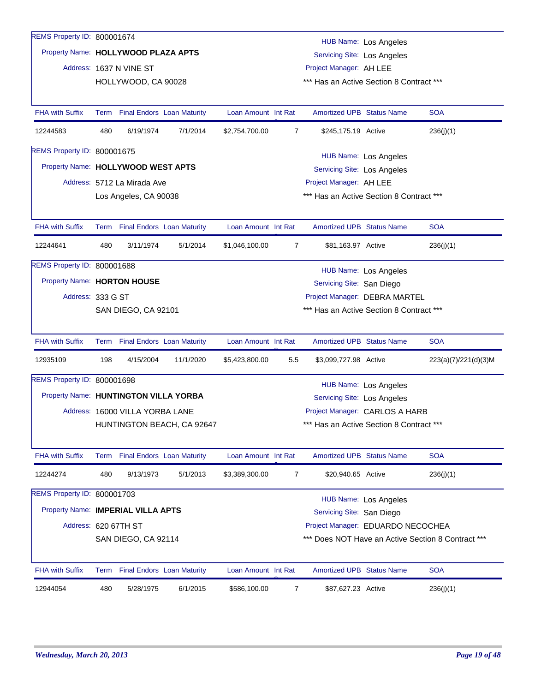| REMS Property ID: 800001674           |     |                                 |                            |                     |                                                                    |                                          | <b>HUB Name: Los Angeles</b>      |                                                    |  |  |
|---------------------------------------|-----|---------------------------------|----------------------------|---------------------|--------------------------------------------------------------------|------------------------------------------|-----------------------------------|----------------------------------------------------|--|--|
| Property Name: HOLLYWOOD PLAZA APTS   |     |                                 |                            |                     |                                                                    | <b>Servicing Site: Los Angeles</b>       |                                   |                                                    |  |  |
|                                       |     | Address: 1637 N VINE ST         |                            |                     |                                                                    | Project Manager: AH LEE                  |                                   |                                                    |  |  |
|                                       |     | HOLLYWOOD, CA 90028             |                            |                     |                                                                    | *** Has an Active Section 8 Contract *** |                                   |                                                    |  |  |
|                                       |     |                                 |                            |                     |                                                                    |                                          |                                   |                                                    |  |  |
| <b>FHA with Suffix</b>                |     | Term Final Endors Loan Maturity |                            | Loan Amount Int Rat |                                                                    | <b>Amortized UPB Status Name</b>         |                                   | <b>SOA</b>                                         |  |  |
| 12244583                              | 480 | 6/19/1974                       | 7/1/2014                   | \$2,754,700.00      | 7                                                                  | \$245,175.19 Active                      |                                   | 236(j)(1)                                          |  |  |
| REMS Property ID: 800001675           |     |                                 |                            |                     |                                                                    |                                          |                                   |                                                    |  |  |
| Property Name: HOLLYWOOD WEST APTS    |     |                                 |                            |                     | <b>HUB Name: Los Angeles</b><br><b>Servicing Site: Los Angeles</b> |                                          |                                   |                                                    |  |  |
|                                       |     | Address: 5712 La Mirada Ave     |                            |                     | Project Manager: AH LEE                                            |                                          |                                   |                                                    |  |  |
|                                       |     | Los Angeles, CA 90038           |                            |                     |                                                                    | *** Has an Active Section 8 Contract *** |                                   |                                                    |  |  |
|                                       |     |                                 |                            |                     |                                                                    |                                          |                                   |                                                    |  |  |
| <b>FHA with Suffix</b>                |     | Term Final Endors Loan Maturity |                            | Loan Amount Int Rat |                                                                    | <b>Amortized UPB Status Name</b>         |                                   | <b>SOA</b>                                         |  |  |
| 12244641                              | 480 | 3/11/1974                       | 5/1/2014                   | \$1,046,100.00      | $\overline{7}$                                                     | \$81,163.97 Active                       |                                   | 236(j)(1)                                          |  |  |
| REMS Property ID: 800001688           |     |                                 |                            |                     |                                                                    |                                          | <b>HUB Name: Los Angeles</b>      |                                                    |  |  |
| Property Name: HORTON HOUSE           |     |                                 |                            |                     |                                                                    | Servicing Site: San Diego                |                                   |                                                    |  |  |
| Address: 333 G ST                     |     |                                 |                            |                     |                                                                    |                                          | Project Manager: DEBRA MARTEL     |                                                    |  |  |
|                                       |     | SAN DIEGO, CA 92101             |                            |                     |                                                                    | *** Has an Active Section 8 Contract *** |                                   |                                                    |  |  |
|                                       |     |                                 |                            |                     |                                                                    |                                          |                                   |                                                    |  |  |
| <b>FHA with Suffix</b>                |     | Term Final Endors Loan Maturity |                            | Loan Amount Int Rat |                                                                    | <b>Amortized UPB Status Name</b>         |                                   | <b>SOA</b>                                         |  |  |
| 12935109                              | 198 | 4/15/2004                       | 11/1/2020                  | \$5,423,800.00      | 5.5                                                                | \$3,099,727.98 Active                    |                                   | 223(a)(7)/221(d)(3)M                               |  |  |
| REMS Property ID: 800001698           |     |                                 |                            |                     |                                                                    |                                          | HUB Name: Los Angeles             |                                                    |  |  |
| Property Name: HUNTINGTON VILLA YORBA |     |                                 |                            |                     |                                                                    | <b>Servicing Site: Los Angeles</b>       |                                   |                                                    |  |  |
|                                       |     | Address: 16000 VILLA YORBA LANE |                            |                     |                                                                    |                                          | Project Manager: CARLOS A HARB    |                                                    |  |  |
|                                       |     |                                 | HUNTINGTON BEACH, CA 92647 |                     |                                                                    | *** Has an Active Section 8 Contract *** |                                   |                                                    |  |  |
|                                       |     |                                 |                            |                     |                                                                    |                                          |                                   |                                                    |  |  |
| <b>FHA with Suffix</b>                |     | Term Final Endors Loan Maturity |                            | Loan Amount Int Rat |                                                                    | Amortized UPB Status Name                |                                   | <b>SOA</b>                                         |  |  |
| 12244274                              | 480 | 9/13/1973                       | 5/1/2013                   | \$3,389,300.00      | 7                                                                  | \$20,940.65 Active                       |                                   | 236(j)(1)                                          |  |  |
| REMS Property ID: 800001703           |     |                                 |                            |                     |                                                                    |                                          | <b>HUB Name: Los Angeles</b>      |                                                    |  |  |
| Property Name: IMPERIAL VILLA APTS    |     |                                 |                            |                     |                                                                    | Servicing Site: San Diego                |                                   |                                                    |  |  |
| Address: 620 67TH ST                  |     |                                 |                            |                     |                                                                    |                                          | Project Manager: EDUARDO NECOCHEA |                                                    |  |  |
|                                       |     | SAN DIEGO, CA 92114             |                            |                     |                                                                    |                                          |                                   | *** Does NOT Have an Active Section 8 Contract *** |  |  |
|                                       |     |                                 |                            |                     |                                                                    |                                          |                                   |                                                    |  |  |
| <b>FHA with Suffix</b>                |     | Term Final Endors Loan Maturity |                            | Loan Amount Int Rat |                                                                    | <b>Amortized UPB Status Name</b>         |                                   | <b>SOA</b>                                         |  |  |
| 12944054                              | 480 | 5/28/1975                       | 6/1/2015                   | \$586,100.00        | 7                                                                  | \$87,627.23 Active                       |                                   | 236(j)(1)                                          |  |  |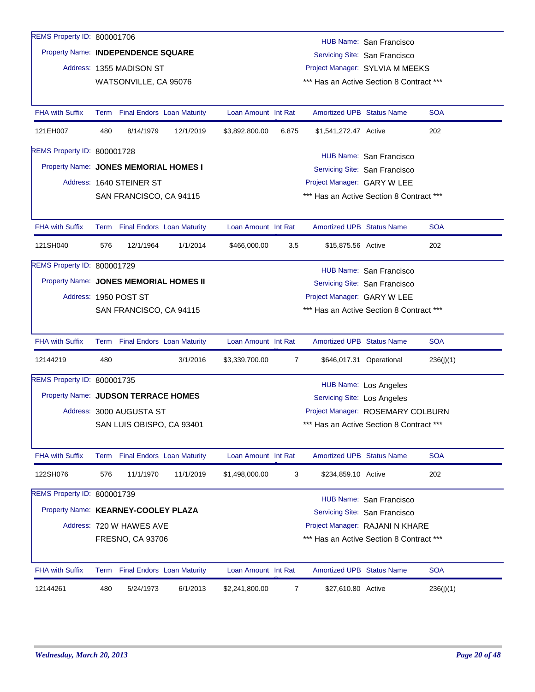| REMS Property ID: 800001706            |     |                                 |                                 |                     |       |                                    |                                                          |            |
|----------------------------------------|-----|---------------------------------|---------------------------------|---------------------|-------|------------------------------------|----------------------------------------------------------|------------|
| Property Name: INDEPENDENCE SQUARE     |     |                                 |                                 |                     |       |                                    | HUB Name: San Francisco                                  |            |
|                                        |     |                                 |                                 |                     |       |                                    | Servicing Site: San Francisco                            |            |
|                                        |     | Address: 1355 MADISON ST        |                                 |                     |       |                                    | Project Manager: SYLVIA M MEEKS                          |            |
|                                        |     | WATSONVILLE, CA 95076           |                                 |                     |       |                                    | *** Has an Active Section 8 Contract ***                 |            |
| <b>FHA with Suffix</b>                 |     | Term Final Endors Loan Maturity |                                 | Loan Amount Int Rat |       | <b>Amortized UPB Status Name</b>   |                                                          | <b>SOA</b> |
| 121EH007                               | 480 | 8/14/1979                       | 12/1/2019                       | \$3,892,800.00      | 6.875 | \$1,541,272.47 Active              |                                                          | 202        |
| REMS Property ID: 800001728            |     |                                 |                                 |                     |       |                                    | HUB Name: San Francisco                                  |            |
| Property Name: JONES MEMORIAL HOMES I  |     |                                 |                                 |                     |       |                                    | Servicing Site: San Francisco                            |            |
|                                        |     | Address: 1640 STEINER ST        |                                 |                     |       | Project Manager: GARY W LEE        |                                                          |            |
|                                        |     | SAN FRANCISCO, CA 94115         |                                 |                     |       |                                    | *** Has an Active Section 8 Contract ***                 |            |
|                                        |     |                                 |                                 |                     |       |                                    |                                                          |            |
| <b>FHA with Suffix</b>                 |     | Term Final Endors Loan Maturity |                                 | Loan Amount Int Rat |       | <b>Amortized UPB Status Name</b>   |                                                          | <b>SOA</b> |
| 121SH040                               | 576 | 12/1/1964                       | 1/1/2014                        | \$466,000.00        | 3.5   | \$15,875.56 Active                 |                                                          | 202        |
| REMS Property ID: 800001729            |     |                                 |                                 |                     |       |                                    | HUB Name: San Francisco                                  |            |
| Property Name: JONES MEMORIAL HOMES II |     |                                 |                                 |                     |       |                                    | Servicing Site: San Francisco                            |            |
|                                        |     | Address: 1950 POST ST           |                                 |                     |       | Project Manager: GARY W LEE        |                                                          |            |
|                                        |     | SAN FRANCISCO, CA 94115         |                                 |                     |       |                                    | *** Has an Active Section 8 Contract ***                 |            |
| <b>FHA with Suffix</b>                 |     | Term Final Endors Loan Maturity |                                 | Loan Amount Int Rat |       | Amortized UPB Status Name          |                                                          | <b>SOA</b> |
| 12144219                               | 480 |                                 | 3/1/2016                        | \$3,339,700.00      | 7     |                                    | \$646,017.31 Operational                                 | 236(j)(1)  |
| REMS Property ID: 800001735            |     |                                 |                                 |                     |       |                                    | <b>HUB Name: Los Angeles</b>                             |            |
| Property Name: JUDSON TERRACE HOMES    |     |                                 |                                 |                     |       | <b>Servicing Site: Los Angeles</b> |                                                          |            |
|                                        |     | Address: 3000 AUGUSTA ST        |                                 |                     |       |                                    | Project Manager: ROSEMARY COLBURN                        |            |
|                                        |     | SAN LUIS OBISPO, CA 93401       |                                 |                     |       |                                    | *** Has an Active Section 8 Contract ***                 |            |
| <b>FHA with Suffix</b>                 |     | Term Final Endors Loan Maturity |                                 | Loan Amount Int Rat |       | <b>Amortized UPB Status Name</b>   |                                                          | <b>SOA</b> |
| 122SH076                               | 576 | 11/1/1970                       | 11/1/2019                       | \$1,498,000.00      | 3     | \$234,859.10 Active                |                                                          | 202        |
| REMS Property ID: 800001739            |     |                                 |                                 |                     |       |                                    |                                                          |            |
| Property Name: KEARNEY-COOLEY PLAZA    |     |                                 |                                 |                     |       |                                    | HUB Name: San Francisco<br>Servicing Site: San Francisco |            |
|                                        |     | Address: 720 W HAWES AVE        |                                 |                     |       |                                    | Project Manager: RAJANI N KHARE                          |            |
|                                        |     | FRESNO, CA 93706                |                                 |                     |       |                                    | *** Has an Active Section 8 Contract ***                 |            |
|                                        |     |                                 |                                 |                     |       |                                    |                                                          |            |
| FHA with Suffix                        |     |                                 | Term Final Endors Loan Maturity | Loan Amount Int Rat |       | <b>Amortized UPB Status Name</b>   |                                                          | <b>SOA</b> |
| 12144261                               | 480 | 5/24/1973                       | 6/1/2013                        | \$2,241,800.00      | 7     | \$27,610.80 Active                 |                                                          | 236(j)(1)  |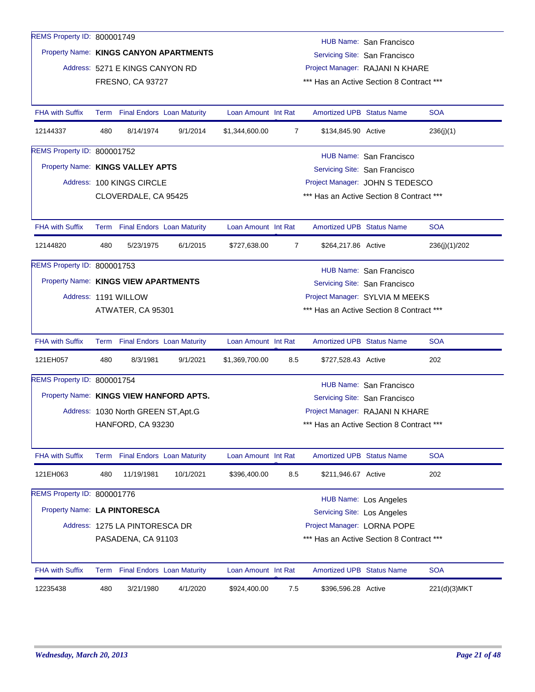| REMS Property ID: 800001749             |      |                                     |                                        |                     |                |                                    | HUB Name: San Francisco                  |               |
|-----------------------------------------|------|-------------------------------------|----------------------------------------|---------------------|----------------|------------------------------------|------------------------------------------|---------------|
|                                         |      |                                     | Property Name: KINGS CANYON APARTMENTS |                     |                |                                    | Servicing Site: San Francisco            |               |
|                                         |      | Address: 5271 E KINGS CANYON RD     |                                        |                     |                |                                    | Project Manager: RAJANI N KHARE          |               |
|                                         |      | <b>FRESNO, CA 93727</b>             |                                        |                     |                |                                    | *** Has an Active Section 8 Contract *** |               |
|                                         |      |                                     |                                        |                     |                |                                    |                                          |               |
| <b>FHA with Suffix</b>                  |      | Term Final Endors Loan Maturity     |                                        | Loan Amount Int Rat |                | <b>Amortized UPB Status Name</b>   |                                          | <b>SOA</b>    |
| 12144337                                | 480  | 8/14/1974                           | 9/1/2014                               | \$1,344,600.00      | 7              | \$134,845.90 Active                |                                          | 236(j)(1)     |
| REMS Property ID: 800001752             |      |                                     |                                        |                     |                |                                    | HUB Name: San Francisco                  |               |
| Property Name: KINGS VALLEY APTS        |      |                                     |                                        |                     |                |                                    | Servicing Site: San Francisco            |               |
|                                         |      | Address: 100 KINGS CIRCLE           |                                        |                     |                |                                    | Project Manager: JOHN S TEDESCO          |               |
|                                         |      | CLOVERDALE, CA 95425                |                                        |                     |                |                                    | *** Has an Active Section 8 Contract *** |               |
|                                         |      |                                     |                                        |                     |                |                                    |                                          |               |
| <b>FHA with Suffix</b>                  |      | Term Final Endors Loan Maturity     |                                        | Loan Amount Int Rat |                | <b>Amortized UPB Status Name</b>   |                                          | <b>SOA</b>    |
| 12144820                                | 480  | 5/23/1975                           | 6/1/2015                               | \$727,638.00        | $\overline{7}$ | \$264,217.86 Active                |                                          | 236(j)(1)/202 |
| <b>REMS Property ID: 800001753</b>      |      |                                     |                                        |                     |                |                                    | HUB Name: San Francisco                  |               |
| Property Name: KINGS VIEW APARTMENTS    |      |                                     |                                        |                     |                |                                    | Servicing Site: San Francisco            |               |
|                                         |      | Address: 1191 WILLOW                |                                        |                     |                |                                    | Project Manager: SYLVIA M MEEKS          |               |
|                                         |      | ATWATER, CA 95301                   |                                        |                     |                |                                    | *** Has an Active Section 8 Contract *** |               |
|                                         |      |                                     |                                        |                     |                |                                    |                                          |               |
| <b>FHA with Suffix</b>                  |      | Term Final Endors Loan Maturity     |                                        | Loan Amount Int Rat |                | <b>Amortized UPB Status Name</b>   |                                          | <b>SOA</b>    |
| 121EH057                                | 480  | 8/3/1981                            | 9/1/2021                               | \$1,369,700.00      | 8.5            | \$727,528.43 Active                |                                          | 202           |
| REMS Property ID: 800001754             |      |                                     |                                        |                     |                |                                    | HUB Name: San Francisco                  |               |
| Property Name: KINGS VIEW HANFORD APTS. |      |                                     |                                        |                     |                |                                    | Servicing Site: San Francisco            |               |
|                                         |      | Address: 1030 North GREEN ST, Apt.G |                                        |                     |                |                                    | Project Manager: RAJANI N KHARE          |               |
|                                         |      | HANFORD, CA 93230                   |                                        |                     |                |                                    | *** Has an Active Section 8 Contract *** |               |
|                                         |      |                                     |                                        |                     |                |                                    |                                          |               |
| <b>FHA with Suffix</b>                  | Term |                                     | <b>Final Endors Loan Maturity</b>      | Loan Amount Int Rat |                | <b>Amortized UPB Status Name</b>   |                                          | <b>SOA</b>    |
| 121EH063                                | 480  | 11/19/1981                          | 10/1/2021                              | \$396,400.00        | 8.5            | \$211,946.67 Active                |                                          | 202           |
| REMS Property ID: 800001776             |      |                                     |                                        |                     |                |                                    | <b>HUB Name: Los Angeles</b>             |               |
| Property Name: LA PINTORESCA            |      |                                     |                                        |                     |                | <b>Servicing Site: Los Angeles</b> |                                          |               |
|                                         |      | Address: 1275 LA PINTORESCA DR      |                                        |                     |                | Project Manager: LORNA POPE        |                                          |               |
|                                         |      | PASADENA, CA 91103                  |                                        |                     |                |                                    | *** Has an Active Section 8 Contract *** |               |
|                                         |      |                                     |                                        |                     |                |                                    |                                          |               |
| <b>FHA with Suffix</b>                  | Term |                                     | <b>Final Endors Loan Maturity</b>      | Loan Amount Int Rat |                | <b>Amortized UPB Status Name</b>   |                                          | <b>SOA</b>    |
| 12235438                                | 480  | 3/21/1980                           | 4/1/2020                               | \$924,400.00        | 7.5            | \$396,596.28 Active                |                                          | 221(d)(3)MKT  |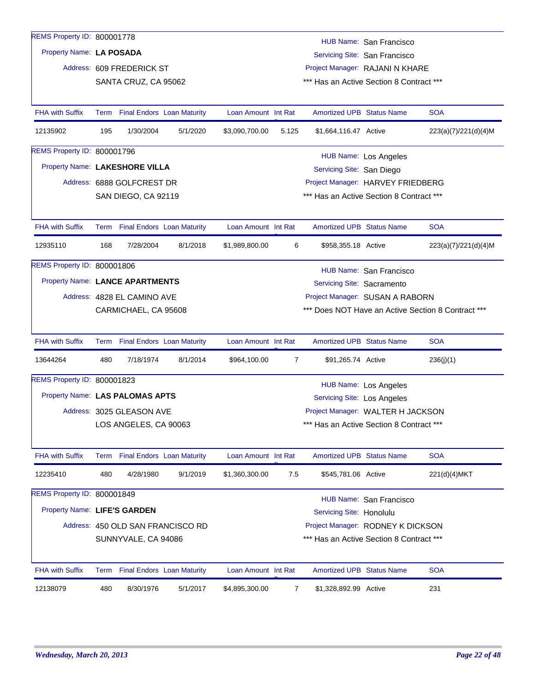| REMS Property ID: 800001778     |      |                                   |                                   |                     |                |                                  |                                          |                                                    |
|---------------------------------|------|-----------------------------------|-----------------------------------|---------------------|----------------|----------------------------------|------------------------------------------|----------------------------------------------------|
|                                 |      |                                   |                                   |                     |                |                                  | HUB Name: San Francisco                  |                                                    |
| Property Name: LA POSADA        |      |                                   |                                   |                     |                |                                  | Servicing Site: San Francisco            |                                                    |
|                                 |      | Address: 609 FREDERICK ST         |                                   |                     |                |                                  | Project Manager: RAJANI N KHARE          |                                                    |
|                                 |      | SANTA CRUZ, CA 95062              |                                   |                     |                |                                  | *** Has an Active Section 8 Contract *** |                                                    |
| <b>FHA with Suffix</b>          | Term |                                   | <b>Final Endors</b> Loan Maturity | Loan Amount Int Rat |                | <b>Amortized UPB Status Name</b> |                                          | <b>SOA</b>                                         |
| 12135902                        | 195  | 1/30/2004                         | 5/1/2020                          | \$3,090,700.00      | 5.125          | \$1,664,116.47 Active            |                                          | 223(a)(7)/221(d)(4)M                               |
| REMS Property ID: 800001796     |      |                                   |                                   |                     |                |                                  | <b>HUB Name: Los Angeles</b>             |                                                    |
| Property Name: LAKESHORE VILLA  |      |                                   |                                   |                     |                | Servicing Site: San Diego        |                                          |                                                    |
|                                 |      | Address: 6888 GOLFCREST DR        |                                   |                     |                |                                  | Project Manager: HARVEY FRIEDBERG        |                                                    |
|                                 |      | SAN DIEGO, CA 92119               |                                   |                     |                |                                  | *** Has an Active Section 8 Contract *** |                                                    |
|                                 |      |                                   |                                   |                     |                |                                  |                                          |                                                    |
| <b>FHA with Suffix</b>          |      | Term Final Endors Loan Maturity   |                                   | Loan Amount Int Rat |                | <b>Amortized UPB Status Name</b> |                                          | <b>SOA</b>                                         |
| 12935110                        | 168  | 7/28/2004                         | 8/1/2018                          | \$1,989,800.00      | 6              | \$958,355.18 Active              |                                          | 223(a)(7)/221(d)(4)M                               |
| REMS Property ID: 800001806     |      |                                   |                                   |                     |                |                                  | HUB Name: San Francisco                  |                                                    |
| Property Name: LANCE APARTMENTS |      |                                   |                                   |                     |                | Servicing Site: Sacramento       |                                          |                                                    |
|                                 |      | Address: 4828 EL CAMINO AVE       |                                   |                     |                |                                  | Project Manager: SUSAN A RABORN          |                                                    |
|                                 |      | CARMICHAEL, CA 95608              |                                   |                     |                |                                  |                                          | *** Does NOT Have an Active Section 8 Contract *** |
| <b>FHA with Suffix</b>          |      | Term Final Endors Loan Maturity   |                                   | Loan Amount Int Rat |                | <b>Amortized UPB Status Name</b> |                                          | <b>SOA</b>                                         |
| 13644264                        | 480  | 7/18/1974                         | 8/1/2014                          | \$964,100.00        | $\overline{7}$ | \$91,265.74 Active               |                                          | 236(j)(1)                                          |
| REMS Property ID: 800001823     |      |                                   |                                   |                     |                |                                  |                                          |                                                    |
| Property Name: LAS PALOMAS APTS |      |                                   |                                   |                     |                |                                  | <b>HUB Name: Los Angeles</b>             |                                                    |
|                                 |      | Address: 3025 GLEASON AVE         |                                   |                     |                | Servicing Site: Los Angeles      | Project Manager: WALTER H JACKSON        |                                                    |
|                                 |      | LOS ANGELES, CA 90063             |                                   |                     |                |                                  | *** Has an Active Section 8 Contract *** |                                                    |
|                                 |      |                                   |                                   |                     |                |                                  |                                          |                                                    |
| <b>FHA with Suffix</b>          | Term | <b>Final Endors Loan Maturity</b> |                                   | Loan Amount Int Rat |                | <b>Amortized UPB Status Name</b> |                                          | <b>SOA</b>                                         |
| 12235410                        | 480  | 4/28/1980                         | 9/1/2019                          | \$1,360,300.00      | 7.5            | \$545,781.06 Active              |                                          | 221(d)(4)MKT                                       |
| REMS Property ID: 800001849     |      |                                   |                                   |                     |                |                                  | HUB Name: San Francisco                  |                                                    |
| Property Name: LIFE'S GARDEN    |      |                                   |                                   |                     |                | Servicing Site: Honolulu         |                                          |                                                    |
|                                 |      |                                   | Address: 450 OLD SAN FRANCISCO RD |                     |                |                                  | Project Manager: RODNEY K DICKSON        |                                                    |
|                                 |      | SUNNYVALE, CA 94086               |                                   |                     |                |                                  | *** Has an Active Section 8 Contract *** |                                                    |
| FHA with Suffix                 |      | Term Final Endors Loan Maturity   |                                   | Loan Amount Int Rat |                | Amortized UPB Status Name        |                                          | <b>SOA</b>                                         |
| 12138079                        | 480  | 8/30/1976                         | 5/1/2017                          | \$4,895,300.00      | 7              | \$1,328,892.99 Active            |                                          | 231                                                |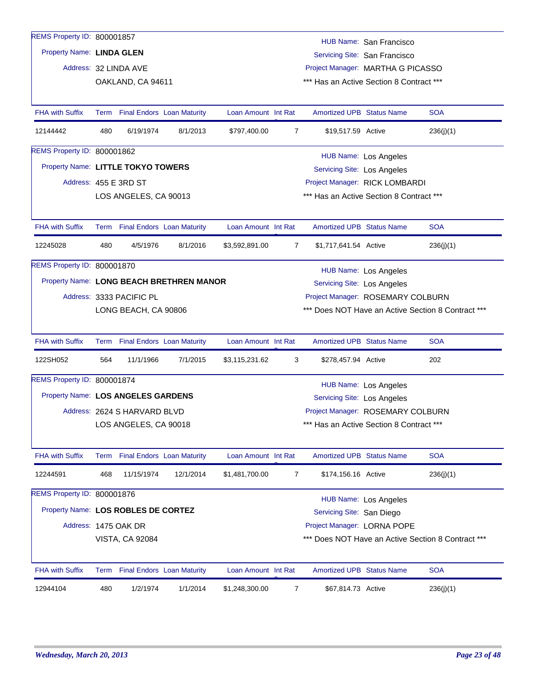| REMS Property ID: 800001857              |     |                                 |                                 |                                   |                |                                          | HUB Name: San Francisco           |                                                    |
|------------------------------------------|-----|---------------------------------|---------------------------------|-----------------------------------|----------------|------------------------------------------|-----------------------------------|----------------------------------------------------|
| Property Name: LINDA GLEN                |     |                                 |                                 |                                   |                |                                          | Servicing Site: San Francisco     |                                                    |
|                                          |     | Address: 32 LINDA AVE           |                                 |                                   |                | Project Manager: MARTHA G PICASSO        |                                   |                                                    |
|                                          |     | OAKLAND, CA 94611               |                                 |                                   |                | *** Has an Active Section 8 Contract *** |                                   |                                                    |
|                                          |     |                                 |                                 |                                   |                |                                          |                                   |                                                    |
| <b>FHA with Suffix</b>                   |     | Term Final Endors Loan Maturity |                                 | Loan Amount Int Rat               |                | <b>Amortized UPB Status Name</b>         |                                   | <b>SOA</b>                                         |
| 12144442                                 | 480 | 6/19/1974                       | 8/1/2013                        | \$797,400.00                      | $\overline{7}$ | \$19,517.59 Active                       |                                   | 236(j)(1)                                          |
| REMS Property ID: 800001862              |     |                                 |                                 |                                   |                |                                          | HUB Name: Los Angeles             |                                                    |
| Property Name: LITTLE TOKYO TOWERS       |     |                                 |                                 |                                   |                | Servicing Site: Los Angeles              |                                   |                                                    |
|                                          |     | Address: 455 E 3RD ST           |                                 |                                   |                | Project Manager: RICK LOMBARDI           |                                   |                                                    |
|                                          |     | LOS ANGELES, CA 90013           |                                 |                                   |                | *** Has an Active Section 8 Contract *** |                                   |                                                    |
|                                          |     |                                 |                                 |                                   |                |                                          |                                   |                                                    |
| <b>FHA with Suffix</b>                   |     |                                 | Term Final Endors Loan Maturity | Loan Amount Int Rat               |                | <b>Amortized UPB Status Name</b>         |                                   | <b>SOA</b>                                         |
| 12245028                                 | 480 | 4/5/1976                        | 8/1/2016                        | \$3,592,891.00                    | 7              | \$1,717,641.54 Active                    |                                   | 236(j)(1)                                          |
| REMS Property ID: 800001870              |     |                                 |                                 |                                   |                |                                          | <b>HUB Name: Los Angeles</b>      |                                                    |
| Property Name: LONG BEACH BRETHREN MANOR |     |                                 |                                 |                                   |                | <b>Servicing Site: Los Angeles</b>       |                                   |                                                    |
|                                          |     | Address: 3333 PACIFIC PL        |                                 | Project Manager: ROSEMARY COLBURN |                |                                          |                                   |                                                    |
|                                          |     | LONG BEACH, CA 90806            |                                 |                                   |                |                                          |                                   | *** Does NOT Have an Active Section 8 Contract *** |
|                                          |     |                                 |                                 |                                   |                |                                          |                                   |                                                    |
| <b>FHA with Suffix</b>                   |     |                                 | Term Final Endors Loan Maturity | Loan Amount Int Rat               |                | <b>Amortized UPB Status Name</b>         |                                   | <b>SOA</b>                                         |
| 122SH052                                 | 564 | 11/1/1966                       | 7/1/2015                        | \$3,115,231.62                    | 3              | \$278,457.94 Active                      |                                   | 202                                                |
| REMS Property ID: 800001874              |     |                                 |                                 |                                   |                |                                          | HUB Name: Los Angeles             |                                                    |
| Property Name: LOS ANGELES GARDENS       |     |                                 |                                 |                                   |                | Servicing Site: Los Angeles              |                                   |                                                    |
|                                          |     | Address: 2624 S HARVARD BLVD    |                                 |                                   |                |                                          | Project Manager: ROSEMARY COLBURN |                                                    |
|                                          |     | LOS ANGELES, CA 90018           |                                 |                                   |                | *** Has an Active Section 8 Contract *** |                                   |                                                    |
|                                          |     |                                 |                                 |                                   |                |                                          |                                   |                                                    |
| <b>FHA with Suffix</b>                   |     | Term Final Endors Loan Maturity |                                 | Loan Amount Int Rat               |                | Amortized UPB Status Name                |                                   | <b>SOA</b>                                         |
| 12244591                                 | 468 | 11/15/1974                      | 12/1/2014                       | \$1,481,700.00                    | 7              | \$174,156.16 Active                      |                                   | 236(j)(1)                                          |
| REMS Property ID: 800001876              |     |                                 |                                 |                                   |                |                                          | HUB Name: Los Angeles             |                                                    |
| Property Name: LOS ROBLES DE CORTEZ      |     |                                 |                                 |                                   |                | Servicing Site: San Diego                |                                   |                                                    |
|                                          |     | Address: 1475 OAK DR            |                                 |                                   |                | Project Manager: LORNA POPE              |                                   |                                                    |
|                                          |     | <b>VISTA, CA 92084</b>          |                                 |                                   |                |                                          |                                   | *** Does NOT Have an Active Section 8 Contract *** |
|                                          |     |                                 |                                 |                                   |                |                                          |                                   |                                                    |
| <b>FHA with Suffix</b>                   |     |                                 | Term Final Endors Loan Maturity | Loan Amount Int Rat               |                | <b>Amortized UPB Status Name</b>         |                                   | <b>SOA</b>                                         |
| 12944104                                 | 480 | 1/2/1974                        | 1/1/2014                        | \$1,248,300.00                    | 7              | \$67,814.73 Active                       |                                   | 236(j)(1)                                          |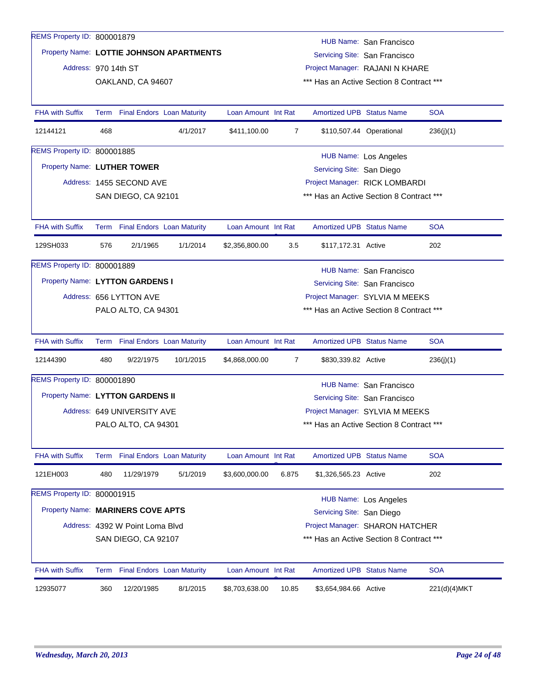| 8/1/2015<br>\$8,703,638.00                                                           | \$3,654,984.66 Active<br>10.85           |                                                                             | 221(d)(4)MKT                                                                                |
|--------------------------------------------------------------------------------------|------------------------------------------|-----------------------------------------------------------------------------|---------------------------------------------------------------------------------------------|
| <b>Final Endors Loan Maturity</b><br>Loan Amount Int Rat                             |                                          | Amortized UPB Status Name                                                   | <b>SOA</b>                                                                                  |
|                                                                                      |                                          |                                                                             |                                                                                             |
| Address: 4392 W Point Loma Blvd<br>SAN DIEGO, CA 92107                               |                                          | Project Manager: SHARON HATCHER<br>*** Has an Active Section 8 Contract *** |                                                                                             |
| Property Name: MARINERS COVE APTS                                                    |                                          | Servicing Site: San Diego                                                   |                                                                                             |
|                                                                                      |                                          | <b>HUB Name: Los Angeles</b>                                                |                                                                                             |
|                                                                                      |                                          |                                                                             |                                                                                             |
| 5/1/2019<br>\$3,600,000.00                                                           | \$1,326,565.23 Active<br>6.875           |                                                                             | 202                                                                                         |
| Term Final Endors Loan Maturity<br>Loan Amount Int Rat                               |                                          | <b>Amortized UPB Status Name</b>                                            | <b>SOA</b>                                                                                  |
| PALO ALTO, CA 94301                                                                  |                                          | *** Has an Active Section 8 Contract ***                                    |                                                                                             |
| Address: 649 UNIVERSITY AVE                                                          |                                          | Project Manager: SYLVIA M MEEKS                                             |                                                                                             |
| Property Name: LYTTON GARDENS II                                                     |                                          | Servicing Site: San Francisco                                               |                                                                                             |
|                                                                                      |                                          | HUB Name: San Francisco                                                     |                                                                                             |
| 10/1/2015<br>\$4,868,000.00                                                          | 7<br>\$830,339.82 Active                 |                                                                             | 236(j)(1)                                                                                   |
| Term Final Endors Loan Maturity<br>Loan Amount Int Rat                               |                                          | <b>Amortized UPB Status Name</b>                                            | <b>SOA</b>                                                                                  |
|                                                                                      |                                          |                                                                             |                                                                                             |
| PALO ALTO, CA 94301                                                                  |                                          | Project Manager: SYLVIA M MEEKS<br>*** Has an Active Section 8 Contract *** |                                                                                             |
|                                                                                      |                                          | Servicing Site: San Francisco                                               |                                                                                             |
|                                                                                      |                                          | HUB Name: San Francisco                                                     |                                                                                             |
|                                                                                      |                                          |                                                                             |                                                                                             |
| Term Final Endors Loan Maturity<br>Loan Amount Int Rat<br>1/1/2014<br>\$2,356,800.00 | 3.5                                      | <b>Amortized UPB Status Name</b><br>\$117,172.31 Active                     | <b>SOA</b><br>202                                                                           |
|                                                                                      |                                          |                                                                             |                                                                                             |
| SAN DIEGO, CA 92101                                                                  |                                          | *** Has an Active Section 8 Contract ***                                    |                                                                                             |
|                                                                                      |                                          | Project Manager: RICK LOMBARDI                                              |                                                                                             |
|                                                                                      |                                          | Servicing Site: San Diego                                                   |                                                                                             |
|                                                                                      |                                          | <b>HUB Name: Los Angeles</b>                                                |                                                                                             |
| 4/1/2017<br>\$411,100.00                                                             | 7                                        | \$110,507.44 Operational                                                    | 236(j)(1)                                                                                   |
| Term Final Endors Loan Maturity<br>Loan Amount Int Rat                               |                                          | <b>Amortized UPB Status Name</b>                                            | <b>SOA</b>                                                                                  |
|                                                                                      |                                          |                                                                             |                                                                                             |
| OAKLAND, CA 94607                                                                    |                                          | *** Has an Active Section 8 Contract ***                                    |                                                                                             |
|                                                                                      |                                          |                                                                             |                                                                                             |
|                                                                                      |                                          |                                                                             |                                                                                             |
|                                                                                      | Property Name: LOTTIE JOHNSON APARTMENTS |                                                                             | HUB Name: San Francisco<br>Servicing Site: San Francisco<br>Project Manager: RAJANI N KHARE |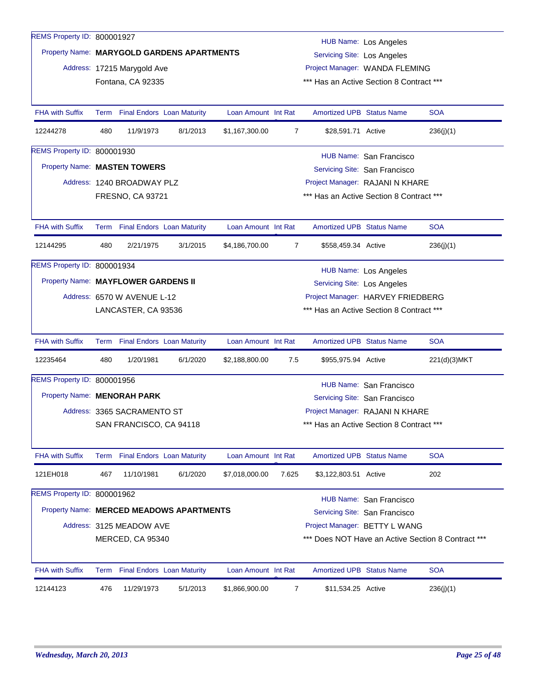| REMS Property ID: 800001927         |     |                             |                                            |                     |                |                                                          | <b>HUB Name: Los Angeles</b>             |                                                    |  |  |
|-------------------------------------|-----|-----------------------------|--------------------------------------------|---------------------|----------------|----------------------------------------------------------|------------------------------------------|----------------------------------------------------|--|--|
|                                     |     |                             | Property Name: MARYGOLD GARDENS APARTMENTS |                     |                | <b>Servicing Site: Los Angeles</b>                       |                                          |                                                    |  |  |
|                                     |     | Address: 17215 Marygold Ave |                                            |                     |                |                                                          | Project Manager: WANDA FLEMING           |                                                    |  |  |
|                                     |     | Fontana, CA 92335           |                                            |                     |                |                                                          | *** Has an Active Section 8 Contract *** |                                                    |  |  |
|                                     |     |                             |                                            |                     |                |                                                          |                                          |                                                    |  |  |
| <b>FHA with Suffix</b>              |     |                             | Term Final Endors Loan Maturity            | Loan Amount Int Rat |                | <b>Amortized UPB Status Name</b>                         |                                          | <b>SOA</b>                                         |  |  |
| 12244278                            | 480 | 11/9/1973                   | 8/1/2013                                   | \$1,167,300.00      | $\overline{7}$ | \$28,591.71 Active                                       |                                          | 236(j)(1)                                          |  |  |
| REMS Property ID: 800001930         |     |                             |                                            |                     |                |                                                          | HUB Name: San Francisco                  |                                                    |  |  |
| Property Name: MASTEN TOWERS        |     |                             |                                            |                     |                | Servicing Site: San Francisco                            |                                          |                                                    |  |  |
|                                     |     | Address: 1240 BROADWAY PLZ  |                                            |                     |                |                                                          | Project Manager: RAJANI N KHARE          |                                                    |  |  |
|                                     |     | FRESNO, CA 93721            |                                            |                     |                |                                                          | *** Has an Active Section 8 Contract *** |                                                    |  |  |
|                                     |     |                             |                                            |                     |                |                                                          |                                          |                                                    |  |  |
| <b>FHA with Suffix</b>              |     |                             | Term Final Endors Loan Maturity            | Loan Amount Int Rat |                | <b>Amortized UPB Status Name</b>                         |                                          | <b>SOA</b>                                         |  |  |
| 12144295                            | 480 | 2/21/1975                   | 3/1/2015                                   | \$4,186,700.00      | 7              | \$558,459.34 Active                                      |                                          | 236(j)(1)                                          |  |  |
| REMS Property ID: 800001934         |     |                             |                                            |                     |                |                                                          | <b>HUB Name: Los Angeles</b>             |                                                    |  |  |
| Property Name: MAYFLOWER GARDENS II |     |                             |                                            |                     |                | <b>Servicing Site: Los Angeles</b>                       |                                          |                                                    |  |  |
|                                     |     | Address: 6570 W AVENUE L-12 |                                            |                     |                |                                                          | Project Manager: HARVEY FRIEDBERG        |                                                    |  |  |
|                                     |     | LANCASTER, CA 93536         |                                            |                     |                |                                                          | *** Has an Active Section 8 Contract *** |                                                    |  |  |
|                                     |     |                             |                                            |                     |                |                                                          |                                          |                                                    |  |  |
| <b>FHA with Suffix</b>              |     |                             | Term Final Endors Loan Maturity            | Loan Amount Int Rat |                | <b>Amortized UPB Status Name</b>                         |                                          | <b>SOA</b>                                         |  |  |
| 12235464                            | 480 | 1/20/1981                   | 6/1/2020                                   | \$2,188,800.00      | 7.5            | \$955,975.94 Active                                      |                                          | 221(d)(3)MKT                                       |  |  |
| REMS Property ID: 800001956         |     |                             |                                            |                     |                |                                                          | <b>HUB Name: San Francisco</b>           |                                                    |  |  |
| Property Name: MENORAH PARK         |     |                             |                                            |                     |                |                                                          | Servicing Site: San Francisco            |                                                    |  |  |
|                                     |     | Address: 3365 SACRAMENTO ST |                                            |                     |                |                                                          | Project Manager: RAJANI N KHARE          |                                                    |  |  |
|                                     |     | SAN FRANCISCO, CA 94118     |                                            |                     |                |                                                          | *** Has an Active Section 8 Contract *** |                                                    |  |  |
|                                     |     |                             |                                            |                     |                |                                                          |                                          |                                                    |  |  |
| <b>FHA with Suffix</b>              |     |                             | Term Final Endors Loan Maturity            | Loan Amount Int Rat |                | <b>Amortized UPB Status Name</b>                         |                                          | <b>SOA</b>                                         |  |  |
| 121EH018                            | 467 | 11/10/1981                  | 6/1/2020                                   | \$7,018,000.00      | 7.625          | \$3,122,803.51 Active                                    |                                          | 202                                                |  |  |
| REMS Property ID: 800001962         |     |                             |                                            |                     |                |                                                          |                                          |                                                    |  |  |
|                                     |     |                             | Property Name: MERCED MEADOWS APARTMENTS   |                     |                | HUB Name: San Francisco<br>Servicing Site: San Francisco |                                          |                                                    |  |  |
|                                     |     | Address: 3125 MEADOW AVE    |                                            |                     |                |                                                          | Project Manager: BETTY L WANG            |                                                    |  |  |
|                                     |     | MERCED, CA 95340            |                                            |                     |                |                                                          |                                          | *** Does NOT Have an Active Section 8 Contract *** |  |  |
|                                     |     |                             |                                            |                     |                |                                                          |                                          |                                                    |  |  |
| FHA with Suffix                     |     |                             | Term Final Endors Loan Maturity            | Loan Amount Int Rat |                | Amortized UPB Status Name                                |                                          | <b>SOA</b>                                         |  |  |
| 12144123                            | 476 | 11/29/1973                  | 5/1/2013                                   | \$1,866,900.00      | $\overline{7}$ | \$11,534.25 Active                                       |                                          | 236(j)(1)                                          |  |  |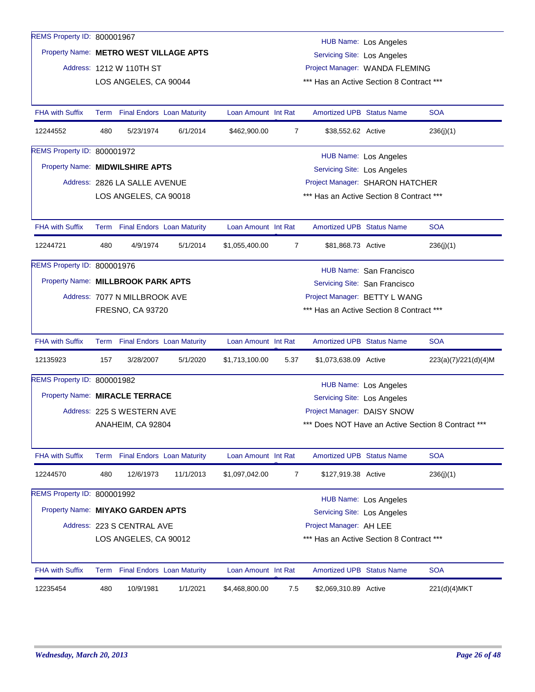| REMS Property ID: 800001967            |      |                                   |           |                     |      |                                    | <b>HUB Name: Los Angeles</b>             |                                                    |
|----------------------------------------|------|-----------------------------------|-----------|---------------------|------|------------------------------------|------------------------------------------|----------------------------------------------------|
| Property Name: METRO WEST VILLAGE APTS |      |                                   |           |                     |      | <b>Servicing Site: Los Angeles</b> |                                          |                                                    |
|                                        |      | Address: 1212 W 110TH ST          |           |                     |      |                                    | Project Manager: WANDA FLEMING           |                                                    |
|                                        |      | LOS ANGELES, CA 90044             |           |                     |      |                                    | *** Has an Active Section 8 Contract *** |                                                    |
|                                        |      |                                   |           |                     |      |                                    |                                          |                                                    |
| <b>FHA with Suffix</b>                 |      | Term Final Endors Loan Maturity   |           | Loan Amount Int Rat |      | <b>Amortized UPB Status Name</b>   |                                          | <b>SOA</b>                                         |
| 12244552                               | 480  | 5/23/1974                         | 6/1/2014  | \$462,900.00        | 7    | \$38,552.62 Active                 |                                          | 236(i)(1)                                          |
| REMS Property ID: 800001972            |      |                                   |           |                     |      |                                    | <b>HUB Name: Los Angeles</b>             |                                                    |
| Property Name: MIDWILSHIRE APTS        |      |                                   |           |                     |      | <b>Servicing Site: Los Angeles</b> |                                          |                                                    |
|                                        |      | Address: 2826 LA SALLE AVENUE     |           |                     |      |                                    | Project Manager: SHARON HATCHER          |                                                    |
|                                        |      | LOS ANGELES, CA 90018             |           |                     |      |                                    | *** Has an Active Section 8 Contract *** |                                                    |
|                                        |      |                                   |           |                     |      |                                    |                                          |                                                    |
| <b>FHA with Suffix</b>                 | Term | <b>Final Endors Loan Maturity</b> |           | Loan Amount Int Rat |      | Amortized UPB Status Name          |                                          | <b>SOA</b>                                         |
| 12244721                               | 480  | 4/9/1974                          | 5/1/2014  | \$1,055,400.00      | 7    | \$81,868.73 Active                 |                                          | 236(j)(1)                                          |
| REMS Property ID: 800001976            |      |                                   |           |                     |      |                                    | HUB Name: San Francisco                  |                                                    |
| Property Name: MILLBROOK PARK APTS     |      |                                   |           |                     |      |                                    | Servicing Site: San Francisco            |                                                    |
|                                        |      | Address: 7077 N MILLBROOK AVE     |           |                     |      |                                    | Project Manager: BETTY L WANG            |                                                    |
|                                        |      | <b>FRESNO, CA 93720</b>           |           |                     |      |                                    | *** Has an Active Section 8 Contract *** |                                                    |
|                                        |      |                                   |           |                     |      |                                    |                                          |                                                    |
| <b>FHA with Suffix</b>                 |      | Term Final Endors Loan Maturity   |           | Loan Amount Int Rat |      | <b>Amortized UPB Status Name</b>   |                                          | <b>SOA</b>                                         |
| 12135923                               | 157  | 3/28/2007                         | 5/1/2020  | \$1,713,100.00      | 5.37 | \$1,073,638.09 Active              |                                          | 223(a)(7)/221(d)(4)M                               |
| REMS Property ID: 800001982            |      |                                   |           |                     |      |                                    | <b>HUB Name: Los Angeles</b>             |                                                    |
| Property Name: MIRACLE TERRACE         |      |                                   |           |                     |      | Servicing Site: Los Angeles        |                                          |                                                    |
|                                        |      | Address: 225 S WESTERN AVE        |           |                     |      | Project Manager: DAISY SNOW        |                                          |                                                    |
|                                        |      | ANAHEIM, CA 92804                 |           |                     |      |                                    |                                          | *** Does NOT Have an Active Section 8 Contract *** |
|                                        |      |                                   |           |                     |      |                                    |                                          |                                                    |
| <b>FHA with Suffix</b>                 |      | Term Final Endors Loan Maturity   |           | Loan Amount Int Rat |      | <b>Amortized UPB Status Name</b>   |                                          | <b>SOA</b>                                         |
| 12244570                               | 480  | 12/6/1973                         | 11/1/2013 | \$1,097,042.00      | 7    | \$127,919.38 Active                |                                          | 236(j)(1)                                          |
| REMS Property ID: 800001992            |      |                                   |           |                     |      |                                    | HUB Name: Los Angeles                    |                                                    |
| Property Name: MIYAKO GARDEN APTS      |      |                                   |           |                     |      | <b>Servicing Site: Los Angeles</b> |                                          |                                                    |
|                                        |      | Address: 223 S CENTRAL AVE        |           |                     |      | Project Manager: AH LEE            |                                          |                                                    |
|                                        |      | LOS ANGELES, CA 90012             |           |                     |      |                                    | *** Has an Active Section 8 Contract *** |                                                    |
|                                        |      |                                   |           |                     |      |                                    |                                          |                                                    |
| <b>FHA with Suffix</b>                 | Term | <b>Final Endors Loan Maturity</b> |           | Loan Amount Int Rat |      | <b>Amortized UPB Status Name</b>   |                                          | <b>SOA</b>                                         |
| 12235454                               | 480  | 10/9/1981                         | 1/1/2021  | \$4,468,800.00      | 7.5  | \$2,069,310.89 Active              |                                          | 221(d)(4)MKT                                       |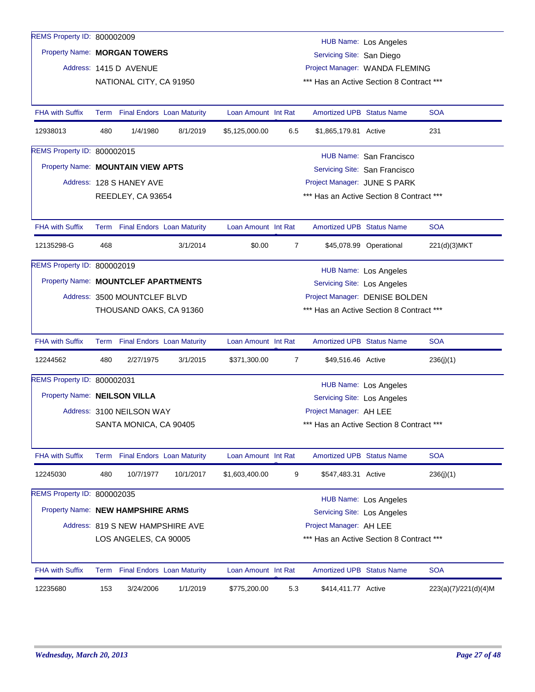| REMS Property ID: 800002009         |     |                                  |           |                     |                |                                          | HUB Name: Los Angeles         |                      |
|-------------------------------------|-----|----------------------------------|-----------|---------------------|----------------|------------------------------------------|-------------------------------|----------------------|
| Property Name: MORGAN TOWERS        |     |                                  |           |                     |                | Servicing Site: San Diego                |                               |                      |
|                                     |     | Address: 1415 D AVENUE           |           |                     |                | Project Manager: WANDA FLEMING           |                               |                      |
|                                     |     | NATIONAL CITY, CA 91950          |           |                     |                | *** Has an Active Section 8 Contract *** |                               |                      |
|                                     |     |                                  |           |                     |                |                                          |                               |                      |
| <b>FHA with Suffix</b>              |     | Term Final Endors Loan Maturity  |           | Loan Amount Int Rat |                | <b>Amortized UPB Status Name</b>         |                               | <b>SOA</b>           |
| 12938013                            | 480 | 1/4/1980                         | 8/1/2019  | \$5,125,000.00      | 6.5            | \$1,865,179.81 Active                    |                               | 231                  |
| REMS Property ID: 800002015         |     |                                  |           |                     |                |                                          | HUB Name: San Francisco       |                      |
| Property Name: MOUNTAIN VIEW APTS   |     |                                  |           |                     |                |                                          | Servicing Site: San Francisco |                      |
|                                     |     | Address: 128 S HANEY AVE         |           |                     |                | Project Manager: JUNE S PARK             |                               |                      |
|                                     |     | REEDLEY, CA 93654                |           |                     |                | *** Has an Active Section 8 Contract *** |                               |                      |
|                                     |     |                                  |           |                     |                |                                          |                               |                      |
| <b>FHA with Suffix</b>              |     | Term Final Endors Loan Maturity  |           | Loan Amount Int Rat |                | <b>Amortized UPB Status Name</b>         |                               | <b>SOA</b>           |
| 12135298-G                          | 468 |                                  | 3/1/2014  | \$0.00              | 7              |                                          | \$45,078.99 Operational       | 221(d)(3)MKT         |
| REMS Property ID: 800002019         |     |                                  |           |                     |                |                                          | <b>HUB Name: Los Angeles</b>  |                      |
| Property Name: MOUNTCLEF APARTMENTS |     |                                  |           |                     |                | <b>Servicing Site: Los Angeles</b>       |                               |                      |
|                                     |     | Address: 3500 MOUNTCLEF BLVD     |           |                     |                | Project Manager: DENISE BOLDEN           |                               |                      |
|                                     |     | THOUSAND OAKS, CA 91360          |           |                     |                | *** Has an Active Section 8 Contract *** |                               |                      |
|                                     |     |                                  |           |                     |                |                                          |                               |                      |
| <b>FHA with Suffix</b>              |     | Term Final Endors Loan Maturity  |           | Loan Amount Int Rat |                | <b>Amortized UPB Status Name</b>         |                               | <b>SOA</b>           |
| 12244562                            | 480 | 2/27/1975                        | 3/1/2015  | \$371,300.00        | $\overline{7}$ | \$49,516.46 Active                       |                               | 236(j)(1)            |
| REMS Property ID: 800002031         |     |                                  |           |                     |                |                                          | HUB Name: Los Angeles         |                      |
| Property Name: NEILSON VILLA        |     |                                  |           |                     |                | Servicing Site: Los Angeles              |                               |                      |
|                                     |     | Address: 3100 NEILSON WAY        |           |                     |                | Project Manager: AH LEE                  |                               |                      |
|                                     |     | SANTA MONICA, CA 90405           |           |                     |                | *** Has an Active Section 8 Contract *** |                               |                      |
|                                     |     |                                  |           |                     |                |                                          |                               |                      |
| <b>FHA with Suffix</b>              |     | Term Final Endors Loan Maturity  |           | Loan Amount Int Rat |                | Amortized UPB Status Name                |                               | <b>SOA</b>           |
| 12245030                            | 480 | 10/7/1977                        | 10/1/2017 | \$1,603,400.00      | 9              | \$547,483.31 Active                      |                               | 236(j)(1)            |
| REMS Property ID: 800002035         |     |                                  |           |                     |                |                                          |                               |                      |
| Property Name: NEW HAMPSHIRE ARMS   |     |                                  |           |                     |                | Servicing Site: Los Angeles              | HUB Name: Los Angeles         |                      |
|                                     |     | Address: 819 S NEW HAMPSHIRE AVE |           |                     |                | Project Manager: AH LEE                  |                               |                      |
|                                     |     | LOS ANGELES, CA 90005            |           |                     |                | *** Has an Active Section 8 Contract *** |                               |                      |
|                                     |     |                                  |           |                     |                |                                          |                               |                      |
| <b>FHA with Suffix</b>              |     | Term Final Endors Loan Maturity  |           | Loan Amount Int Rat |                | <b>Amortized UPB Status Name</b>         |                               | <b>SOA</b>           |
| 12235680                            | 153 | 3/24/2006                        | 1/1/2019  | \$775,200.00        | 5.3            | \$414,411.77 Active                      |                               | 223(a)(7)/221(d)(4)M |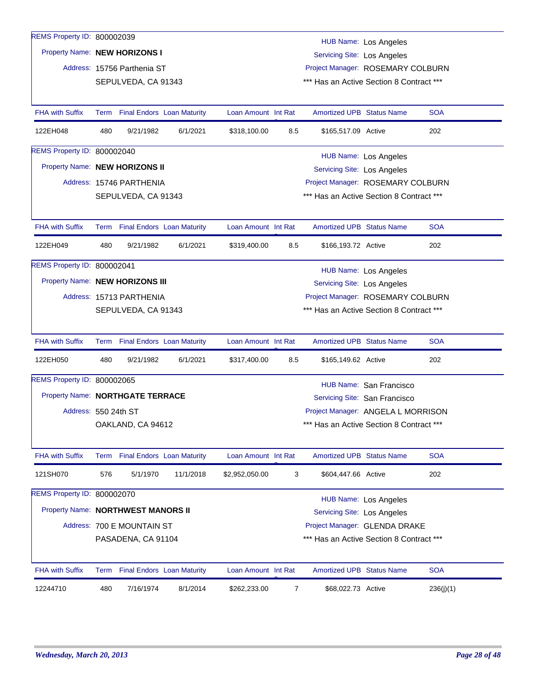| Property Name: NEW HORIZONS I      |      |                                 |                                    |                     |                | <b>Servicing Site: Los Angeles</b>       | <b>HUB Name: Los Angeles</b>       |            |
|------------------------------------|------|---------------------------------|------------------------------------|---------------------|----------------|------------------------------------------|------------------------------------|------------|
|                                    |      | Address: 15756 Parthenia ST     |                                    |                     |                |                                          | Project Manager: ROSEMARY COLBURN  |            |
|                                    |      | SEPULVEDA, CA 91343             |                                    |                     |                | *** Has an Active Section 8 Contract *** |                                    |            |
| <b>FHA with Suffix</b>             | Term |                                 | <b>Final Endors Loan Maturity</b>  | Loan Amount Int Rat |                | <b>Amortized UPB Status Name</b>         |                                    | <b>SOA</b> |
| 122EH048                           | 480  | 9/21/1982                       | 6/1/2021                           | \$318,100.00        | 8.5            | \$165,517.09 Active                      |                                    | 202        |
| REMS Property ID: 800002040        |      |                                 |                                    |                     |                |                                          | <b>HUB Name: Los Angeles</b>       |            |
| Property Name: NEW HORIZONS II     |      |                                 |                                    |                     |                | <b>Servicing Site: Los Angeles</b>       |                                    |            |
|                                    |      | Address: 15746 PARTHENIA        |                                    |                     |                |                                          | Project Manager: ROSEMARY COLBURN  |            |
|                                    |      | SEPULVEDA, CA 91343             |                                    |                     |                | *** Has an Active Section 8 Contract *** |                                    |            |
| <b>FHA with Suffix</b>             | Term |                                 | <b>Final Endors Loan Maturity</b>  | Loan Amount Int Rat |                | <b>Amortized UPB Status Name</b>         |                                    | <b>SOA</b> |
| 122EH049                           | 480  | 9/21/1982                       | 6/1/2021                           | \$319,400.00        | 8.5            | \$166,193.72 Active                      |                                    | 202        |
| REMS Property ID: 800002041        |      |                                 |                                    |                     |                |                                          | HUB Name: Los Angeles              |            |
| Property Name: NEW HORIZONS III    |      |                                 | <b>Servicing Site: Los Angeles</b> |                     |                |                                          |                                    |            |
|                                    |      | Address: 15713 PARTHENIA        |                                    |                     |                |                                          | Project Manager: ROSEMARY COLBURN  |            |
|                                    |      | SEPULVEDA, CA 91343             |                                    |                     |                | *** Has an Active Section 8 Contract *** |                                    |            |
| <b>FHA with Suffix</b>             |      | Term Final Endors Loan Maturity |                                    | Loan Amount Int Rat |                | <b>Amortized UPB Status Name</b>         |                                    | <b>SOA</b> |
| 122EH050                           | 480  | 9/21/1982                       | 6/1/2021                           | \$317,400.00        | 8.5            | \$165,149.62 Active                      |                                    | 202        |
| REMS Property ID: 800002065        |      |                                 |                                    |                     |                |                                          | HUB Name: San Francisco            |            |
| Property Name: NORTHGATE TERRACE   |      |                                 |                                    |                     |                |                                          | Servicing Site: San Francisco      |            |
| Address: 550 24th ST               |      |                                 |                                    |                     |                |                                          | Project Manager: ANGELA L MORRISON |            |
|                                    |      | OAKLAND, CA 94612               |                                    |                     |                | *** Has an Active Section 8 Contract *** |                                    |            |
| <b>FHA with Suffix</b>             |      | Term Final Endors Loan Maturity |                                    | Loan Amount Int Rat |                | <b>Amortized UPB Status Name</b>         |                                    | <b>SOA</b> |
| 121SH070                           | 576  | 5/1/1970                        | 11/1/2018                          | \$2,952,050.00      | 3              | \$604,447.66 Active                      |                                    | 202        |
| REMS Property ID: 800002070        |      |                                 |                                    |                     |                |                                          | <b>HUB Name: Los Angeles</b>       |            |
| Property Name: NORTHWEST MANORS II |      |                                 |                                    |                     |                | <b>Servicing Site: Los Angeles</b>       |                                    |            |
|                                    |      | Address: 700 E MOUNTAIN ST      |                                    |                     |                |                                          | Project Manager: GLENDA DRAKE      |            |
|                                    |      | PASADENA, CA 91104              |                                    |                     |                | *** Has an Active Section 8 Contract *** |                                    |            |
| <b>FHA with Suffix</b>             |      | Term Final Endors Loan Maturity |                                    | Loan Amount Int Rat |                | Amortized UPB Status Name                |                                    | <b>SOA</b> |
| 12244710                           | 480  | 7/16/1974                       | 8/1/2014                           | \$262,233.00        | $\overline{7}$ | \$68,022.73 Active                       |                                    | 236(j)(1)  |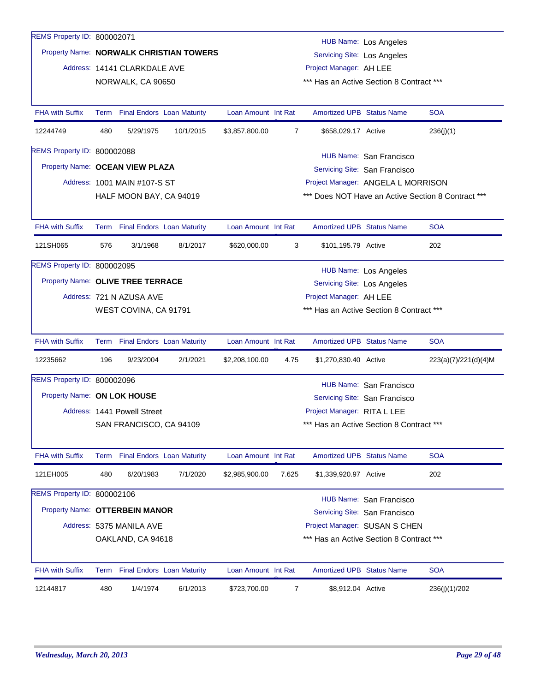| REMS Property ID: 800002071       |      |                                   |                                         |                     |                |                                    |                                          |                                                    |
|-----------------------------------|------|-----------------------------------|-----------------------------------------|---------------------|----------------|------------------------------------|------------------------------------------|----------------------------------------------------|
|                                   |      |                                   | Property Name: NORWALK CHRISTIAN TOWERS |                     |                |                                    | <b>HUB Name: Los Angeles</b>             |                                                    |
|                                   |      |                                   |                                         |                     |                | <b>Servicing Site: Los Angeles</b> |                                          |                                                    |
|                                   |      | Address: 14141 CLARKDALE AVE      |                                         |                     |                | Project Manager: AH LEE            |                                          |                                                    |
|                                   |      | NORWALK, CA 90650                 |                                         |                     |                |                                    | *** Has an Active Section 8 Contract *** |                                                    |
| <b>FHA with Suffix</b>            |      | Term Final Endors Loan Maturity   |                                         | Loan Amount Int Rat |                | <b>Amortized UPB Status Name</b>   |                                          | <b>SOA</b>                                         |
| 12244749                          | 480  | 5/29/1975                         | 10/1/2015                               | \$3,857,800.00      | $\overline{7}$ | \$658,029.17 Active                |                                          | 236(j)(1)                                          |
| REMS Property ID: 800002088       |      |                                   |                                         |                     |                |                                    | HUB Name: San Francisco                  |                                                    |
| Property Name: OCEAN VIEW PLAZA   |      |                                   |                                         |                     |                |                                    | Servicing Site: San Francisco            |                                                    |
|                                   |      | Address: 1001 MAIN #107-S ST      |                                         |                     |                |                                    | Project Manager: ANGELA L MORRISON       |                                                    |
|                                   |      | HALF MOON BAY, CA 94019           |                                         |                     |                |                                    |                                          | *** Does NOT Have an Active Section 8 Contract *** |
|                                   |      |                                   |                                         |                     |                |                                    |                                          |                                                    |
| <b>FHA with Suffix</b>            |      | Term Final Endors Loan Maturity   |                                         | Loan Amount Int Rat |                | Amortized UPB Status Name          |                                          | <b>SOA</b>                                         |
| 121SH065                          | 576  | 3/1/1968                          | 8/1/2017                                | \$620,000.00        | 3              | \$101,195.79 Active                |                                          | 202                                                |
| REMS Property ID: 800002095       |      |                                   |                                         |                     |                |                                    | <b>HUB Name: Los Angeles</b>             |                                                    |
| Property Name: OLIVE TREE TERRACE |      |                                   |                                         |                     |                | Servicing Site: Los Angeles        |                                          |                                                    |
|                                   |      | Address: 721 N AZUSA AVE          |                                         |                     |                | Project Manager: AH LEE            |                                          |                                                    |
|                                   |      | WEST COVINA, CA 91791             |                                         |                     |                |                                    | *** Has an Active Section 8 Contract *** |                                                    |
| <b>FHA with Suffix</b>            | Term | <b>Final Endors Loan Maturity</b> |                                         | Loan Amount Int Rat |                | <b>Amortized UPB Status Name</b>   |                                          | <b>SOA</b>                                         |
| 12235662                          | 196  | 9/23/2004                         | 2/1/2021                                | \$2,208,100.00      | 4.75           | \$1,270,830.40 Active              |                                          | 223(a)(7)/221(d)(4)M                               |
| REMS Property ID: 800002096       |      |                                   |                                         |                     |                |                                    | HUB Name: San Francisco                  |                                                    |
| Property Name: ON LOK HOUSE       |      |                                   |                                         |                     |                |                                    | Servicing Site: San Francisco            |                                                    |
|                                   |      | Address: 1441 Powell Street       |                                         |                     |                | Project Manager: RITA L LEE        |                                          |                                                    |
|                                   |      | SAN FRANCISCO, CA 94109           |                                         |                     |                |                                    | *** Has an Active Section 8 Contract *** |                                                    |
|                                   |      |                                   |                                         |                     |                |                                    |                                          |                                                    |
| <b>FHA with Suffix</b>            | Term | <b>Final Endors Loan Maturity</b> |                                         | Loan Amount Int Rat |                | <b>Amortized UPB Status Name</b>   |                                          | <b>SOA</b>                                         |
| 121EH005                          | 480  | 6/20/1983                         | 7/1/2020                                | \$2,985,900.00      | 7.625          | \$1,339,920.97 Active              |                                          | 202                                                |
| REMS Property ID: 800002106       |      |                                   |                                         |                     |                |                                    | HUB Name: San Francisco                  |                                                    |
| Property Name: OTTERBEIN MANOR    |      |                                   |                                         |                     |                |                                    | Servicing Site: San Francisco            |                                                    |
|                                   |      | Address: 5375 MANILA AVE          |                                         |                     |                |                                    | Project Manager: SUSAN S CHEN            |                                                    |
|                                   |      | OAKLAND, CA 94618                 |                                         |                     |                |                                    | *** Has an Active Section 8 Contract *** |                                                    |
| <b>FHA with Suffix</b>            |      | Term Final Endors Loan Maturity   |                                         | Loan Amount Int Rat |                | <b>Amortized UPB Status Name</b>   |                                          | <b>SOA</b>                                         |
|                                   |      |                                   |                                         |                     |                |                                    |                                          |                                                    |
| 12144817                          | 480  | 1/4/1974                          | 6/1/2013                                | \$723,700.00        | 7              | \$8,912.04 Active                  |                                          | 236(j)(1)/202                                      |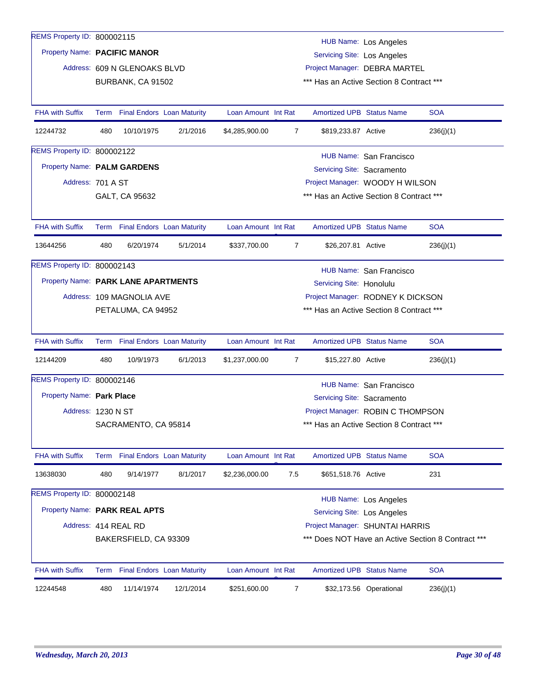| REMS Property ID: 800002115         |                                                 |                              |                                 |                     |                |                                    | <b>HUB Name: Los Angeles</b>             |                                                    |
|-------------------------------------|-------------------------------------------------|------------------------------|---------------------------------|---------------------|----------------|------------------------------------|------------------------------------------|----------------------------------------------------|
| Property Name: PACIFIC MANOR        |                                                 |                              |                                 |                     |                | <b>Servicing Site: Los Angeles</b> |                                          |                                                    |
|                                     |                                                 | Address: 609 N GLENOAKS BLVD |                                 |                     |                |                                    | Project Manager: DEBRA MARTEL            |                                                    |
|                                     |                                                 | BURBANK, CA 91502            |                                 |                     |                |                                    | *** Has an Active Section 8 Contract *** |                                                    |
|                                     |                                                 |                              |                                 |                     |                |                                    |                                          |                                                    |
| <b>FHA with Suffix</b>              |                                                 |                              | Term Final Endors Loan Maturity | Loan Amount Int Rat |                | <b>Amortized UPB Status Name</b>   |                                          | <b>SOA</b>                                         |
| 12244732                            | 480                                             | 10/10/1975                   | 2/1/2016                        | \$4,285,900.00      | 7              | \$819,233.87 Active                |                                          | 236(i)(1)                                          |
| REMS Property ID: 800002122         |                                                 |                              |                                 |                     |                |                                    |                                          |                                                    |
| Property Name: PALM GARDENS         |                                                 |                              |                                 |                     |                | Servicing Site: Sacramento         | HUB Name: San Francisco                  |                                                    |
| Address: 701 A ST                   |                                                 |                              |                                 |                     |                |                                    | Project Manager: WOODY H WILSON          |                                                    |
|                                     |                                                 | GALT, CA 95632               |                                 |                     |                |                                    | *** Has an Active Section 8 Contract *** |                                                    |
|                                     |                                                 |                              |                                 |                     |                |                                    |                                          |                                                    |
| <b>FHA with Suffix</b>              |                                                 |                              | Term Final Endors Loan Maturity | Loan Amount Int Rat |                | <b>Amortized UPB Status Name</b>   |                                          | <b>SOA</b>                                         |
| 13644256                            | 480                                             | 6/20/1974                    | 5/1/2014                        | \$337,700.00        | 7              | \$26,207.81 Active                 |                                          | 236(j)(1)                                          |
| REMS Property ID: 800002143         |                                                 |                              |                                 |                     |                |                                    |                                          |                                                    |
| Property Name: PARK LANE APARTMENTS |                                                 |                              |                                 |                     |                | Servicing Site: Honolulu           | HUB Name: San Francisco                  |                                                    |
|                                     |                                                 |                              |                                 |                     |                |                                    | Project Manager: RODNEY K DICKSON        |                                                    |
|                                     | Address: 109 MAGNOLIA AVE<br>PETALUMA, CA 94952 |                              |                                 |                     |                |                                    | *** Has an Active Section 8 Contract *** |                                                    |
|                                     |                                                 |                              |                                 |                     |                |                                    |                                          |                                                    |
| <b>FHA with Suffix</b>              |                                                 |                              | Term Final Endors Loan Maturity | Loan Amount Int Rat |                | Amortized UPB Status Name          |                                          | <b>SOA</b>                                         |
| 12144209                            | 480                                             | 10/9/1973                    | 6/1/2013                        | \$1,237,000.00      | $\overline{7}$ | \$15,227.80 Active                 |                                          | 236(j)(1)                                          |
| REMS Property ID: 800002146         |                                                 |                              |                                 |                     |                |                                    | HUB Name: San Francisco                  |                                                    |
| Property Name: Park Place           |                                                 |                              |                                 |                     |                | Servicing Site: Sacramento         |                                          |                                                    |
| Address: 1230 N ST                  |                                                 |                              |                                 |                     |                |                                    | Project Manager: ROBIN C THOMPSON        |                                                    |
|                                     |                                                 | SACRAMENTO, CA 95814         |                                 |                     |                |                                    | *** Has an Active Section 8 Contract *** |                                                    |
|                                     |                                                 |                              |                                 |                     |                |                                    |                                          |                                                    |
| <b>FHA with Suffix</b>              |                                                 |                              | Term Final Endors Loan Maturity | Loan Amount Int Rat |                | Amortized UPB Status Name          |                                          | <b>SOA</b>                                         |
| 13638030                            | 480                                             | 9/14/1977                    | 8/1/2017                        | \$2,236,000.00      | 7.5            | \$651,518.76 Active                |                                          | 231                                                |
| REMS Property ID: 800002148         |                                                 |                              |                                 |                     |                |                                    | <b>HUB Name: Los Angeles</b>             |                                                    |
| Property Name: PARK REAL APTS       |                                                 |                              |                                 |                     |                | <b>Servicing Site: Los Angeles</b> |                                          |                                                    |
|                                     |                                                 | Address: 414 REAL RD         |                                 |                     |                |                                    | Project Manager: SHUNTAI HARRIS          |                                                    |
|                                     |                                                 |                              |                                 |                     |                |                                    |                                          | *** Does NOT Have an Active Section 8 Contract *** |
|                                     |                                                 | BAKERSFIELD, CA 93309        |                                 |                     |                |                                    |                                          |                                                    |
| FHA with Suffix                     |                                                 |                              | Term Final Endors Loan Maturity | Loan Amount Int Rat |                | <b>Amortized UPB Status Name</b>   |                                          | <b>SOA</b>                                         |
| 12244548                            | 480                                             | 11/14/1974                   | 12/1/2014                       | \$251,600.00        | 7              |                                    | \$32,173.56 Operational                  | 236(j)(1)                                          |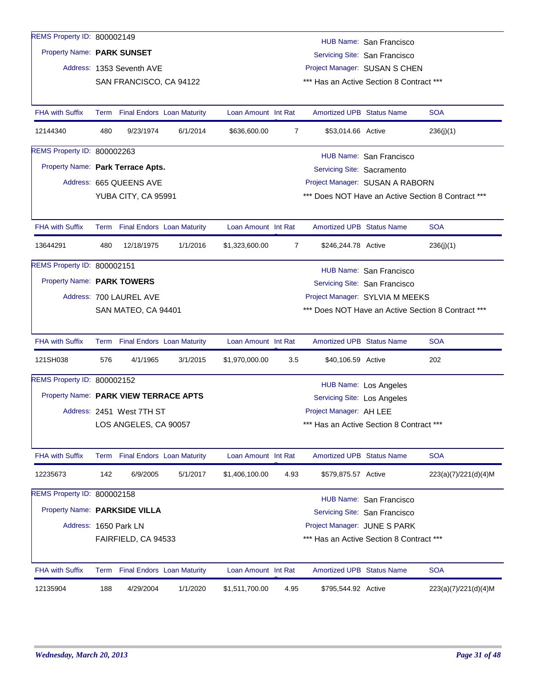| 12135904                      | 188  | 4/29/2004                                      | 1/1/2020 | \$1,511,700.00      | 4.95           | \$795,544.92 Active              |                                                               | 223(a)(7)/221(d)(4)M                               |
|-------------------------------|------|------------------------------------------------|----------|---------------------|----------------|----------------------------------|---------------------------------------------------------------|----------------------------------------------------|
| <b>FHA with Suffix</b>        |      | Term Final Endors Loan Maturity                |          | Loan Amount Int Rat |                | <b>Amortized UPB Status Name</b> |                                                               | <b>SOA</b>                                         |
|                               |      | FAIRFIELD, CA 94533                            |          |                     |                |                                  | *** Has an Active Section 8 Contract ***                      |                                                    |
|                               |      | Address: 1650 Park LN                          |          |                     |                |                                  | Servicing Site: San Francisco<br>Project Manager: JUNE S PARK |                                                    |
| Property Name: PARKSIDE VILLA |      |                                                |          |                     |                |                                  | HUB Name: San Francisco                                       |                                                    |
| REMS Property ID: 800002158   |      |                                                |          |                     |                |                                  |                                                               |                                                    |
| 12235673                      | 142  | 6/9/2005                                       | 5/1/2017 | \$1,406,100.00      | 4.93           | \$579,875.57 Active              |                                                               | 223(a)(7)/221(d)(4)M                               |
| <b>FHA with Suffix</b>        | Term | <b>Final Endors Loan Maturity</b>              |          | Loan Amount Int Rat |                | Amortized UPB Status Name        |                                                               | <b>SOA</b>                                         |
|                               |      | LOS ANGELES, CA 90057                          |          |                     |                |                                  | *** Has an Active Section 8 Contract ***                      |                                                    |
|                               |      | Address: 2451 West 7TH ST                      |          |                     |                | Project Manager: AH LEE          |                                                               |                                                    |
|                               |      | Property Name: PARK VIEW TERRACE APTS          |          |                     |                | Servicing Site: Los Angeles      |                                                               |                                                    |
| REMS Property ID: 800002152   |      |                                                |          |                     |                |                                  | HUB Name: Los Angeles                                         |                                                    |
| 121SH038                      | 576  | 4/1/1965                                       | 3/1/2015 | \$1,970,000.00      | 3.5            | \$40,106.59 Active               |                                                               | 202                                                |
| <b>FHA with Suffix</b>        |      | Term Final Endors Loan Maturity                |          | Loan Amount Int Rat |                | <b>Amortized UPB Status Name</b> |                                                               | <b>SOA</b>                                         |
|                               |      | SAN MATEO, CA 94401                            |          |                     |                |                                  |                                                               | *** Does NOT Have an Active Section 8 Contract *** |
|                               |      | Address: 700 LAUREL AVE                        |          |                     |                |                                  | Project Manager: SYLVIA M MEEKS                               |                                                    |
| Property Name: PARK TOWERS    |      |                                                |          |                     |                |                                  | Servicing Site: San Francisco                                 |                                                    |
| REMS Property ID: 800002151   |      |                                                |          |                     |                |                                  | HUB Name: San Francisco                                       |                                                    |
| 13644291                      | 480  | 12/18/1975                                     | 1/1/2016 | \$1,323,600.00      | $\overline{7}$ | \$246,244.78 Active              |                                                               | 236(i)(1)                                          |
| <b>FHA with Suffix</b>        | Term | <b>Final Endors Loan Maturity</b>              |          | Loan Amount Int Rat |                | <b>Amortized UPB Status Name</b> |                                                               | <b>SOA</b>                                         |
|                               |      |                                                |          |                     |                |                                  |                                                               |                                                    |
|                               |      | Address: 665 QUEENS AVE<br>YUBA CITY, CA 95991 |          |                     |                |                                  | Project Manager: SUSAN A RABORN                               | *** Does NOT Have an Active Section 8 Contract *** |
|                               |      | Property Name: Park Terrace Apts.              |          |                     |                | Servicing Site: Sacramento       |                                                               |                                                    |
| REMS Property ID: 800002263   |      |                                                |          |                     |                |                                  | HUB Name: San Francisco                                       |                                                    |
| 12144340                      | 480  | 9/23/1974                                      | 6/1/2014 | \$636,600.00        | 7              | \$53,014.66 Active               |                                                               | 236(j)(1)                                          |
| <b>FHA with Suffix</b>        | Term | <b>Final Endors Loan Maturity</b>              |          | Loan Amount Int Rat |                | <b>Amortized UPB Status Name</b> |                                                               | <b>SOA</b>                                         |
|                               |      |                                                |          |                     |                |                                  |                                                               |                                                    |
|                               |      | SAN FRANCISCO, CA 94122                        |          |                     |                |                                  | *** Has an Active Section 8 Contract ***                      |                                                    |
|                               |      | Address: 1353 Seventh AVE                      |          |                     |                |                                  | Project Manager: SUSAN S CHEN                                 |                                                    |
| Property Name: PARK SUNSET    |      |                                                |          |                     |                |                                  | Servicing Site: San Francisco                                 |                                                    |
| REMS Property ID: 800002149   |      |                                                |          |                     |                |                                  | HUB Name: San Francisco                                       |                                                    |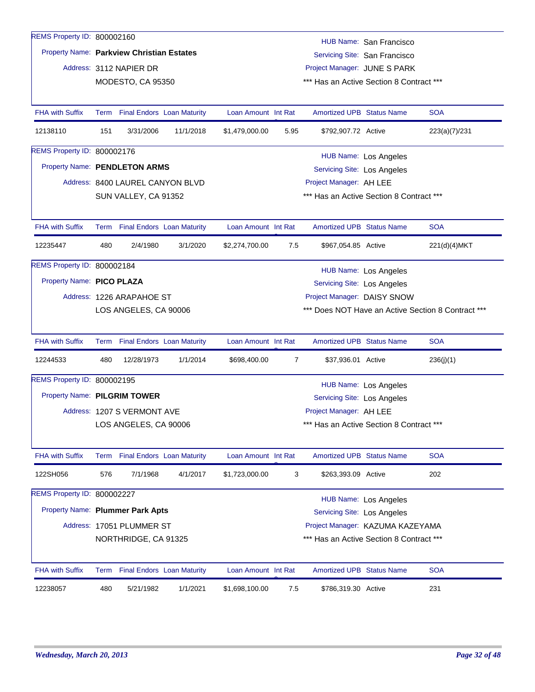| REMS Property ID: 800002227 | Property Name: Plummer Park Apts |                                                                                                                                                                                                                               |                                                                                                                                                                                                                                                                                                                                                                                                                                    |                |                                                                                                                         | <b>HUB Name: Los Angeles</b> |                                                                                                                                                                                                                                                                                                                                                                                                                                                                                                                                                                                                                                                                                                                                                                                                          |
|-----------------------------|----------------------------------|-------------------------------------------------------------------------------------------------------------------------------------------------------------------------------------------------------------------------------|------------------------------------------------------------------------------------------------------------------------------------------------------------------------------------------------------------------------------------------------------------------------------------------------------------------------------------------------------------------------------------------------------------------------------------|----------------|-------------------------------------------------------------------------------------------------------------------------|------------------------------|----------------------------------------------------------------------------------------------------------------------------------------------------------------------------------------------------------------------------------------------------------------------------------------------------------------------------------------------------------------------------------------------------------------------------------------------------------------------------------------------------------------------------------------------------------------------------------------------------------------------------------------------------------------------------------------------------------------------------------------------------------------------------------------------------------|
|                             |                                  |                                                                                                                                                                                                                               |                                                                                                                                                                                                                                                                                                                                                                                                                                    |                |                                                                                                                         |                              |                                                                                                                                                                                                                                                                                                                                                                                                                                                                                                                                                                                                                                                                                                                                                                                                          |
| 576                         | 7/1/1968                         | 4/1/2017                                                                                                                                                                                                                      | \$1,723,000.00                                                                                                                                                                                                                                                                                                                                                                                                                     |                |                                                                                                                         |                              | 202                                                                                                                                                                                                                                                                                                                                                                                                                                                                                                                                                                                                                                                                                                                                                                                                      |
|                             |                                  |                                                                                                                                                                                                                               |                                                                                                                                                                                                                                                                                                                                                                                                                                    |                |                                                                                                                         |                              | <b>SOA</b>                                                                                                                                                                                                                                                                                                                                                                                                                                                                                                                                                                                                                                                                                                                                                                                               |
|                             |                                  |                                                                                                                                                                                                                               |                                                                                                                                                                                                                                                                                                                                                                                                                                    |                |                                                                                                                         |                              |                                                                                                                                                                                                                                                                                                                                                                                                                                                                                                                                                                                                                                                                                                                                                                                                          |
|                             |                                  |                                                                                                                                                                                                                               |                                                                                                                                                                                                                                                                                                                                                                                                                                    |                |                                                                                                                         |                              |                                                                                                                                                                                                                                                                                                                                                                                                                                                                                                                                                                                                                                                                                                                                                                                                          |
|                             |                                  |                                                                                                                                                                                                                               |                                                                                                                                                                                                                                                                                                                                                                                                                                    |                |                                                                                                                         |                              |                                                                                                                                                                                                                                                                                                                                                                                                                                                                                                                                                                                                                                                                                                                                                                                                          |
|                             |                                  |                                                                                                                                                                                                                               |                                                                                                                                                                                                                                                                                                                                                                                                                                    |                |                                                                                                                         |                              |                                                                                                                                                                                                                                                                                                                                                                                                                                                                                                                                                                                                                                                                                                                                                                                                          |
| 480                         | 12/28/1973                       | 1/1/2014                                                                                                                                                                                                                      | \$698,400.00                                                                                                                                                                                                                                                                                                                                                                                                                       |                |                                                                                                                         |                              | 236(j)(1)                                                                                                                                                                                                                                                                                                                                                                                                                                                                                                                                                                                                                                                                                                                                                                                                |
|                             |                                  |                                                                                                                                                                                                                               |                                                                                                                                                                                                                                                                                                                                                                                                                                    |                |                                                                                                                         |                              | <b>SOA</b>                                                                                                                                                                                                                                                                                                                                                                                                                                                                                                                                                                                                                                                                                                                                                                                               |
|                             |                                  |                                                                                                                                                                                                                               |                                                                                                                                                                                                                                                                                                                                                                                                                                    |                |                                                                                                                         |                              |                                                                                                                                                                                                                                                                                                                                                                                                                                                                                                                                                                                                                                                                                                                                                                                                          |
|                             |                                  |                                                                                                                                                                                                                               |                                                                                                                                                                                                                                                                                                                                                                                                                                    |                |                                                                                                                         |                              |                                                                                                                                                                                                                                                                                                                                                                                                                                                                                                                                                                                                                                                                                                                                                                                                          |
|                             |                                  |                                                                                                                                                                                                                               |                                                                                                                                                                                                                                                                                                                                                                                                                                    |                |                                                                                                                         |                              |                                                                                                                                                                                                                                                                                                                                                                                                                                                                                                                                                                                                                                                                                                                                                                                                          |
|                             |                                  |                                                                                                                                                                                                                               |                                                                                                                                                                                                                                                                                                                                                                                                                                    |                |                                                                                                                         |                              |                                                                                                                                                                                                                                                                                                                                                                                                                                                                                                                                                                                                                                                                                                                                                                                                          |
| 480                         | 2/4/1980                         | 3/1/2020                                                                                                                                                                                                                      | \$2,274,700.00                                                                                                                                                                                                                                                                                                                                                                                                                     | 7.5            |                                                                                                                         |                              | 221(d)(4)MKT                                                                                                                                                                                                                                                                                                                                                                                                                                                                                                                                                                                                                                                                                                                                                                                             |
|                             |                                  |                                                                                                                                                                                                                               |                                                                                                                                                                                                                                                                                                                                                                                                                                    |                |                                                                                                                         |                              | <b>SOA</b>                                                                                                                                                                                                                                                                                                                                                                                                                                                                                                                                                                                                                                                                                                                                                                                               |
|                             |                                  |                                                                                                                                                                                                                               |                                                                                                                                                                                                                                                                                                                                                                                                                                    |                |                                                                                                                         |                              |                                                                                                                                                                                                                                                                                                                                                                                                                                                                                                                                                                                                                                                                                                                                                                                                          |
|                             |                                  |                                                                                                                                                                                                                               |                                                                                                                                                                                                                                                                                                                                                                                                                                    |                |                                                                                                                         |                              |                                                                                                                                                                                                                                                                                                                                                                                                                                                                                                                                                                                                                                                                                                                                                                                                          |
|                             |                                  |                                                                                                                                                                                                                               |                                                                                                                                                                                                                                                                                                                                                                                                                                    |                |                                                                                                                         |                              |                                                                                                                                                                                                                                                                                                                                                                                                                                                                                                                                                                                                                                                                                                                                                                                                          |
|                             |                                  |                                                                                                                                                                                                                               |                                                                                                                                                                                                                                                                                                                                                                                                                                    |                |                                                                                                                         |                              |                                                                                                                                                                                                                                                                                                                                                                                                                                                                                                                                                                                                                                                                                                                                                                                                          |
|                             |                                  |                                                                                                                                                                                                                               |                                                                                                                                                                                                                                                                                                                                                                                                                                    |                |                                                                                                                         |                              |                                                                                                                                                                                                                                                                                                                                                                                                                                                                                                                                                                                                                                                                                                                                                                                                          |
|                             |                                  |                                                                                                                                                                                                                               |                                                                                                                                                                                                                                                                                                                                                                                                                                    |                |                                                                                                                         |                              | <b>SOA</b><br>223(a)(7)/231                                                                                                                                                                                                                                                                                                                                                                                                                                                                                                                                                                                                                                                                                                                                                                              |
|                             |                                  |                                                                                                                                                                                                                               |                                                                                                                                                                                                                                                                                                                                                                                                                                    |                |                                                                                                                         |                              |                                                                                                                                                                                                                                                                                                                                                                                                                                                                                                                                                                                                                                                                                                                                                                                                          |
|                             |                                  |                                                                                                                                                                                                                               |                                                                                                                                                                                                                                                                                                                                                                                                                                    |                |                                                                                                                         |                              |                                                                                                                                                                                                                                                                                                                                                                                                                                                                                                                                                                                                                                                                                                                                                                                                          |
|                             |                                  |                                                                                                                                                                                                                               |                                                                                                                                                                                                                                                                                                                                                                                                                                    |                |                                                                                                                         |                              |                                                                                                                                                                                                                                                                                                                                                                                                                                                                                                                                                                                                                                                                                                                                                                                                          |
|                             |                                  |                                                                                                                                                                                                                               |                                                                                                                                                                                                                                                                                                                                                                                                                                    |                |                                                                                                                         |                              |                                                                                                                                                                                                                                                                                                                                                                                                                                                                                                                                                                                                                                                                                                                                                                                                          |
|                             | 151                              | REMS Property ID: 800002160<br>Address: 3112 NAPIER DR<br>3/31/2006<br>REMS Property ID: 800002176<br>REMS Property ID: 800002184<br>Property Name: PICO PLAZA<br>REMS Property ID: 800002195<br>Property Name: PILGRIM TOWER | Property Name: Parkview Christian Estates<br>MODESTO, CA 95350<br>Term Final Endors Loan Maturity<br>11/1/2018<br>Property Name: PENDLETON ARMS<br>Address: 8400 LAUREL CANYON BLVD<br>SUN VALLEY, CA 91352<br>Term Final Endors Loan Maturity<br>Address: 1226 ARAPAHOE ST<br>LOS ANGELES, CA 90006<br>Term Final Endors Loan Maturity<br>Address: 1207 S VERMONT AVE<br>LOS ANGELES, CA 90006<br>Term Final Endors Loan Maturity | \$1,479,000.00 | Loan Amount Int Rat<br>5.95<br>Loan Amount Int Rat<br>Loan Amount Int Rat<br>$\overline{7}$<br>Loan Amount Int Rat<br>3 |                              | HUB Name: San Francisco<br>Servicing Site: San Francisco<br>Project Manager: JUNE S PARK<br>*** Has an Active Section 8 Contract ***<br><b>Amortized UPB Status Name</b><br>\$792,907.72 Active<br><b>HUB Name: Los Angeles</b><br>Servicing Site: Los Angeles<br>Project Manager: AH LEE<br>*** Has an Active Section 8 Contract ***<br><b>Amortized UPB Status Name</b><br>\$967,054.85 Active<br><b>HUB Name: Los Angeles</b><br><b>Servicing Site: Los Angeles</b><br>Project Manager: DAISY SNOW<br>*** Does NOT Have an Active Section 8 Contract ***<br><b>Amortized UPB Status Name</b><br>\$37,936.01 Active<br>HUB Name: Los Angeles<br>Servicing Site: Los Angeles<br>Project Manager: AH LEE<br>*** Has an Active Section 8 Contract ***<br>Amortized UPB Status Name<br>\$263,393.09 Active |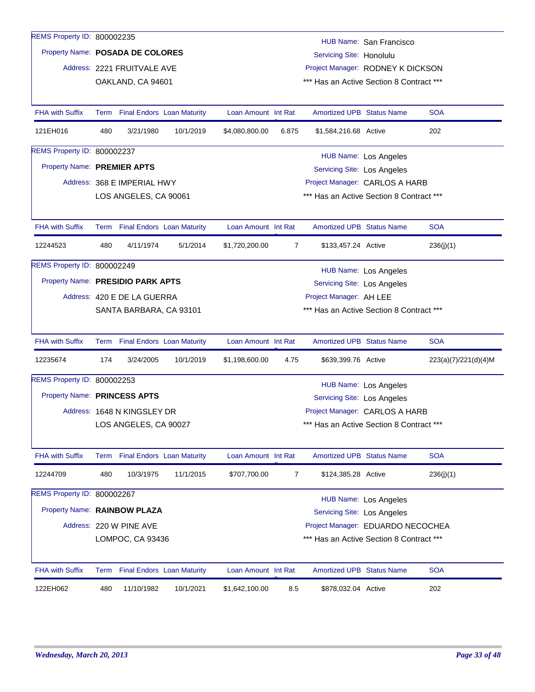| REMS Property ID: 800002235       |                  |                                 |           |                     |                |                                          |                                          |                      |
|-----------------------------------|------------------|---------------------------------|-----------|---------------------|----------------|------------------------------------------|------------------------------------------|----------------------|
| Property Name: POSADA DE COLORES  |                  |                                 |           |                     |                |                                          | HUB Name: San Francisco                  |                      |
|                                   |                  |                                 |           |                     |                | Servicing Site: Honolulu                 |                                          |                      |
|                                   |                  | Address: 2221 FRUITVALE AVE     |           |                     |                | Project Manager: RODNEY K DICKSON        |                                          |                      |
|                                   |                  | OAKLAND, CA 94601               |           |                     |                | *** Has an Active Section 8 Contract *** |                                          |                      |
| <b>FHA with Suffix</b>            |                  | Term Final Endors Loan Maturity |           | Loan Amount Int Rat |                | <b>Amortized UPB Status Name</b>         |                                          | <b>SOA</b>           |
| 121EH016                          | 480              | 3/21/1980                       | 10/1/2019 | \$4,080,800.00      | 6.875          | \$1,584,216.68 Active                    |                                          | 202                  |
| REMS Property ID: 800002237       |                  |                                 |           |                     |                |                                          | HUB Name: Los Angeles                    |                      |
| Property Name: PREMIER APTS       |                  |                                 |           |                     |                | <b>Servicing Site: Los Angeles</b>       |                                          |                      |
|                                   |                  | Address: 368 E IMPERIAL HWY     |           |                     |                | Project Manager: CARLOS A HARB           |                                          |                      |
|                                   |                  | LOS ANGELES, CA 90061           |           |                     |                | *** Has an Active Section 8 Contract *** |                                          |                      |
|                                   |                  |                                 |           |                     |                |                                          |                                          |                      |
| <b>FHA with Suffix</b>            |                  | Term Final Endors Loan Maturity |           | Loan Amount Int Rat |                | Amortized UPB Status Name                |                                          | <b>SOA</b>           |
| 12244523                          | 480              | 4/11/1974                       | 5/1/2014  | \$1,720,200.00      | $\overline{7}$ | \$133,457.24 Active                      |                                          | 236(j)(1)            |
| REMS Property ID: 800002249       |                  |                                 |           |                     |                |                                          | HUB Name: Los Angeles                    |                      |
| Property Name: PRESIDIO PARK APTS |                  |                                 |           |                     |                | <b>Servicing Site: Los Angeles</b>       |                                          |                      |
|                                   |                  | Address: 420 E DE LA GUERRA     |           |                     |                | Project Manager: AH LEE                  |                                          |                      |
|                                   |                  | SANTA BARBARA, CA 93101         |           |                     |                | *** Has an Active Section 8 Contract *** |                                          |                      |
|                                   |                  |                                 |           |                     |                |                                          |                                          |                      |
| <b>FHA with Suffix</b>            |                  | Term Final Endors Loan Maturity |           | Loan Amount Int Rat |                | <b>Amortized UPB Status Name</b>         |                                          | <b>SOA</b>           |
| 12235674                          | 174              | 3/24/2005                       | 10/1/2019 | \$1,198,600.00      | 4.75           | \$639,399.76 Active                      |                                          | 223(a)(7)/221(d)(4)M |
| REMS Property ID: 800002253       |                  |                                 |           |                     |                |                                          | HUB Name: Los Angeles                    |                      |
| Property Name: PRINCESS APTS      |                  |                                 |           |                     |                | Servicing Site: Los Angeles              |                                          |                      |
|                                   |                  | Address: 1648 N KINGSLEY DR     |           |                     |                | Project Manager: CARLOS A HARB           |                                          |                      |
|                                   |                  | LOS ANGELES, CA 90027           |           |                     |                | *** Has an Active Section 8 Contract *** |                                          |                      |
|                                   |                  |                                 |           |                     |                |                                          |                                          |                      |
| FHA with Suffix                   |                  | Term Final Endors Loan Maturity |           | Loan Amount Int Rat |                | <b>Amortized UPB Status Name</b>         |                                          | <b>SOA</b>           |
| 12244709                          | 480              | 10/3/1975                       | 11/1/2015 | \$707,700.00        | $\overline{7}$ | \$124,385.28 Active                      |                                          | 236(j)(1)            |
| REMS Property ID: 800002267       |                  |                                 |           |                     |                |                                          | HUB Name: Los Angeles                    |                      |
| Property Name: RAINBOW PLAZA      |                  |                                 |           |                     |                | Servicing Site: Los Angeles              |                                          |                      |
|                                   |                  | Address: 220 W PINE AVE         |           |                     |                | Project Manager: EDUARDO NECOCHEA        |                                          |                      |
|                                   | LOMPOC, CA 93436 |                                 |           |                     |                |                                          | *** Has an Active Section 8 Contract *** |                      |
|                                   |                  |                                 |           |                     |                |                                          |                                          |                      |
| <b>FHA with Suffix</b>            |                  | Term Final Endors Loan Maturity |           | Loan Amount Int Rat |                | <b>Amortized UPB Status Name</b>         |                                          | <b>SOA</b>           |
| 122EH062                          |                  |                                 |           |                     |                |                                          |                                          |                      |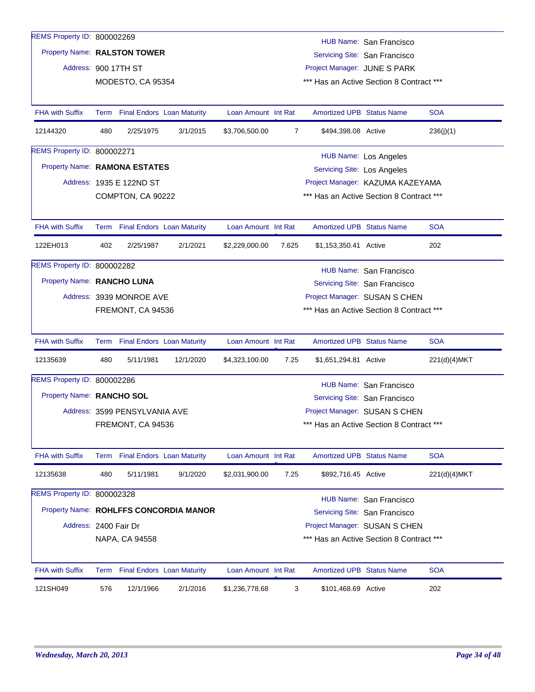|                                                             |     |                                                                                                                          | 2/1/2016                               | \$1,236,778.68      | 3     | \$101,468.69 Active                |                                                                              | 202                                                      |  |  |
|-------------------------------------------------------------|-----|--------------------------------------------------------------------------------------------------------------------------|----------------------------------------|---------------------|-------|------------------------------------|------------------------------------------------------------------------------|----------------------------------------------------------|--|--|
| FHA with Suffix                                             |     | Term Final Endors Loan Maturity                                                                                          |                                        | Loan Amount Int Rat |       | <b>Amortized UPB Status Name</b>   |                                                                              | <b>SOA</b>                                               |  |  |
|                                                             |     | NAPA, CA 94558                                                                                                           |                                        |                     |       |                                    | *** Has an Active Section 8 Contract ***                                     |                                                          |  |  |
| Address: 2400 Fair Dr                                       |     |                                                                                                                          |                                        |                     |       |                                    | Project Manager: SUSAN S CHEN                                                |                                                          |  |  |
|                                                             |     |                                                                                                                          | Property Name: ROHLFFS CONCORDIA MANOR |                     |       |                                    | Servicing Site: San Francisco                                                |                                                          |  |  |
| REMS Property ID: 800002328                                 |     |                                                                                                                          |                                        |                     |       |                                    | <b>HUB Name: San Francisco</b>                                               |                                                          |  |  |
| 12135638                                                    | 480 | 5/11/1981                                                                                                                | 9/1/2020                               | \$2,031,900.00      | 7.25  | \$892,716.45 Active                |                                                                              | 221(d)(4)MKT                                             |  |  |
| FHA with Suffix                                             |     | Term Final Endors Loan Maturity                                                                                          |                                        | Loan Amount Int Rat |       | <b>Amortized UPB Status Name</b>   |                                                                              | <b>SOA</b>                                               |  |  |
|                                                             |     |                                                                                                                          |                                        |                     |       |                                    |                                                                              |                                                          |  |  |
|                                                             |     | FREMONT, CA 94536                                                                                                        |                                        |                     |       |                                    | *** Has an Active Section 8 Contract ***                                     |                                                          |  |  |
|                                                             |     | Address: 3599 PENSYLVANIA AVE                                                                                            |                                        |                     |       |                                    | Project Manager: SUSAN S CHEN                                                |                                                          |  |  |
| Property Name: RANCHO SOL                                   |     |                                                                                                                          |                                        |                     |       |                                    | HUB Name: San Francisco<br>Servicing Site: San Francisco                     |                                                          |  |  |
| REMS Property ID: 800002286                                 |     |                                                                                                                          |                                        |                     |       |                                    |                                                                              |                                                          |  |  |
| 12135639                                                    | 480 | 5/11/1981                                                                                                                | 12/1/2020                              | \$4,323,100.00      | 7.25  | \$1,651,294.81 Active              |                                                                              | 221(d)(4)MKT                                             |  |  |
| <b>FHA with Suffix</b>                                      |     | Term Final Endors Loan Maturity                                                                                          |                                        | Loan Amount Int Rat |       | <b>Amortized UPB Status Name</b>   |                                                                              | <b>SOA</b>                                               |  |  |
|                                                             |     |                                                                                                                          |                                        |                     |       |                                    |                                                                              |                                                          |  |  |
|                                                             |     | FREMONT, CA 94536                                                                                                        |                                        |                     |       |                                    | *** Has an Active Section 8 Contract ***                                     |                                                          |  |  |
|                                                             |     | Property Name: RANCHO LUNA<br>Servicing Site: San Francisco<br>Address: 3939 MONROE AVE<br>Project Manager: SUSAN S CHEN |                                        |                     |       |                                    |                                                                              |                                                          |  |  |
|                                                             |     |                                                                                                                          |                                        |                     |       |                                    | HUB Name: San Francisco                                                      |                                                          |  |  |
| REMS Property ID: 800002282                                 |     |                                                                                                                          |                                        |                     |       |                                    |                                                                              |                                                          |  |  |
| 122EH013                                                    | 402 | 2/25/1987                                                                                                                | 2/1/2021                               | \$2,229,000.00      | 7.625 | \$1,153,350.41 Active              |                                                                              | 202                                                      |  |  |
| <b>FHA with Suffix</b>                                      |     | Term Final Endors Loan Maturity                                                                                          |                                        | Loan Amount Int Rat |       | <b>Amortized UPB Status Name</b>   |                                                                              | <b>SOA</b>                                               |  |  |
|                                                             |     |                                                                                                                          |                                        |                     |       |                                    |                                                                              |                                                          |  |  |
|                                                             |     | Address: 1935 E 122ND ST<br>COMPTON, CA 90222                                                                            |                                        |                     |       |                                    | Project Manager: KAZUMA KAZEYAMA<br>*** Has an Active Section 8 Contract *** |                                                          |  |  |
|                                                             |     |                                                                                                                          |                                        |                     |       | <b>Servicing Site: Los Angeles</b> |                                                                              |                                                          |  |  |
|                                                             |     | Property Name: RAMONA ESTATES                                                                                            |                                        |                     |       |                                    | <b>HUB Name: Los Angeles</b>                                                 |                                                          |  |  |
| <b>REMS Property ID: 800002271</b>                          |     |                                                                                                                          |                                        |                     |       |                                    |                                                                              |                                                          |  |  |
| 12144320                                                    | 480 | 2/25/1975                                                                                                                | 3/1/2015                               | \$3,706,500.00      | 7     | \$494,398.08 Active                |                                                                              | 236(j)(1)                                                |  |  |
| <b>FHA with Suffix</b>                                      |     | Term Final Endors Loan Maturity                                                                                          |                                        | Loan Amount Int Rat |       | <b>Amortized UPB Status Name</b>   |                                                                              | <b>SOA</b>                                               |  |  |
|                                                             |     | MODESTO, CA 95354                                                                                                        |                                        |                     |       |                                    | *** Has an Active Section 8 Contract ***                                     |                                                          |  |  |
|                                                             |     | Address: 900 17TH ST                                                                                                     |                                        |                     |       | Project Manager: JUNE S PARK       |                                                                              |                                                          |  |  |
|                                                             |     |                                                                                                                          |                                        |                     |       |                                    |                                                                              |                                                          |  |  |
|                                                             |     |                                                                                                                          |                                        |                     |       |                                    |                                                                              |                                                          |  |  |
| REMS Property ID: 800002269<br>Property Name: RALSTON TOWER |     |                                                                                                                          |                                        |                     |       |                                    |                                                                              | HUB Name: San Francisco<br>Servicing Site: San Francisco |  |  |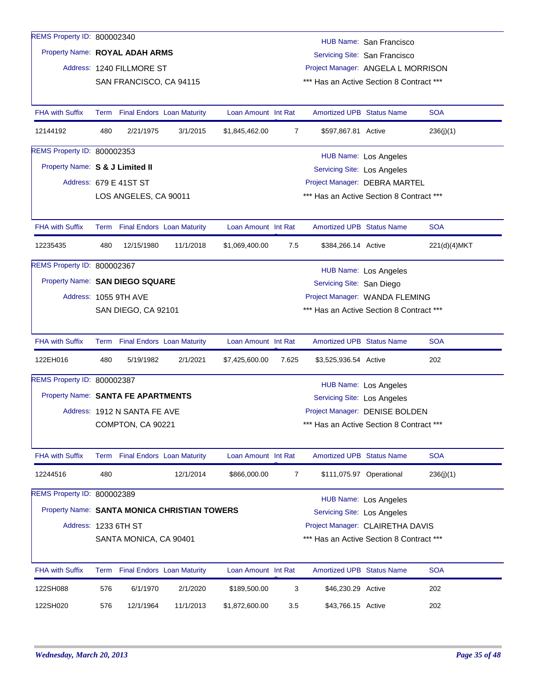| REMS Property ID: 800002340        |     |                              |                                              |                     |                                |                                          | HUB Name: San Francisco       |              |
|------------------------------------|-----|------------------------------|----------------------------------------------|---------------------|--------------------------------|------------------------------------------|-------------------------------|--------------|
| Property Name: ROYAL ADAH ARMS     |     |                              |                                              |                     |                                |                                          | Servicing Site: San Francisco |              |
|                                    |     | Address: 1240 FILLMORE ST    |                                              |                     |                                | Project Manager: ANGELA L MORRISON       |                               |              |
|                                    |     | SAN FRANCISCO, CA 94115      |                                              |                     |                                | *** Has an Active Section 8 Contract *** |                               |              |
|                                    |     |                              |                                              |                     |                                |                                          |                               |              |
| <b>FHA with Suffix</b>             |     |                              | Term Final Endors Loan Maturity              | Loan Amount Int Rat |                                | <b>Amortized UPB Status Name</b>         |                               | <b>SOA</b>   |
| 12144192                           | 480 | 2/21/1975                    | 3/1/2015                                     | \$1,845,462.00      | 7                              | \$597,867.81 Active                      |                               | 236(j)(1)    |
| REMS Property ID: 800002353        |     |                              |                                              |                     |                                |                                          | <b>HUB Name: Los Angeles</b>  |              |
| Property Name: S & J Limited II    |     |                              |                                              |                     |                                | <b>Servicing Site: Los Angeles</b>       |                               |              |
|                                    |     | Address: 679 E 41ST ST       |                                              |                     |                                | Project Manager: DEBRA MARTEL            |                               |              |
|                                    |     | LOS ANGELES, CA 90011        |                                              |                     |                                | *** Has an Active Section 8 Contract *** |                               |              |
|                                    |     |                              |                                              |                     |                                |                                          |                               |              |
| <b>FHA with Suffix</b>             |     |                              | Term Final Endors Loan Maturity              | Loan Amount Int Rat |                                | <b>Amortized UPB Status Name</b>         |                               | <b>SOA</b>   |
| 12235435                           | 480 | 12/15/1980                   | 11/1/2018                                    | \$1,069,400.00      | 7.5                            | \$384,266.14 Active                      |                               | 221(d)(4)MKT |
| REMS Property ID: 800002367        |     |                              |                                              |                     |                                |                                          | <b>HUB Name: Los Angeles</b>  |              |
| Property Name: SAN DIEGO SQUARE    |     |                              | Servicing Site: San Diego                    |                     |                                |                                          |                               |              |
|                                    |     | Address: 1055 9TH AVE        |                                              |                     | Project Manager: WANDA FLEMING |                                          |                               |              |
|                                    |     | SAN DIEGO, CA 92101          |                                              |                     |                                | *** Has an Active Section 8 Contract *** |                               |              |
|                                    |     |                              |                                              |                     |                                |                                          |                               |              |
| <b>FHA with Suffix</b>             |     |                              | Term Final Endors Loan Maturity              | Loan Amount Int Rat |                                | <b>Amortized UPB Status Name</b>         |                               | <b>SOA</b>   |
| 122EH016                           | 480 | 5/19/1982                    | 2/1/2021                                     | \$7,425,600.00      | 7.625                          | \$3,525,936.54 Active                    |                               | 202          |
| REMS Property ID: 800002387        |     |                              |                                              |                     |                                |                                          | <b>HUB Name: Los Angeles</b>  |              |
| Property Name: SANTA FE APARTMENTS |     |                              |                                              |                     |                                | Servicing Site: Los Angeles              |                               |              |
|                                    |     | Address: 1912 N SANTA FE AVE |                                              |                     |                                | Project Manager: DENISE BOLDEN           |                               |              |
|                                    |     | COMPTON, CA 90221            |                                              |                     |                                | *** Has an Active Section 8 Contract *** |                               |              |
|                                    |     |                              |                                              |                     |                                |                                          |                               |              |
| FHA with Suffix                    |     |                              | Term Final Endors Loan Maturity              | Loan Amount Int Rat |                                | Amortized UPB Status Name                |                               | <b>SOA</b>   |
| 12244516                           | 480 |                              | 12/1/2014                                    | \$866,000.00        | 7                              |                                          | \$111,075.97 Operational      | 236(j)(1)    |
| REMS Property ID: 800002389        |     |                              |                                              |                     |                                |                                          | <b>HUB Name: Los Angeles</b>  |              |
|                                    |     |                              | Property Name: SANTA MONICA CHRISTIAN TOWERS |                     |                                | <b>Servicing Site: Los Angeles</b>       |                               |              |
| Address: 1233 6TH ST               |     |                              |                                              |                     |                                | Project Manager: CLAIRETHA DAVIS         |                               |              |
|                                    |     | SANTA MONICA, CA 90401       |                                              |                     |                                | *** Has an Active Section 8 Contract *** |                               |              |
|                                    |     |                              |                                              |                     |                                |                                          |                               |              |
| FHA with Suffix                    |     |                              | Term Final Endors Loan Maturity              | Loan Amount Int Rat |                                | Amortized UPB Status Name                |                               | <b>SOA</b>   |
| 122SH088                           | 576 | 6/1/1970                     | 2/1/2020                                     | \$189,500.00        | 3                              | \$46,230.29 Active                       |                               | 202          |
| 122SH020                           | 576 | 12/1/1964                    | 11/1/2013                                    | \$1,872,600.00      | 3.5                            | \$43,766.15 Active                       |                               | 202          |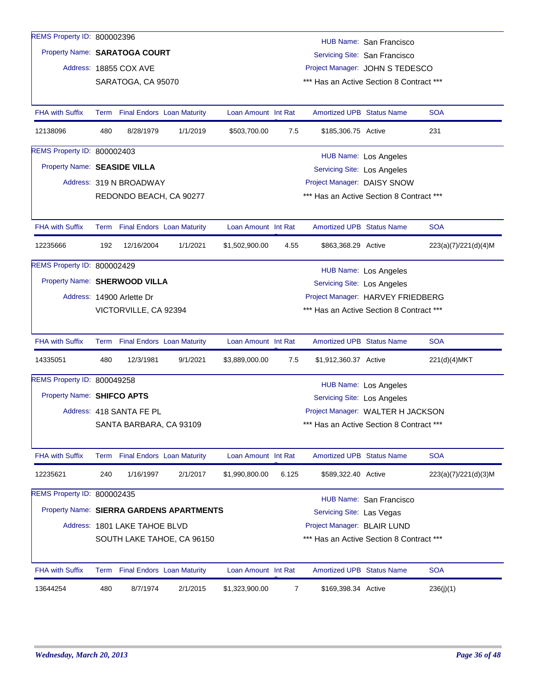| REMS Property ID: 800002396   |     |                                 |                                          |                     |                |                                          | HUB Name: San Francisco           |                      |
|-------------------------------|-----|---------------------------------|------------------------------------------|---------------------|----------------|------------------------------------------|-----------------------------------|----------------------|
| Property Name: SARATOGA COURT |     |                                 |                                          |                     |                |                                          | Servicing Site: San Francisco     |                      |
|                               |     | Address: 18855 COX AVE          |                                          |                     |                |                                          | Project Manager: JOHN S TEDESCO   |                      |
|                               |     | SARATOGA, CA 95070              |                                          |                     |                | *** Has an Active Section 8 Contract *** |                                   |                      |
|                               |     |                                 |                                          |                     |                |                                          |                                   |                      |
| <b>FHA with Suffix</b>        |     | Term Final Endors Loan Maturity |                                          | Loan Amount Int Rat |                | <b>Amortized UPB Status Name</b>         |                                   | <b>SOA</b>           |
| 12138096                      | 480 | 8/28/1979                       | 1/1/2019                                 | \$503,700.00        | 7.5            | \$185,306.75 Active                      |                                   | 231                  |
| REMS Property ID: 800002403   |     |                                 |                                          |                     |                |                                          | HUB Name: Los Angeles             |                      |
| Property Name: SEASIDE VILLA  |     |                                 |                                          |                     |                | Servicing Site: Los Angeles              |                                   |                      |
|                               |     | Address: 319 N BROADWAY         |                                          |                     |                | Project Manager: DAISY SNOW              |                                   |                      |
|                               |     | REDONDO BEACH, CA 90277         |                                          |                     |                | *** Has an Active Section 8 Contract *** |                                   |                      |
|                               |     |                                 |                                          |                     |                |                                          |                                   |                      |
| <b>FHA with Suffix</b>        |     | Term Final Endors Loan Maturity |                                          | Loan Amount Int Rat |                | <b>Amortized UPB Status Name</b>         |                                   | <b>SOA</b>           |
| 12235666                      | 192 | 12/16/2004                      | 1/1/2021                                 | \$1,502,900.00      | 4.55           | \$863,368.29 Active                      |                                   | 223(a)(7)/221(d)(4)M |
| REMS Property ID: 800002429   |     |                                 |                                          |                     |                |                                          | <b>HUB Name: Los Angeles</b>      |                      |
| Property Name: SHERWOOD VILLA |     |                                 |                                          |                     |                | <b>Servicing Site: Los Angeles</b>       |                                   |                      |
|                               |     | Address: 14900 Arlette Dr       |                                          |                     |                |                                          | Project Manager: HARVEY FRIEDBERG |                      |
|                               |     | VICTORVILLE, CA 92394           |                                          |                     |                | *** Has an Active Section 8 Contract *** |                                   |                      |
|                               |     |                                 |                                          |                     |                |                                          |                                   |                      |
| <b>FHA with Suffix</b>        |     | Term Final Endors Loan Maturity |                                          | Loan Amount Int Rat |                | <b>Amortized UPB Status Name</b>         |                                   | <b>SOA</b>           |
| 14335051                      | 480 | 12/3/1981                       | 9/1/2021                                 | \$3,889,000.00      | 7.5            | \$1,912,360.37 Active                    |                                   | 221(d)(4)MKT         |
| REMS Property ID: 800049258   |     |                                 |                                          |                     |                |                                          | HUB Name: Los Angeles             |                      |
| Property Name: SHIFCO APTS    |     |                                 |                                          |                     |                | Servicing Site: Los Angeles              |                                   |                      |
|                               |     | Address: 418 SANTA FE PL        |                                          |                     |                |                                          | Project Manager: WALTER H JACKSON |                      |
|                               |     | SANTA BARBARA, CA 93109         |                                          |                     |                | *** Has an Active Section 8 Contract *** |                                   |                      |
|                               |     |                                 |                                          |                     |                |                                          |                                   |                      |
| <b>FHA with Suffix</b>        |     | Term Final Endors Loan Maturity |                                          | Loan Amount Int Rat |                | <b>Amortized UPB Status Name</b>         |                                   | <b>SOA</b>           |
| 12235621                      | 240 | 1/16/1997                       | 2/1/2017                                 | \$1,990,800.00      | 6.125          | \$589,322.40 Active                      |                                   | 223(a)(7)/221(d)(3)M |
| REMS Property ID: 800002435   |     |                                 |                                          |                     |                |                                          | HUB Name: San Francisco           |                      |
|                               |     |                                 | Property Name: SIERRA GARDENS APARTMENTS |                     |                | Servicing Site: Las Vegas                |                                   |                      |
|                               |     | Address: 1801 LAKE TAHOE BLVD   |                                          |                     |                | Project Manager: BLAIR LUND              |                                   |                      |
|                               |     |                                 | SOUTH LAKE TAHOE, CA 96150               |                     |                | *** Has an Active Section 8 Contract *** |                                   |                      |
|                               |     |                                 |                                          |                     |                |                                          |                                   |                      |
| <b>FHA with Suffix</b>        |     | Term Final Endors Loan Maturity |                                          | Loan Amount Int Rat |                | <b>Amortized UPB Status Name</b>         |                                   | <b>SOA</b>           |
| 13644254                      | 480 | 8/7/1974                        | 2/1/2015                                 | \$1,323,900.00      | $\overline{7}$ | \$169,398.34 Active                      |                                   | 236(j)(1)            |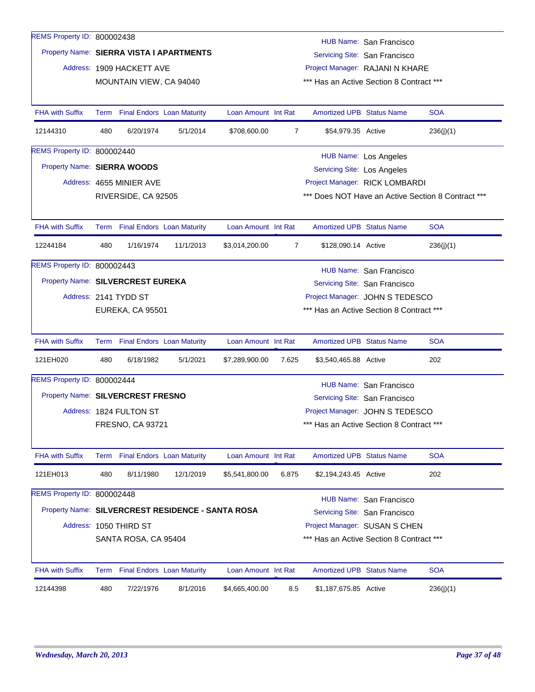| REMS Property ID: 800002438        |      |                           |                                                   |                     |                |                                    | HUB Name: San Francisco                  |                                                    |
|------------------------------------|------|---------------------------|---------------------------------------------------|---------------------|----------------|------------------------------------|------------------------------------------|----------------------------------------------------|
|                                    |      |                           | Property Name: SIERRA VISTA I APARTMENTS          |                     |                |                                    | Servicing Site: San Francisco            |                                                    |
|                                    |      | Address: 1909 HACKETT AVE |                                                   |                     |                |                                    | Project Manager: RAJANI N KHARE          |                                                    |
|                                    |      | MOUNTAIN VIEW, CA 94040   |                                                   |                     |                |                                    | *** Has an Active Section 8 Contract *** |                                                    |
|                                    |      |                           |                                                   |                     |                |                                    |                                          |                                                    |
| <b>FHA with Suffix</b>             | Term |                           | <b>Final Endors Loan Maturity</b>                 | Loan Amount Int Rat |                | <b>Amortized UPB Status Name</b>   |                                          | <b>SOA</b>                                         |
| 12144310                           | 480  | 6/20/1974                 | 5/1/2014                                          | \$708,600.00        | 7              | \$54,979.35 Active                 |                                          | 236(j)(1)                                          |
| <b>REMS Property ID: 800002440</b> |      |                           |                                                   |                     |                |                                    | <b>HUB Name: Los Angeles</b>             |                                                    |
| Property Name: SIERRA WOODS        |      |                           |                                                   |                     |                | <b>Servicing Site: Los Angeles</b> |                                          |                                                    |
|                                    |      | Address: 4655 MINIER AVE  |                                                   |                     |                |                                    | Project Manager: RICK LOMBARDI           |                                                    |
|                                    |      | RIVERSIDE, CA 92505       |                                                   |                     |                |                                    |                                          | *** Does NOT Have an Active Section 8 Contract *** |
|                                    |      |                           |                                                   |                     |                |                                    |                                          |                                                    |
| <b>FHA with Suffix</b>             |      |                           | Term Final Endors Loan Maturity                   | Loan Amount Int Rat |                | <b>Amortized UPB Status Name</b>   |                                          | <b>SOA</b>                                         |
| 12244184                           | 480  | 1/16/1974                 | 11/1/2013                                         | \$3,014,200.00      | $\overline{7}$ | \$128,090.14 Active                |                                          | 236(i)(1)                                          |
| <b>REMS Property ID: 800002443</b> |      |                           |                                                   |                     |                |                                    | HUB Name: San Francisco                  |                                                    |
| Property Name: SILVERCREST EUREKA  |      |                           |                                                   |                     |                |                                    | Servicing Site: San Francisco            |                                                    |
|                                    |      | Address: 2141 TYDD ST     |                                                   |                     |                |                                    | Project Manager: JOHN S TEDESCO          |                                                    |
|                                    |      | EUREKA, CA 95501          |                                                   |                     |                |                                    | *** Has an Active Section 8 Contract *** |                                                    |
|                                    |      |                           |                                                   |                     |                |                                    |                                          |                                                    |
| <b>FHA with Suffix</b>             |      |                           | Term Final Endors Loan Maturity                   | Loan Amount Int Rat |                | <b>Amortized UPB Status Name</b>   |                                          | <b>SOA</b>                                         |
| 121EH020                           | 480  | 6/18/1982                 | 5/1/2021                                          | \$7,289,900.00      | 7.625          | \$3,540,465.88 Active              |                                          | 202                                                |
| REMS Property ID: 800002444        |      |                           |                                                   |                     |                |                                    | HUB Name: San Francisco                  |                                                    |
| Property Name: SILVERCREST FRESNO  |      |                           |                                                   |                     |                |                                    | Servicing Site: San Francisco            |                                                    |
|                                    |      | Address: 1824 FULTON ST   |                                                   |                     |                |                                    | Project Manager: JOHN S TEDESCO          |                                                    |
|                                    |      | FRESNO, CA 93721          |                                                   |                     |                |                                    | *** Has an Active Section 8 Contract *** |                                                    |
|                                    |      |                           |                                                   |                     |                |                                    |                                          |                                                    |
| <b>FHA with Suffix</b>             | Term |                           | <b>Final Endors Loan Maturity</b>                 | Loan Amount Int Rat |                | Amortized UPB Status Name          |                                          | <b>SOA</b>                                         |
| 121EH013                           | 480  | 8/11/1980                 | 12/1/2019                                         | \$5,541,800.00      | 6.875          | \$2,194,243.45 Active              |                                          | 202                                                |
| REMS Property ID: 800002448        |      |                           |                                                   |                     |                |                                    | HUB Name: San Francisco                  |                                                    |
|                                    |      |                           | Property Name: SILVERCREST RESIDENCE - SANTA ROSA |                     |                |                                    | Servicing Site: San Francisco            |                                                    |
|                                    |      | Address: 1050 THIRD ST    |                                                   |                     |                |                                    | Project Manager: SUSAN S CHEN            |                                                    |
|                                    |      | SANTA ROSA, CA 95404      |                                                   |                     |                |                                    | *** Has an Active Section 8 Contract *** |                                                    |
|                                    |      |                           |                                                   |                     |                |                                    |                                          |                                                    |
| <b>FHA with Suffix</b>             |      |                           | Term Final Endors Loan Maturity                   | Loan Amount Int Rat |                | Amortized UPB Status Name          |                                          | <b>SOA</b>                                         |
| 12144398                           | 480  | 7/22/1976                 | 8/1/2016                                          | \$4,665,400.00      | 8.5            | \$1,187,675.85 Active              |                                          | 236(j)(1)                                          |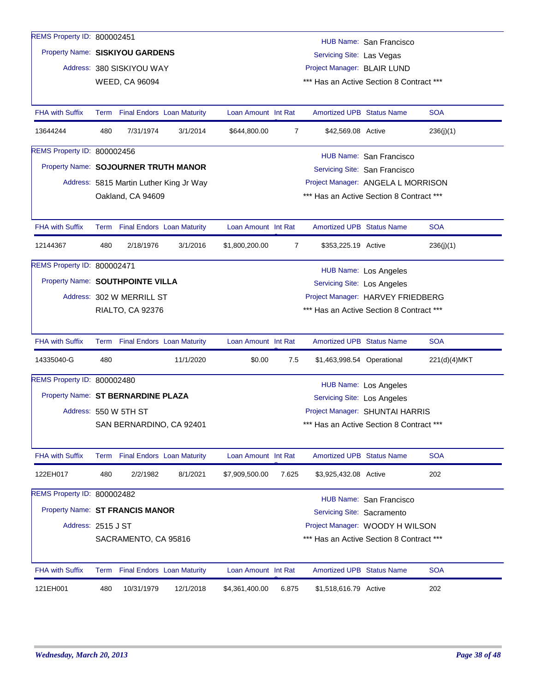| REMS Property ID: 800002451          |                                                                |                           |                                         |                     |       |                                          | HUB Name: San Francisco            |              |
|--------------------------------------|----------------------------------------------------------------|---------------------------|-----------------------------------------|---------------------|-------|------------------------------------------|------------------------------------|--------------|
| Property Name: SISKIYOU GARDENS      |                                                                |                           |                                         |                     |       | Servicing Site: Las Vegas                |                                    |              |
|                                      |                                                                | Address: 380 SISKIYOU WAY |                                         |                     |       | Project Manager: BLAIR LUND              |                                    |              |
|                                      |                                                                | <b>WEED, CA 96094</b>     |                                         |                     |       | *** Has an Active Section 8 Contract *** |                                    |              |
|                                      |                                                                |                           |                                         |                     |       |                                          |                                    |              |
| <b>FHA with Suffix</b>               | Term                                                           |                           | <b>Final Endors Loan Maturity</b>       | Loan Amount Int Rat |       | <b>Amortized UPB Status Name</b>         |                                    | <b>SOA</b>   |
| 13644244                             | 480                                                            | 7/31/1974                 | 3/1/2014                                | \$644,800.00        | 7     | \$42,569.08 Active                       |                                    | 236(j)(1)    |
| REMS Property ID: 800002456          |                                                                |                           |                                         |                     |       |                                          | HUB Name: San Francisco            |              |
| Property Name: SOJOURNER TRUTH MANOR |                                                                |                           |                                         |                     |       |                                          | Servicing Site: San Francisco      |              |
|                                      |                                                                |                           | Address: 5815 Martin Luther King Jr Way |                     |       |                                          | Project Manager: ANGELA L MORRISON |              |
|                                      |                                                                | Oakland, CA 94609         |                                         |                     |       | *** Has an Active Section 8 Contract *** |                                    |              |
|                                      |                                                                |                           |                                         |                     |       |                                          |                                    |              |
| <b>FHA with Suffix</b>               |                                                                |                           | Term Final Endors Loan Maturity         | Loan Amount Int Rat |       | <b>Amortized UPB Status Name</b>         |                                    | <b>SOA</b>   |
| 12144367                             | 480                                                            | 2/18/1976                 | 3/1/2016                                | \$1,800,200.00      | 7     | \$353,225.19 Active                      |                                    | 236(j)(1)    |
| REMS Property ID: 800002471          |                                                                |                           |                                         |                     |       |                                          | <b>HUB Name: Los Angeles</b>       |              |
| Property Name: SOUTHPOINTE VILLA     |                                                                |                           | <b>Servicing Site: Los Angeles</b>      |                     |       |                                          |                                    |              |
|                                      | Address: 302 W MERRILL ST<br>Project Manager: HARVEY FRIEDBERG |                           |                                         |                     |       |                                          |                                    |              |
|                                      | *** Has an Active Section 8 Contract ***<br>RIALTO, CA 92376   |                           |                                         |                     |       |                                          |                                    |              |
|                                      |                                                                |                           |                                         |                     |       |                                          |                                    |              |
|                                      |                                                                |                           |                                         |                     |       |                                          |                                    |              |
| <b>FHA with Suffix</b>               |                                                                |                           | Term Final Endors Loan Maturity         | Loan Amount Int Rat |       | <b>Amortized UPB Status Name</b>         |                                    | <b>SOA</b>   |
| 14335040-G                           | 480                                                            |                           | 11/1/2020                               | \$0.00              | 7.5   | \$1,463,998.54 Operational               |                                    | 221(d)(4)MKT |
| REMS Property ID: 800002480          |                                                                |                           |                                         |                     |       |                                          |                                    |              |
|                                      |                                                                |                           |                                         |                     |       |                                          | HUB Name: Los Angeles              |              |
| Property Name: ST BERNARDINE PLAZA   |                                                                |                           |                                         |                     |       | Servicing Site: Los Angeles              |                                    |              |
|                                      |                                                                | Address: 550 W 5TH ST     |                                         |                     |       |                                          | Project Manager: SHUNTAI HARRIS    |              |
|                                      |                                                                |                           | SAN BERNARDINO, CA 92401                |                     |       | *** Has an Active Section 8 Contract *** |                                    |              |
| <b>FHA with Suffix</b>               |                                                                |                           | Term Final Endors Loan Maturity         | Loan Amount Int Rat |       | <b>Amortized UPB Status Name</b>         |                                    | <b>SOA</b>   |
| 122EH017                             | 480                                                            | 2/2/1982                  | 8/1/2021                                | \$7,909,500.00      | 7.625 | \$3,925,432.08 Active                    |                                    | 202          |
| REMS Property ID: 800002482          |                                                                |                           |                                         |                     |       |                                          |                                    |              |
|                                      |                                                                |                           |                                         |                     |       |                                          | HUB Name: San Francisco            |              |
| Property Name: ST FRANCIS MANOR      |                                                                |                           |                                         |                     |       | Servicing Site: Sacramento               |                                    |              |
| Address: 2515 J ST                   |                                                                |                           |                                         |                     |       |                                          | Project Manager: WOODY H WILSON    |              |
|                                      |                                                                | SACRAMENTO, CA 95816      |                                         |                     |       | *** Has an Active Section 8 Contract *** |                                    |              |
| <b>FHA with Suffix</b>               |                                                                |                           | Term Final Endors Loan Maturity         | Loan Amount Int Rat |       | <b>Amortized UPB Status Name</b>         |                                    | <b>SOA</b>   |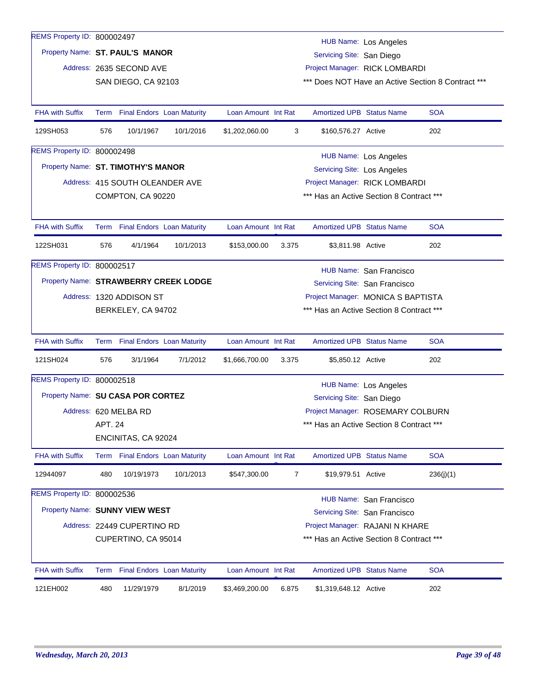| REMS Property ID: 800002497           |                                                                 |                                 |           |                     |                |                                    | <b>HUB Name: Los Angeles</b>             |                                                    |
|---------------------------------------|-----------------------------------------------------------------|---------------------------------|-----------|---------------------|----------------|------------------------------------|------------------------------------------|----------------------------------------------------|
| Property Name: ST. PAUL'S MANOR       |                                                                 |                                 |           |                     |                | Servicing Site: San Diego          |                                          |                                                    |
|                                       |                                                                 | Address: 2635 SECOND AVE        |           |                     |                |                                    | Project Manager: RICK LOMBARDI           |                                                    |
|                                       |                                                                 | SAN DIEGO, CA 92103             |           |                     |                |                                    |                                          | *** Does NOT Have an Active Section 8 Contract *** |
| <b>FHA with Suffix</b>                |                                                                 | Term Final Endors Loan Maturity |           | Loan Amount Int Rat |                | <b>Amortized UPB Status Name</b>   |                                          | <b>SOA</b>                                         |
| 129SH053                              | 576                                                             | 10/1/1967                       | 10/1/2016 | \$1,202,060.00      | 3              | \$160,576.27 Active                |                                          | 202                                                |
| <b>REMS Property ID: 800002498</b>    |                                                                 |                                 |           |                     |                |                                    | <b>HUB Name: Los Angeles</b>             |                                                    |
| Property Name: ST. TIMOTHY'S MANOR    |                                                                 |                                 |           |                     |                | <b>Servicing Site: Los Angeles</b> |                                          |                                                    |
|                                       |                                                                 | Address: 415 SOUTH OLEANDER AVE |           |                     |                |                                    | Project Manager: RICK LOMBARDI           |                                                    |
|                                       |                                                                 | COMPTON, CA 90220               |           |                     |                |                                    | *** Has an Active Section 8 Contract *** |                                                    |
|                                       |                                                                 |                                 |           |                     |                |                                    |                                          |                                                    |
| <b>FHA with Suffix</b>                |                                                                 | Term Final Endors Loan Maturity |           | Loan Amount Int Rat |                | <b>Amortized UPB Status Name</b>   |                                          | <b>SOA</b>                                         |
| 122SH031                              | 576                                                             | 4/1/1964                        | 10/1/2013 | \$153,000.00        | 3.375          | \$3,811.98 Active                  |                                          | 202                                                |
| REMS Property ID: 800002517           |                                                                 |                                 |           |                     |                |                                    | HUB Name: San Francisco                  |                                                    |
| Property Name: STRAWBERRY CREEK LODGE |                                                                 |                                 |           |                     |                |                                    | Servicing Site: San Francisco            |                                                    |
|                                       |                                                                 | Address: 1320 ADDISON ST        |           |                     |                |                                    | Project Manager: MONICA S BAPTISTA       |                                                    |
|                                       |                                                                 | BERKELEY, CA 94702              |           |                     |                |                                    | *** Has an Active Section 8 Contract *** |                                                    |
| FHA with Suffix                       |                                                                 | Term Final Endors Loan Maturity |           | Loan Amount Int Rat |                | Amortized UPB Status Name          |                                          | <b>SOA</b>                                         |
| 121SH024                              | 576                                                             | 3/1/1964                        | 7/1/2012  | \$1,666,700.00      | 3.375          | \$5,850.12 Active                  |                                          | 202                                                |
| REMS Property ID: 800002518           |                                                                 |                                 |           |                     |                |                                    | <b>HUB Name: Los Angeles</b>             |                                                    |
| Property Name: SU CASA POR CORTEZ     |                                                                 |                                 |           |                     |                | Servicing Site: San Diego          |                                          |                                                    |
|                                       |                                                                 | Address: 620 MELBA RD           |           |                     |                |                                    | Project Manager: ROSEMARY COLBURN        |                                                    |
|                                       | <b>APT. 24</b>                                                  |                                 |           |                     |                |                                    | *** Has an Active Section 8 Contract *** |                                                    |
|                                       |                                                                 | ENCINITAS, CA 92024             |           |                     |                |                                    |                                          |                                                    |
| <b>FHA with Suffix</b>                |                                                                 | Term Final Endors Loan Maturity |           | Loan Amount Int Rat |                | <b>Amortized UPB Status Name</b>   |                                          | <b>SOA</b>                                         |
| 12944097                              | 480                                                             | 10/19/1973                      | 10/1/2013 | \$547,300.00        | $\overline{7}$ | \$19,979.51 Active                 |                                          | 236(j)(1)                                          |
| <b>REMS Property ID: 800002536</b>    |                                                                 |                                 |           |                     |                |                                    | HUB Name: San Francisco                  |                                                    |
| Property Name: SUNNY VIEW WEST        |                                                                 |                                 |           |                     |                |                                    | Servicing Site: San Francisco            |                                                    |
|                                       |                                                                 | Address: 22449 CUPERTINO RD     |           |                     |                |                                    | Project Manager: RAJANI N KHARE          |                                                    |
|                                       | *** Has an Active Section 8 Contract ***<br>CUPERTINO, CA 95014 |                                 |           |                     |                |                                    |                                          |                                                    |
| <b>FHA with Suffix</b>                |                                                                 | Term Final Endors Loan Maturity |           | Loan Amount Int Rat |                | Amortized UPB Status Name          |                                          | <b>SOA</b>                                         |
|                                       | 480                                                             | 11/29/1979                      | 8/1/2019  | \$3,469,200.00      | 6.875          | \$1,319,648.12 Active              |                                          | 202                                                |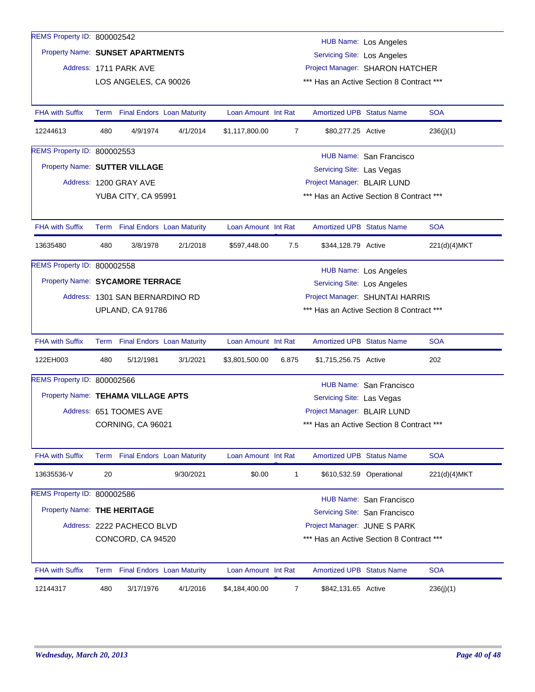| REMS Property ID: 800002542   |                                                                |                                    |           |                     |                |                                          | <b>HUB Name: Los Angeles</b>    |              |  |  |
|-------------------------------|----------------------------------------------------------------|------------------------------------|-----------|---------------------|----------------|------------------------------------------|---------------------------------|--------------|--|--|
|                               |                                                                | Property Name: SUNSET APARTMENTS   |           |                     |                | <b>Servicing Site: Los Angeles</b>       |                                 |              |  |  |
|                               |                                                                | Address: 1711 PARK AVE             |           |                     |                |                                          | Project Manager: SHARON HATCHER |              |  |  |
|                               |                                                                | LOS ANGELES, CA 90026              |           |                     |                | *** Has an Active Section 8 Contract *** |                                 |              |  |  |
|                               |                                                                |                                    |           |                     |                |                                          |                                 |              |  |  |
| <b>FHA with Suffix</b>        |                                                                | Term Final Endors Loan Maturity    |           | Loan Amount Int Rat |                | <b>Amortized UPB Status Name</b>         |                                 | <b>SOA</b>   |  |  |
| 12244613                      | 480                                                            | 4/9/1974                           | 4/1/2014  | \$1,117,800.00      | $\overline{7}$ | \$80,277.25 Active                       |                                 | 236(j)(1)    |  |  |
| REMS Property ID: 800002553   |                                                                |                                    |           |                     |                |                                          | HUB Name: San Francisco         |              |  |  |
| Property Name: SUTTER VILLAGE |                                                                |                                    |           |                     |                | Servicing Site: Las Vegas                |                                 |              |  |  |
|                               |                                                                | Address: 1200 GRAY AVE             |           |                     |                | Project Manager: BLAIR LUND              |                                 |              |  |  |
|                               |                                                                | YUBA CITY, CA 95991                |           |                     |                | *** Has an Active Section 8 Contract *** |                                 |              |  |  |
|                               |                                                                |                                    |           |                     |                |                                          |                                 |              |  |  |
| <b>FHA with Suffix</b>        |                                                                | Term Final Endors Loan Maturity    |           | Loan Amount Int Rat |                | <b>Amortized UPB Status Name</b>         |                                 | <b>SOA</b>   |  |  |
| 13635480                      | 480                                                            | 3/8/1978                           | 2/1/2018  | \$597,448.00        | 7.5            | \$344,128.79 Active                      |                                 | 221(d)(4)MKT |  |  |
| REMS Property ID: 800002558   |                                                                |                                    |           |                     |                |                                          | <b>HUB Name: Los Angeles</b>    |              |  |  |
|                               | Property Name: SYCAMORE TERRACE<br>Servicing Site: Los Angeles |                                    |           |                     |                |                                          |                                 |              |  |  |
|                               |                                                                | Address: 1301 SAN BERNARDINO RD    |           |                     |                |                                          | Project Manager: SHUNTAI HARRIS |              |  |  |
|                               |                                                                | UPLAND, CA 91786                   |           |                     |                | *** Has an Active Section 8 Contract *** |                                 |              |  |  |
|                               |                                                                |                                    |           |                     |                |                                          |                                 |              |  |  |
| <b>FHA with Suffix</b>        |                                                                | Term Final Endors Loan Maturity    |           | Loan Amount Int Rat |                | <b>Amortized UPB Status Name</b>         |                                 | <b>SOA</b>   |  |  |
| 122EH003                      | 480                                                            | 5/12/1981                          | 3/1/2021  | \$3,801,500.00      | 6.875          | \$1,715,256.75 Active                    |                                 | 202          |  |  |
| REMS Property ID: 800002566   |                                                                |                                    |           |                     |                |                                          | HUB Name: San Francisco         |              |  |  |
|                               |                                                                | Property Name: TEHAMA VILLAGE APTS |           |                     |                | Servicing Site: Las Vegas                |                                 |              |  |  |
|                               |                                                                | Address: 651 TOOMES AVE            |           |                     |                | Project Manager: BLAIR LUND              |                                 |              |  |  |
|                               |                                                                | CORNING, CA 96021                  |           |                     |                | *** Has an Active Section 8 Contract *** |                                 |              |  |  |
|                               |                                                                |                                    |           |                     |                |                                          |                                 |              |  |  |
| <b>FHA with Suffix</b>        |                                                                | Term Final Endors Loan Maturity    |           | Loan Amount Int Rat |                | <b>Amortized UPB Status Name</b>         |                                 | <b>SOA</b>   |  |  |
| 13635536-V                    | 20                                                             |                                    | 9/30/2021 | \$0.00              | 1              |                                          | \$610,532.59 Operational        | 221(d)(4)MKT |  |  |
| REMS Property ID: 800002586   |                                                                |                                    |           |                     |                |                                          | HUB Name: San Francisco         |              |  |  |
| Property Name: THE HERITAGE   |                                                                |                                    |           |                     |                |                                          | Servicing Site: San Francisco   |              |  |  |
|                               |                                                                | Address: 2222 PACHECO BLVD         |           |                     |                | Project Manager: JUNE S PARK             |                                 |              |  |  |
|                               |                                                                | CONCORD, CA 94520                  |           |                     |                | *** Has an Active Section 8 Contract *** |                                 |              |  |  |
|                               |                                                                |                                    |           |                     |                |                                          |                                 |              |  |  |
| <b>FHA with Suffix</b>        |                                                                | Term Final Endors Loan Maturity    |           | Loan Amount Int Rat |                | <b>Amortized UPB Status Name</b>         |                                 | <b>SOA</b>   |  |  |
| 12144317                      | 480                                                            | 3/17/1976                          | 4/1/2016  | \$4,184,400.00      | 7              | \$842,131.65 Active                      |                                 | 236(j)(1)    |  |  |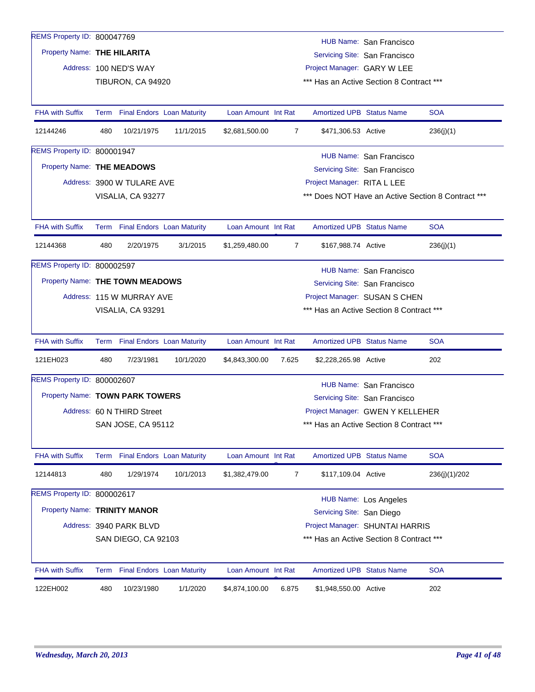| REMS Property ID: 800047769     |                                                                 |                                   |           |                     |                             |                                  |                                          |                                                    |  |  |
|---------------------------------|-----------------------------------------------------------------|-----------------------------------|-----------|---------------------|-----------------------------|----------------------------------|------------------------------------------|----------------------------------------------------|--|--|
|                                 |                                                                 |                                   |           |                     |                             |                                  | HUB Name: San Francisco                  |                                                    |  |  |
| Property Name: THE HILARITA     |                                                                 |                                   |           |                     |                             |                                  | Servicing Site: San Francisco            |                                                    |  |  |
|                                 |                                                                 | Address: 100 NED'S WAY            |           |                     |                             | Project Manager: GARY W LEE      |                                          |                                                    |  |  |
|                                 |                                                                 | TIBURON, CA 94920                 |           |                     |                             |                                  | *** Has an Active Section 8 Contract *** |                                                    |  |  |
| <b>FHA with Suffix</b>          |                                                                 | Term Final Endors Loan Maturity   |           | Loan Amount Int Rat |                             | <b>Amortized UPB Status Name</b> |                                          | <b>SOA</b>                                         |  |  |
| 12144246                        | 480                                                             | 10/21/1975                        | 11/1/2015 | \$2,681,500.00      | 7                           | \$471,306.53 Active              |                                          | 236(j)(1)                                          |  |  |
| REMS Property ID: 800001947     |                                                                 |                                   |           |                     |                             |                                  | HUB Name: San Francisco                  |                                                    |  |  |
| Property Name: THE MEADOWS      |                                                                 |                                   |           |                     |                             | Servicing Site: San Francisco    |                                          |                                                    |  |  |
|                                 |                                                                 | Address: 3900 W TULARE AVE        |           |                     | Project Manager: RITA L LEE |                                  |                                          |                                                    |  |  |
|                                 |                                                                 | VISALIA, CA 93277                 |           |                     |                             |                                  |                                          | *** Does NOT Have an Active Section 8 Contract *** |  |  |
| <b>FHA with Suffix</b>          |                                                                 | Term Final Endors Loan Maturity   |           | Loan Amount Int Rat |                             | <b>Amortized UPB Status Name</b> |                                          | <b>SOA</b>                                         |  |  |
| 12144368                        | 480                                                             | 2/20/1975                         | 3/1/2015  | \$1,259,480.00      | 7                           | \$167,988.74 Active              |                                          | 236(j)(1)                                          |  |  |
| REMS Property ID: 800002597     |                                                                 |                                   |           |                     |                             |                                  | HUB Name: San Francisco                  |                                                    |  |  |
| Property Name: THE TOWN MEADOWS |                                                                 |                                   |           |                     |                             |                                  | Servicing Site: San Francisco            |                                                    |  |  |
|                                 |                                                                 | Address: 115 W MURRAY AVE         |           |                     |                             |                                  | Project Manager: SUSAN S CHEN            |                                                    |  |  |
|                                 |                                                                 | VISALIA, CA 93291                 |           |                     |                             |                                  | *** Has an Active Section 8 Contract *** |                                                    |  |  |
| <b>FHA with Suffix</b>          |                                                                 | Term Final Endors Loan Maturity   |           | Loan Amount Int Rat |                             | <b>Amortized UPB Status Name</b> |                                          | <b>SOA</b>                                         |  |  |
| 121EH023                        | 480                                                             | 7/23/1981                         | 10/1/2020 | \$4,843,300.00      | 7.625                       | \$2,228,265.98 Active            |                                          | 202                                                |  |  |
| REMS Property ID: 800002607     |                                                                 |                                   |           |                     |                             |                                  | <b>HUB Name: San Francisco</b>           |                                                    |  |  |
| Property Name: TOWN PARK TOWERS |                                                                 |                                   |           |                     |                             |                                  | Servicing Site: San Francisco            |                                                    |  |  |
|                                 |                                                                 | Address: 60 N THIRD Street        |           |                     |                             |                                  | Project Manager: GWEN Y KELLEHER         |                                                    |  |  |
|                                 |                                                                 | SAN JOSE, CA 95112                |           |                     |                             |                                  | *** Has an Active Section 8 Contract *** |                                                    |  |  |
| <b>FHA with Suffix</b>          | Term                                                            | <b>Final Endors Loan Maturity</b> |           | Loan Amount Int Rat |                             | Amortized UPB Status Name        |                                          | <b>SOA</b>                                         |  |  |
| 12144813                        | 480                                                             | 1/29/1974                         | 10/1/2013 | \$1,382,479.00      | 7                           | \$117,109.04 Active              |                                          | 236(j)(1)/202                                      |  |  |
| REMS Property ID: 800002617     |                                                                 |                                   |           |                     |                             |                                  | HUB Name: Los Angeles                    |                                                    |  |  |
| Property Name: TRINITY MANOR    |                                                                 |                                   |           |                     |                             | Servicing Site: San Diego        |                                          |                                                    |  |  |
|                                 |                                                                 | Address: 3940 PARK BLVD           |           |                     |                             |                                  | Project Manager: SHUNTAI HARRIS          |                                                    |  |  |
|                                 | *** Has an Active Section 8 Contract ***<br>SAN DIEGO, CA 92103 |                                   |           |                     |                             |                                  |                                          |                                                    |  |  |
| <b>FHA with Suffix</b>          | Term                                                            | <b>Final Endors Loan Maturity</b> |           | Loan Amount Int Rat |                             | <b>Amortized UPB Status Name</b> |                                          | <b>SOA</b>                                         |  |  |
| 122EH002                        | 480                                                             | 10/23/1980                        | 1/1/2020  | \$4,874,100.00      | 6.875                       | \$1,948,550.00 Active            |                                          | 202                                                |  |  |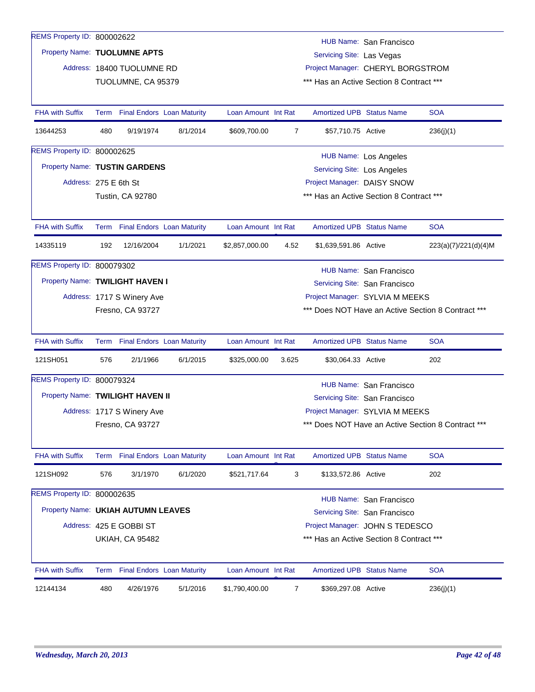| REMS Property ID: 800002622        |      |                            |                                   |                     |                               |                                    | HUB Name: San Francisco                  |                                                    |
|------------------------------------|------|----------------------------|-----------------------------------|---------------------|-------------------------------|------------------------------------|------------------------------------------|----------------------------------------------------|
| Property Name: TUOLUMNE APTS       |      |                            |                                   |                     |                               | Servicing Site: Las Vegas          |                                          |                                                    |
|                                    |      | Address: 18400 TUOLUMNE RD |                                   |                     |                               |                                    | Project Manager: CHERYL BORGSTROM        |                                                    |
|                                    |      | TUOLUMNE, CA 95379         |                                   |                     |                               |                                    | *** Has an Active Section 8 Contract *** |                                                    |
|                                    |      |                            |                                   |                     |                               |                                    |                                          |                                                    |
| <b>FHA with Suffix</b>             | Term |                            | <b>Final Endors Loan Maturity</b> | Loan Amount Int Rat |                               | <b>Amortized UPB Status Name</b>   |                                          | <b>SOA</b>                                         |
| 13644253                           | 480  | 9/19/1974                  | 8/1/2014                          | \$609,700.00        | 7                             | \$57,710.75 Active                 |                                          | 236(j)(1)                                          |
| REMS Property ID: 800002625        |      |                            |                                   |                     |                               |                                    | HUB Name: Los Angeles                    |                                                    |
| Property Name: TUSTIN GARDENS      |      |                            |                                   |                     |                               | <b>Servicing Site: Los Angeles</b> |                                          |                                                    |
| Address: 275 E 6th St              |      |                            |                                   |                     |                               | Project Manager: DAISY SNOW        |                                          |                                                    |
|                                    |      | <b>Tustin, CA 92780</b>    |                                   |                     |                               |                                    | *** Has an Active Section 8 Contract *** |                                                    |
|                                    |      |                            |                                   |                     |                               |                                    |                                          |                                                    |
| <b>FHA with Suffix</b>             |      |                            | Term Final Endors Loan Maturity   | Loan Amount Int Rat |                               | <b>Amortized UPB Status Name</b>   |                                          | <b>SOA</b>                                         |
| 14335119                           | 192  | 12/16/2004                 | 1/1/2021                          | \$2,857,000.00      | 4.52                          | \$1,639,591.86 Active              |                                          | 223(a)(7)/221(d)(4)M                               |
| REMS Property ID: 800079302        |      |                            |                                   |                     |                               |                                    | HUB Name: San Francisco                  |                                                    |
| Property Name: TWILIGHT HAVEN I    |      |                            |                                   |                     | Servicing Site: San Francisco |                                    |                                          |                                                    |
|                                    |      | Address: 1717 S Winery Ave |                                   |                     |                               |                                    | Project Manager: SYLVIA M MEEKS          |                                                    |
|                                    |      | Fresno, CA 93727           |                                   |                     |                               |                                    |                                          | *** Does NOT Have an Active Section 8 Contract *** |
|                                    |      |                            |                                   |                     |                               |                                    |                                          |                                                    |
| <b>FHA with Suffix</b>             |      |                            | Term Final Endors Loan Maturity   | Loan Amount Int Rat |                               | <b>Amortized UPB Status Name</b>   |                                          | <b>SOA</b>                                         |
| 121SH051                           | 576  | 2/1/1966                   | 6/1/2015                          | \$325,000.00        | 3.625                         | \$30,064.33 Active                 |                                          | 202                                                |
| REMS Property ID: 800079324        |      |                            |                                   |                     |                               |                                    | HUB Name: San Francisco                  |                                                    |
| Property Name: TWILIGHT HAVEN II   |      |                            |                                   |                     |                               |                                    | Servicing Site: San Francisco            |                                                    |
|                                    |      | Address: 1717 S Winery Ave |                                   |                     |                               |                                    | Project Manager: SYLVIA M MEEKS          |                                                    |
|                                    |      | Fresno, CA 93727           |                                   |                     |                               |                                    |                                          | *** Does NOT Have an Active Section 8 Contract *** |
|                                    |      |                            |                                   |                     |                               |                                    |                                          |                                                    |
| <b>FHA with Suffix</b>             |      |                            | Term Final Endors Loan Maturity   | Loan Amount Int Rat |                               | Amortized UPB Status Name          |                                          | <b>SOA</b>                                         |
| 121SH092                           | 576  | 3/1/1970                   | 6/1/2020                          | \$521,717.64        | 3                             | \$133,572.86 Active                |                                          | 202                                                |
| REMS Property ID: 800002635        |      |                            |                                   |                     |                               |                                    | HUB Name: San Francisco                  |                                                    |
| Property Name: UKIAH AUTUMN LEAVES |      |                            |                                   |                     |                               |                                    | Servicing Site: San Francisco            |                                                    |
|                                    |      | Address: 425 E GOBBI ST    |                                   |                     |                               |                                    | Project Manager: JOHN S TEDESCO          |                                                    |
|                                    |      | <b>UKIAH, CA 95482</b>     |                                   |                     |                               |                                    | *** Has an Active Section 8 Contract *** |                                                    |
|                                    |      |                            |                                   |                     |                               |                                    |                                          |                                                    |
| <b>FHA with Suffix</b>             |      |                            | Term Final Endors Loan Maturity   | Loan Amount Int Rat |                               | <b>Amortized UPB Status Name</b>   |                                          | <b>SOA</b>                                         |
| 12144134                           | 480  | 4/26/1976                  | 5/1/2016                          | \$1,790,400.00      | $\overline{7}$                | \$369,297.08 Active                |                                          | 236(j)(1)                                          |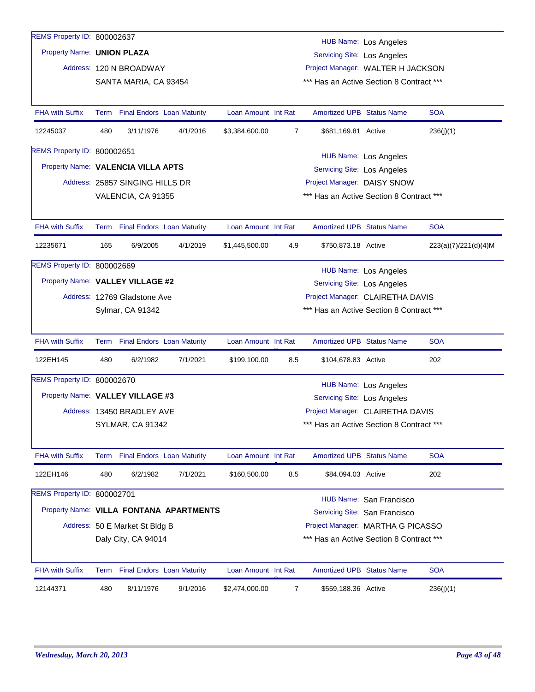| REMS Property ID: 800002637        |      |                                 |                                         |                     |                |                                          | <b>HUB Name: Los Angeles</b>  |                      |  |
|------------------------------------|------|---------------------------------|-----------------------------------------|---------------------|----------------|------------------------------------------|-------------------------------|----------------------|--|
| Property Name: UNION PLAZA         |      |                                 |                                         |                     |                | Servicing Site: Los Angeles              |                               |                      |  |
|                                    |      | Address: 120 N BROADWAY         |                                         |                     |                | Project Manager: WALTER H JACKSON        |                               |                      |  |
|                                    |      | SANTA MARIA, CA 93454           |                                         |                     |                | *** Has an Active Section 8 Contract *** |                               |                      |  |
|                                    |      |                                 |                                         |                     |                |                                          |                               |                      |  |
| <b>FHA with Suffix</b>             | Term |                                 | <b>Final Endors Loan Maturity</b>       | Loan Amount Int Rat |                | <b>Amortized UPB Status Name</b>         |                               | <b>SOA</b>           |  |
| 12245037                           | 480  | 3/11/1976                       | 4/1/2016                                | \$3,384,600.00      | $\overline{7}$ | \$681,169.81 Active                      |                               | 236(j)(1)            |  |
| REMS Property ID: 800002651        |      |                                 |                                         |                     |                |                                          | HUB Name: Los Angeles         |                      |  |
| Property Name: VALENCIA VILLA APTS |      |                                 |                                         |                     |                | Servicing Site: Los Angeles              |                               |                      |  |
|                                    |      | Address: 25857 SINGING HILLS DR |                                         |                     |                | Project Manager: DAISY SNOW              |                               |                      |  |
|                                    |      | VALENCIA, CA 91355              |                                         |                     |                | *** Has an Active Section 8 Contract *** |                               |                      |  |
|                                    |      |                                 |                                         |                     |                |                                          |                               |                      |  |
| <b>FHA with Suffix</b>             |      | Term Final Endors Loan Maturity |                                         | Loan Amount Int Rat |                | <b>Amortized UPB Status Name</b>         |                               | <b>SOA</b>           |  |
| 12235671                           | 165  | 6/9/2005                        | 4/1/2019                                | \$1,445,500.00      | 4.9            | \$750,873.18 Active                      |                               | 223(a)(7)/221(d)(4)M |  |
| REMS Property ID: 800002669        |      |                                 |                                         |                     |                |                                          | HUB Name: Los Angeles         |                      |  |
| Property Name: VALLEY VILLAGE #2   |      |                                 |                                         |                     |                | Servicing Site: Los Angeles              |                               |                      |  |
|                                    |      | Address: 12769 Gladstone Ave    |                                         |                     |                | Project Manager: CLAIRETHA DAVIS         |                               |                      |  |
|                                    |      | Sylmar, CA 91342                |                                         |                     |                | *** Has an Active Section 8 Contract *** |                               |                      |  |
|                                    |      |                                 |                                         |                     |                |                                          |                               |                      |  |
| <b>FHA with Suffix</b>             |      | Term Final Endors Loan Maturity |                                         | Loan Amount Int Rat |                | <b>Amortized UPB Status Name</b>         |                               | <b>SOA</b>           |  |
| 122EH145                           | 480  | 6/2/1982                        | 7/1/2021                                | \$199,100.00        | 8.5            | \$104,678.83 Active                      |                               | 202                  |  |
| REMS Property ID: 800002670        |      |                                 |                                         |                     |                |                                          | HUB Name: Los Angeles         |                      |  |
| Property Name: VALLEY VILLAGE #3   |      |                                 |                                         |                     |                | Servicing Site: Los Angeles              |                               |                      |  |
|                                    |      | Address: 13450 BRADLEY AVE      |                                         |                     |                | Project Manager: CLAIRETHA DAVIS         |                               |                      |  |
|                                    |      | SYLMAR, CA 91342                |                                         |                     |                | *** Has an Active Section 8 Contract *** |                               |                      |  |
|                                    |      |                                 |                                         |                     |                |                                          |                               |                      |  |
| <b>FHA with Suffix</b>             |      | Term Final Endors Loan Maturity |                                         | Loan Amount Int Rat |                | Amortized UPB Status Name                |                               | <b>SOA</b>           |  |
| 122EH146                           | 480  | 6/2/1982                        | 7/1/2021                                | \$160,500.00        | 8.5            | \$84,094.03 Active                       |                               | 202                  |  |
| REMS Property ID: 800002701        |      |                                 |                                         |                     |                |                                          | HUB Name: San Francisco       |                      |  |
|                                    |      |                                 | Property Name: VILLA FONTANA APARTMENTS |                     |                |                                          | Servicing Site: San Francisco |                      |  |
|                                    |      | Address: 50 E Market St Bldg B  |                                         |                     |                | Project Manager: MARTHA G PICASSO        |                               |                      |  |
|                                    |      |                                 |                                         |                     |                | *** Has an Active Section 8 Contract *** |                               |                      |  |
|                                    |      | Daly City, CA 94014             |                                         |                     |                |                                          |                               |                      |  |
| <b>FHA with Suffix</b>             |      | Term Final Endors Loan Maturity |                                         | Loan Amount Int Rat |                | <b>Amortized UPB Status Name</b>         |                               | <b>SOA</b>           |  |
| 12144371                           | 480  | 8/11/1976                       | 9/1/2016                                | \$2,474,000.00      | $\overline{7}$ | \$559,188.36 Active                      |                               | 236(j)(1)            |  |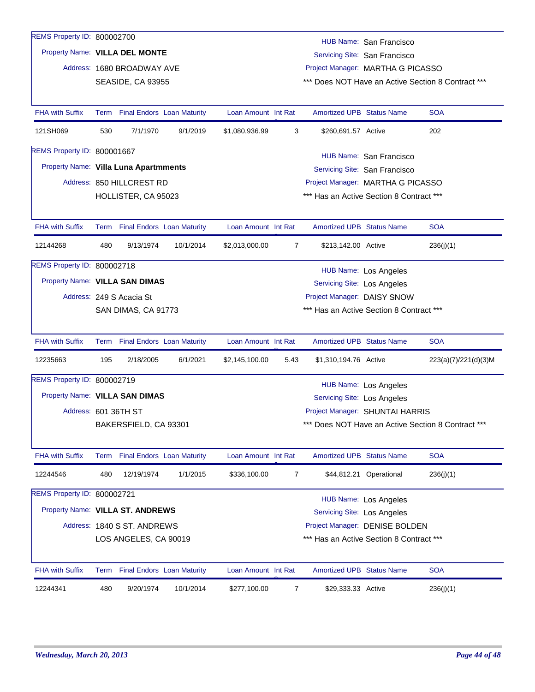| REMS Property ID: 800002700           |      |                                   |           |                     |                |                                          |                                   |                                                    |
|---------------------------------------|------|-----------------------------------|-----------|---------------------|----------------|------------------------------------------|-----------------------------------|----------------------------------------------------|
| Property Name: VILLA DEL MONTE        |      |                                   |           |                     |                |                                          | HUB Name: San Francisco           |                                                    |
|                                       |      |                                   |           |                     |                |                                          | Servicing Site: San Francisco     |                                                    |
|                                       |      | Address: 1680 BROADWAY AVE        |           |                     |                |                                          | Project Manager: MARTHA G PICASSO |                                                    |
|                                       |      | SEASIDE, CA 93955                 |           |                     |                |                                          |                                   | *** Does NOT Have an Active Section 8 Contract *** |
| <b>FHA with Suffix</b>                | Term | <b>Final Endors Loan Maturity</b> |           | Loan Amount Int Rat |                | Amortized UPB Status Name                |                                   | <b>SOA</b>                                         |
| 121SH069                              | 530  | 7/1/1970                          | 9/1/2019  | \$1,080,936.99      | 3              | \$260,691.57 Active                      |                                   | 202                                                |
| REMS Property ID: 800001667           |      |                                   |           |                     |                |                                          | HUB Name: San Francisco           |                                                    |
| Property Name: Villa Luna Apartmments |      |                                   |           |                     |                |                                          | Servicing Site: San Francisco     |                                                    |
|                                       |      | Address: 850 HILLCREST RD         |           |                     |                |                                          | Project Manager: MARTHA G PICASSO |                                                    |
|                                       |      | HOLLISTER, CA 95023               |           |                     |                | *** Has an Active Section 8 Contract *** |                                   |                                                    |
|                                       |      |                                   |           |                     |                |                                          |                                   |                                                    |
| <b>FHA with Suffix</b>                | Term | <b>Final Endors Loan Maturity</b> |           | Loan Amount Int Rat |                | Amortized UPB Status Name                |                                   | <b>SOA</b>                                         |
| 12144268                              | 480  | 9/13/1974                         | 10/1/2014 | \$2,013,000.00      | $\overline{7}$ | \$213,142.00 Active                      |                                   | 236(j)(1)                                          |
| REMS Property ID: 800002718           |      |                                   |           |                     |                |                                          | <b>HUB Name: Los Angeles</b>      |                                                    |
| Property Name: VILLA SAN DIMAS        |      |                                   |           |                     |                | Servicing Site: Los Angeles              |                                   |                                                    |
|                                       |      | Address: 249 S Acacia St          |           |                     |                | Project Manager: DAISY SNOW              |                                   |                                                    |
|                                       |      | SAN DIMAS, CA 91773               |           |                     |                | *** Has an Active Section 8 Contract *** |                                   |                                                    |
|                                       |      |                                   |           |                     |                |                                          |                                   |                                                    |
| <b>FHA with Suffix</b>                |      | Term Final Endors Loan Maturity   |           | Loan Amount Int Rat |                | <b>Amortized UPB Status Name</b>         |                                   | <b>SOA</b>                                         |
| 12235663                              | 195  | 2/18/2005                         | 6/1/2021  | \$2,145,100.00      | 5.43           | \$1,310,194.76 Active                    |                                   | 223(a)(7)/221(d)(3)M                               |
| REMS Property ID: 800002719           |      |                                   |           |                     |                |                                          | HUB Name: Los Angeles             |                                                    |
| Property Name: VILLA SAN DIMAS        |      |                                   |           |                     |                | Servicing Site: Los Angeles              |                                   |                                                    |
| Address: 601 36TH ST                  |      |                                   |           |                     |                |                                          | Project Manager: SHUNTAI HARRIS   |                                                    |
|                                       |      | BAKERSFIELD, CA 93301             |           |                     |                |                                          |                                   | *** Does NOT Have an Active Section 8 Contract *** |
|                                       |      |                                   |           |                     |                |                                          |                                   |                                                    |
| FHA with Suffix                       | Term | <b>Final Endors Loan Maturity</b> |           | Loan Amount Int Rat |                | Amortized UPB Status Name                |                                   | <b>SOA</b>                                         |
| 12244546                              | 480  | 12/19/1974                        | 1/1/2015  | \$336,100.00        | $\overline{7}$ |                                          | \$44,812.21 Operational           | 236(j)(1)                                          |
| REMS Property ID: 800002721           |      |                                   |           |                     |                |                                          | HUB Name: Los Angeles             |                                                    |
| Property Name: VILLA ST. ANDREWS      |      |                                   |           |                     |                | Servicing Site: Los Angeles              |                                   |                                                    |
|                                       |      | Address: 1840 S ST. ANDREWS       |           |                     |                |                                          | Project Manager: DENISE BOLDEN    |                                                    |
|                                       |      | LOS ANGELES, CA 90019             |           |                     |                | *** Has an Active Section 8 Contract *** |                                   |                                                    |
|                                       |      |                                   |           |                     |                |                                          |                                   |                                                    |
| <b>FHA with Suffix</b>                |      | Term Final Endors Loan Maturity   |           | Loan Amount Int Rat |                | Amortized UPB Status Name                |                                   | <b>SOA</b>                                         |
| 12244341                              | 480  | 9/20/1974                         | 10/1/2014 | \$277,100.00        | 7              | \$29,333.33 Active                       |                                   | 236(j)(1)                                          |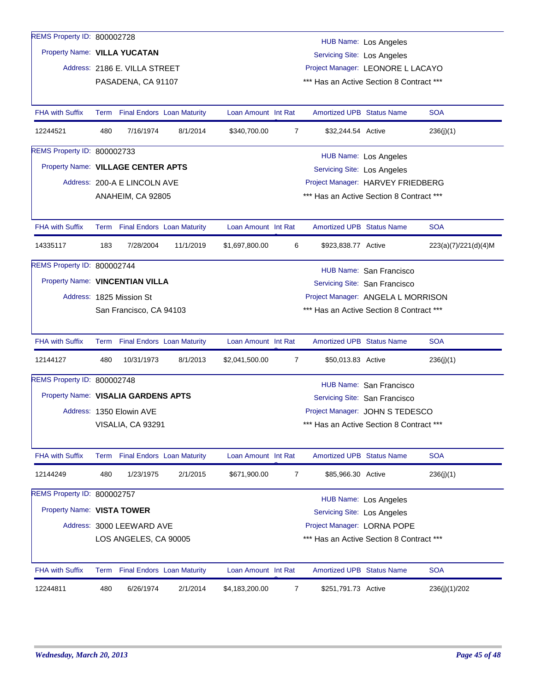| REMS Property ID: 800002728         |      |                               |                                   |                     |   |                                    | <b>HUB Name: Los Angeles</b>             |                      |
|-------------------------------------|------|-------------------------------|-----------------------------------|---------------------|---|------------------------------------|------------------------------------------|----------------------|
| Property Name: VILLA YUCATAN        |      |                               |                                   |                     |   | <b>Servicing Site: Los Angeles</b> |                                          |                      |
|                                     |      | Address: 2186 E. VILLA STREET |                                   |                     |   |                                    | Project Manager: LEONORE L LACAYO        |                      |
|                                     |      | PASADENA, CA 91107            |                                   |                     |   |                                    | *** Has an Active Section 8 Contract *** |                      |
|                                     |      |                               |                                   |                     |   |                                    |                                          |                      |
| <b>FHA with Suffix</b>              | Term |                               | <b>Final Endors Loan Maturity</b> | Loan Amount Int Rat |   | <b>Amortized UPB Status Name</b>   |                                          | <b>SOA</b>           |
| 12244521                            | 480  | 7/16/1974                     | 8/1/2014                          | \$340,700.00        | 7 | \$32,244.54 Active                 |                                          | 236(j)(1)            |
| REMS Property ID: 800002733         |      |                               |                                   |                     |   |                                    | HUB Name: Los Angeles                    |                      |
| Property Name: VILLAGE CENTER APTS  |      |                               |                                   |                     |   | Servicing Site: Los Angeles        |                                          |                      |
|                                     |      | Address: 200-A E LINCOLN AVE  |                                   |                     |   |                                    | Project Manager: HARVEY FRIEDBERG        |                      |
|                                     |      | ANAHEIM, CA 92805             |                                   |                     |   |                                    | *** Has an Active Section 8 Contract *** |                      |
|                                     |      |                               |                                   |                     |   |                                    |                                          |                      |
| <b>FHA with Suffix</b>              |      |                               | Term Final Endors Loan Maturity   | Loan Amount Int Rat |   | <b>Amortized UPB Status Name</b>   |                                          | <b>SOA</b>           |
| 14335117                            | 183  | 7/28/2004                     | 11/1/2019                         | \$1,697,800.00      | 6 | \$923,838.77 Active                |                                          | 223(a)(7)/221(d)(4)M |
| REMS Property ID: 800002744         |      |                               |                                   |                     |   |                                    | HUB Name: San Francisco                  |                      |
| Property Name: VINCENTIAN VILLA     |      |                               |                                   |                     |   |                                    | Servicing Site: San Francisco            |                      |
|                                     |      | Address: 1825 Mission St      |                                   |                     |   |                                    | Project Manager: ANGELA L MORRISON       |                      |
|                                     |      | San Francisco, CA 94103       |                                   |                     |   |                                    | *** Has an Active Section 8 Contract *** |                      |
|                                     |      |                               |                                   |                     |   |                                    |                                          |                      |
| <b>FHA with Suffix</b>              |      |                               | Term Final Endors Loan Maturity   | Loan Amount Int Rat |   | <b>Amortized UPB Status Name</b>   |                                          | <b>SOA</b>           |
| 12144127                            | 480  | 10/31/1973                    | 8/1/2013                          | \$2,041,500.00      | 7 | \$50,013.83 Active                 |                                          | 236(j)(1)            |
| REMS Property ID: 800002748         |      |                               |                                   |                     |   |                                    | HUB Name: San Francisco                  |                      |
| Property Name: VISALIA GARDENS APTS |      |                               |                                   |                     |   |                                    | Servicing Site: San Francisco            |                      |
|                                     |      | Address: 1350 Elowin AVE      |                                   |                     |   |                                    | Project Manager: JOHN S TEDESCO          |                      |
|                                     |      | VISALIA, CA 93291             |                                   |                     |   |                                    | *** Has an Active Section 8 Contract *** |                      |
|                                     |      |                               |                                   |                     |   |                                    |                                          |                      |
| <b>FHA with Suffix</b>              |      |                               | Term Final Endors Loan Maturity   | Loan Amount Int Rat |   | <b>Amortized UPB Status Name</b>   |                                          | <b>SOA</b>           |
| 12144249                            | 480  | 1/23/1975                     | 2/1/2015                          | \$671,900.00        | 7 | \$85,966.30 Active                 |                                          | 236(j)(1)            |
| REMS Property ID: 800002757         |      |                               |                                   |                     |   |                                    | HUB Name: Los Angeles                    |                      |
| Property Name: VISTA TOWER          |      |                               |                                   |                     |   | Servicing Site: Los Angeles        |                                          |                      |
|                                     |      | Address: 3000 LEEWARD AVE     |                                   |                     |   | Project Manager: LORNA POPE        |                                          |                      |
|                                     |      | LOS ANGELES, CA 90005         |                                   |                     |   |                                    | *** Has an Active Section 8 Contract *** |                      |
|                                     |      |                               |                                   |                     |   |                                    |                                          |                      |
| <b>FHA with Suffix</b>              |      |                               | Term Final Endors Loan Maturity   | Loan Amount Int Rat |   | <b>Amortized UPB Status Name</b>   |                                          | <b>SOA</b>           |
| 12244811                            | 480  | 6/26/1974                     | 2/1/2014                          | \$4,183,200.00      | 7 | \$251,791.73 Active                |                                          | 236(j)(1)/202        |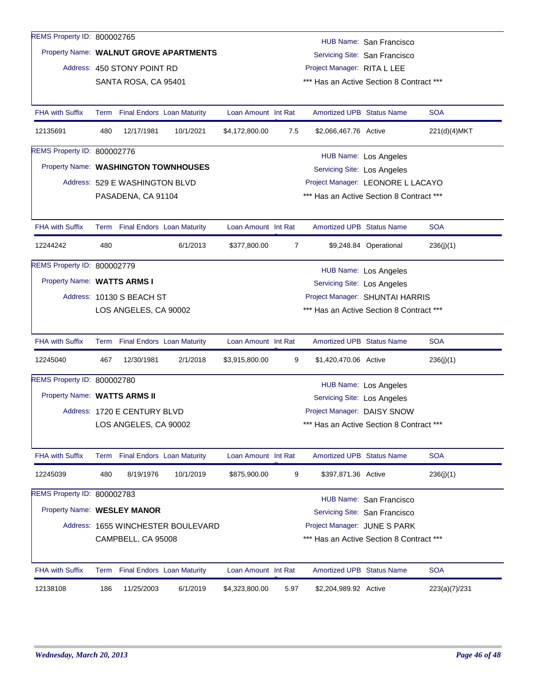| 12138108                             | 186                                                            | 11/25/2003                        | 6/1/2019                               | \$4,323,800.00      | 5.97 | \$2,204,989.92 Active              |                                                          | 223(a)(7)/231 |
|--------------------------------------|----------------------------------------------------------------|-----------------------------------|----------------------------------------|---------------------|------|------------------------------------|----------------------------------------------------------|---------------|
| FHA with Suffix                      | Term                                                           | <b>Final Endors Loan Maturity</b> |                                        | Loan Amount Int Rat |      | Amortized UPB Status Name          |                                                          | <b>SOA</b>    |
|                                      | *** Has an Active Section 8 Contract ***<br>CAMPBELL, CA 95008 |                                   |                                        |                     |      |                                    |                                                          |               |
|                                      |                                                                |                                   | Address: 1655 WINCHESTER BOULEVARD     |                     |      | Project Manager: JUNE S PARK       |                                                          |               |
| Property Name: WESLEY MANOR          |                                                                |                                   |                                        |                     |      |                                    | HUB Name: San Francisco<br>Servicing Site: San Francisco |               |
| REMS Property ID: 800002783          |                                                                |                                   |                                        |                     |      |                                    |                                                          |               |
| 12245039                             | 480                                                            | 8/19/1976                         | 10/1/2019                              | \$875,900.00        | 9    | \$397,871.36 Active                |                                                          | 236(j)(1)     |
| <b>FHA with Suffix</b>               |                                                                | Term Final Endors Loan Maturity   |                                        | Loan Amount Int Rat |      | <b>Amortized UPB Status Name</b>   |                                                          | <b>SOA</b>    |
|                                      |                                                                | LOS ANGELES, CA 90002             |                                        |                     |      |                                    | *** Has an Active Section 8 Contract ***                 |               |
|                                      |                                                                | Address: 1720 E CENTURY BLVD      |                                        |                     |      | Project Manager: DAISY SNOW        |                                                          |               |
| Property Name: WATTS ARMS II         |                                                                |                                   |                                        |                     |      | Servicing Site: Los Angeles        |                                                          |               |
|                                      |                                                                |                                   |                                        |                     |      |                                    | <b>HUB Name: Los Angeles</b>                             |               |
| REMS Property ID: 800002780          |                                                                |                                   |                                        |                     |      |                                    |                                                          |               |
| 12245040                             | 467                                                            | 12/30/1981                        | 2/1/2018                               | \$3,915,800.00      | 9    | \$1,420,470.06 Active              |                                                          | 236(j)(1)     |
| <b>FHA with Suffix</b>               |                                                                | Term Final Endors Loan Maturity   |                                        | Loan Amount Int Rat |      | <b>Amortized UPB Status Name</b>   |                                                          | <b>SOA</b>    |
|                                      |                                                                | LOS ANGELES, CA 90002             |                                        |                     |      |                                    | *** Has an Active Section 8 Contract ***                 |               |
|                                      |                                                                | Address: 10130 S BEACH ST         |                                        |                     |      |                                    | Project Manager: SHUNTAI HARRIS                          |               |
| Property Name: WATTS ARMS I          |                                                                |                                   |                                        |                     |      | <b>Servicing Site: Los Angeles</b> |                                                          |               |
| REMS Property ID: 800002779          |                                                                |                                   |                                        |                     |      |                                    | <b>HUB Name: Los Angeles</b>                             |               |
| 12244242                             | 480                                                            |                                   | 6/1/2013                               | \$377,800.00        | 7    |                                    | \$9,248.84 Operational                                   | 236(j)(1)     |
|                                      |                                                                | Term Final Endors Loan Maturity   |                                        |                     |      |                                    |                                                          |               |
| <b>FHA with Suffix</b>               |                                                                |                                   |                                        | Loan Amount Int Rat |      | <b>Amortized UPB Status Name</b>   |                                                          | <b>SOA</b>    |
|                                      |                                                                | PASADENA, CA 91104                |                                        |                     |      |                                    | *** Has an Active Section 8 Contract ***                 |               |
|                                      |                                                                | Address: 529 E WASHINGTON BLVD    |                                        |                     |      |                                    | Project Manager: LEONORE L LACAYO                        |               |
| Property Name: WASHINGTON TOWNHOUSES |                                                                |                                   |                                        |                     |      | Servicing Site: Los Angeles        |                                                          |               |
| REMS Property ID: 800002776          |                                                                |                                   |                                        |                     |      |                                    | <b>HUB Name: Los Angeles</b>                             |               |
| 12135691                             | 480                                                            | 12/17/1981                        | 10/1/2021                              | \$4,172,800.00      | 7.5  | \$2,066,467.76 Active              |                                                          | 221(d)(4)MKT  |
| <b>FHA with Suffix</b>               |                                                                | Term Final Endors Loan Maturity   |                                        | Loan Amount Int Rat |      | <b>Amortized UPB Status Name</b>   |                                                          | <b>SOA</b>    |
|                                      |                                                                |                                   |                                        |                     |      |                                    |                                                          |               |
|                                      |                                                                | SANTA ROSA, CA 95401              |                                        |                     |      |                                    | *** Has an Active Section 8 Contract ***                 |               |
|                                      |                                                                | Address: 450 STONY POINT RD       |                                        |                     |      | Project Manager: RITA L LEE        |                                                          |               |
|                                      |                                                                |                                   | Property Name: WALNUT GROVE APARTMENTS |                     |      |                                    | Servicing Site: San Francisco                            |               |
|                                      |                                                                |                                   |                                        |                     |      |                                    | HUB Name: San Francisco                                  |               |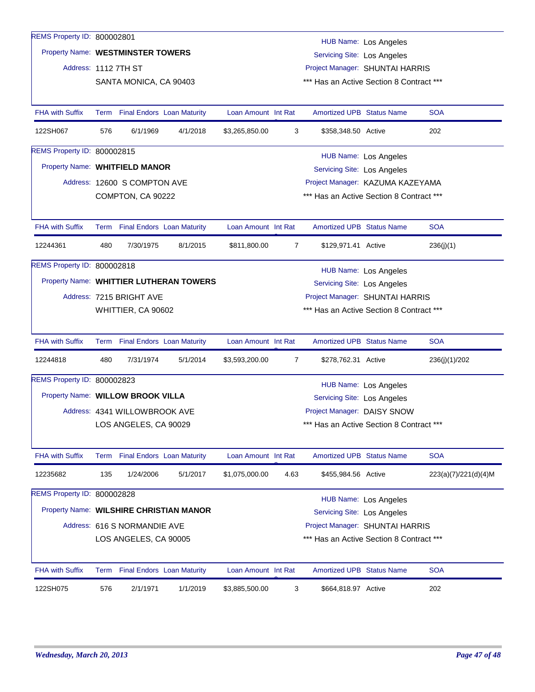| REMS Property ID: 800002801             |                                                                   |                                   |                                         |                     |                |                                                                             |                              |                      |  |
|-----------------------------------------|-------------------------------------------------------------------|-----------------------------------|-----------------------------------------|---------------------|----------------|-----------------------------------------------------------------------------|------------------------------|----------------------|--|
| Property Name: WESTMINSTER TOWERS       |                                                                   |                                   |                                         |                     |                |                                                                             | HUB Name: Los Angeles        |                      |  |
|                                         |                                                                   |                                   |                                         |                     |                | <b>Servicing Site: Los Angeles</b>                                          |                              |                      |  |
| Address: 1112 7TH ST                    |                                                                   | SANTA MONICA, CA 90403            |                                         |                     |                | Project Manager: SHUNTAI HARRIS<br>*** Has an Active Section 8 Contract *** |                              |                      |  |
|                                         |                                                                   |                                   |                                         |                     |                |                                                                             |                              |                      |  |
| <b>FHA with Suffix</b>                  | Term                                                              | <b>Final Endors Loan Maturity</b> |                                         | Loan Amount Int Rat |                | <b>Amortized UPB Status Name</b>                                            |                              | <b>SOA</b>           |  |
| 122SH067                                | 576                                                               | 6/1/1969                          | 4/1/2018                                | \$3,265,850.00      | 3              | \$358,348.50 Active                                                         |                              | 202                  |  |
| REMS Property ID: 800002815             |                                                                   |                                   |                                         |                     |                |                                                                             |                              |                      |  |
| Property Name: WHITFIELD MANOR          |                                                                   |                                   |                                         |                     |                | <b>HUB Name: Los Angeles</b><br>Servicing Site: Los Angeles                 |                              |                      |  |
|                                         |                                                                   | Address: 12600 S COMPTON AVE      |                                         |                     |                | Project Manager: KAZUMA KAZEYAMA                                            |                              |                      |  |
|                                         |                                                                   | COMPTON, CA 90222                 |                                         |                     |                | *** Has an Active Section 8 Contract ***                                    |                              |                      |  |
|                                         |                                                                   |                                   |                                         |                     |                |                                                                             |                              |                      |  |
| <b>FHA with Suffix</b>                  |                                                                   | Term Final Endors Loan Maturity   |                                         | Loan Amount Int Rat |                | <b>Amortized UPB Status Name</b>                                            |                              | <b>SOA</b>           |  |
| 12244361                                | 480                                                               | 7/30/1975                         | 8/1/2015                                | \$811,800.00        | $\overline{7}$ | \$129,971.41 Active                                                         |                              | 236(j)(1)            |  |
| REMS Property ID: 800002818             |                                                                   |                                   |                                         |                     |                |                                                                             | <b>HUB Name: Los Angeles</b> |                      |  |
|                                         |                                                                   |                                   | Property Name: WHITTIER LUTHERAN TOWERS |                     |                | <b>Servicing Site: Los Angeles</b>                                          |                              |                      |  |
|                                         |                                                                   | Address: 7215 BRIGHT AVE          |                                         |                     |                | Project Manager: SHUNTAI HARRIS                                             |                              |                      |  |
|                                         |                                                                   | WHITTIER, CA 90602                |                                         |                     |                | *** Has an Active Section 8 Contract ***                                    |                              |                      |  |
|                                         |                                                                   |                                   |                                         |                     |                |                                                                             |                              |                      |  |
| <b>FHA with Suffix</b>                  |                                                                   | Term Final Endors Loan Maturity   |                                         | Loan Amount Int Rat |                | <b>Amortized UPB Status Name</b>                                            |                              | <b>SOA</b>           |  |
| 12244818                                | 480                                                               | 7/31/1974                         | 5/1/2014                                | \$3,593,200.00      | $\overline{7}$ | \$278,762.31 Active                                                         |                              | 236(j)(1)/202        |  |
| REMS Property ID: 800002823             |                                                                   |                                   |                                         |                     |                |                                                                             | HUB Name: Los Angeles        |                      |  |
| Property Name: WILLOW BROOK VILLA       |                                                                   |                                   |                                         |                     |                | Servicing Site: Los Angeles                                                 |                              |                      |  |
|                                         |                                                                   | Address: 4341 WILLOWBROOK AVE     |                                         |                     |                | Project Manager: DAISY SNOW                                                 |                              |                      |  |
|                                         |                                                                   | LOS ANGELES, CA 90029             |                                         |                     |                | *** Has an Active Section 8 Contract ***                                    |                              |                      |  |
|                                         |                                                                   |                                   |                                         |                     |                |                                                                             |                              |                      |  |
| <b>FHA with Suffix</b>                  | Term                                                              |                                   | <b>Final Endors Loan Maturity</b>       | Loan Amount Int Rat |                | <b>Amortized UPB Status Name</b>                                            |                              | <b>SOA</b>           |  |
| 12235682                                | 135                                                               | 1/24/2006                         | 5/1/2017                                | \$1,075,000.00      | 4.63           | \$455,984.56 Active                                                         |                              | 223(a)(7)/221(d)(4)M |  |
| REMS Property ID: 800002828             |                                                                   |                                   |                                         |                     |                |                                                                             | <b>HUB Name: Los Angeles</b> |                      |  |
| Property Name: WILSHIRE CHRISTIAN MANOR |                                                                   |                                   |                                         |                     |                | <b>Servicing Site: Los Angeles</b>                                          |                              |                      |  |
|                                         |                                                                   | Address: 616 S NORMANDIE AVE      |                                         |                     |                | Project Manager: SHUNTAI HARRIS                                             |                              |                      |  |
|                                         | *** Has an Active Section 8 Contract ***<br>LOS ANGELES, CA 90005 |                                   |                                         |                     |                |                                                                             |                              |                      |  |
|                                         |                                                                   |                                   |                                         |                     |                |                                                                             |                              |                      |  |
| <b>FHA with Suffix</b>                  |                                                                   | Term Final Endors Loan Maturity   |                                         | Loan Amount Int Rat |                | <b>Amortized UPB Status Name</b>                                            |                              | <b>SOA</b>           |  |
| 122SH075                                | 576                                                               | 2/1/1971                          | 1/1/2019                                | \$3,885,500.00      | 3              | \$664,818.97 Active                                                         |                              | 202                  |  |